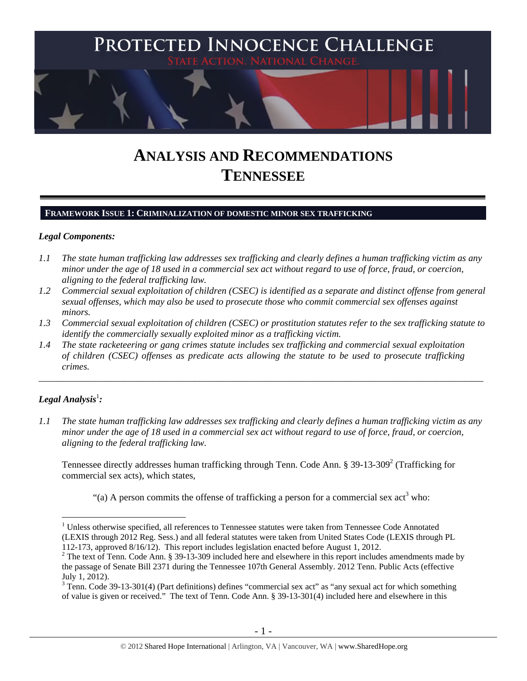

# **ANALYSIS AND RECOMMENDATIONS TENNESSEE**

## **FRAMEWORK ISSUE 1: CRIMINALIZATION OF DOMESTIC MINOR SEX TRAFFICKING**

#### *Legal Components:*

- *1.1 The state human trafficking law addresses sex trafficking and clearly defines a human trafficking victim as any minor under the age of 18 used in a commercial sex act without regard to use of force, fraud, or coercion, aligning to the federal trafficking law.*
- *1.2 Commercial sexual exploitation of children (CSEC) is identified as a separate and distinct offense from general sexual offenses, which may also be used to prosecute those who commit commercial sex offenses against minors.*
- *1.3 Commercial sexual exploitation of children (CSEC) or prostitution statutes refer to the sex trafficking statute to identify the commercially sexually exploited minor as a trafficking victim.*

\_\_\_\_\_\_\_\_\_\_\_\_\_\_\_\_\_\_\_\_\_\_\_\_\_\_\_\_\_\_\_\_\_\_\_\_\_\_\_\_\_\_\_\_\_\_\_\_\_\_\_\_\_\_\_\_\_\_\_\_\_\_\_\_\_\_\_\_\_\_\_\_\_\_\_\_\_\_\_\_\_\_\_\_\_\_\_\_\_\_\_\_\_\_

*1.4 The state racketeering or gang crimes statute includes sex trafficking and commercial sexual exploitation of children (CSEC) offenses as predicate acts allowing the statute to be used to prosecute trafficking crimes.* 

# $\bm{L}$ egal Analysis $^{\rm l}$ :

 $\overline{a}$ 

*1.1 The state human trafficking law addresses sex trafficking and clearly defines a human trafficking victim as any minor under the age of 18 used in a commercial sex act without regard to use of force, fraud, or coercion, aligning to the federal trafficking law.*

Tennessee directly addresses human trafficking through Tenn. Code Ann. § 39-13-309<sup>2</sup> (Trafficking for commercial sex acts), which states,

"(a) A person commits the offense of trafficking a person for a commercial sex  $act<sup>3</sup>$  who:

<sup>&</sup>lt;sup>1</sup> Unless otherwise specified, all references to Tennessee statutes were taken from Tennessee Code Annotated (LEXIS through 2012 Reg. Sess.) and all federal statutes were taken from United States Code (LEXIS through PL 112-173, approved 8/16/12). This report includes legislation enacted before August 1, 2012.

<sup>&</sup>lt;sup>2</sup> The text of Tenn. Code Ann. § 39-13-309 included here and elsewhere in this report includes amendments made by the passage of Senate Bill 2371 during the Tennessee 107th General Assembly. 2012 Tenn. Public Acts (effective July 1, 2012).

 $3$  Tenn. Code 39-13-301(4) (Part definitions) defines "commercial sex act" as "any sexual act for which something of value is given or received." The text of Tenn. Code Ann. § 39-13-301(4) included here and elsewhere in this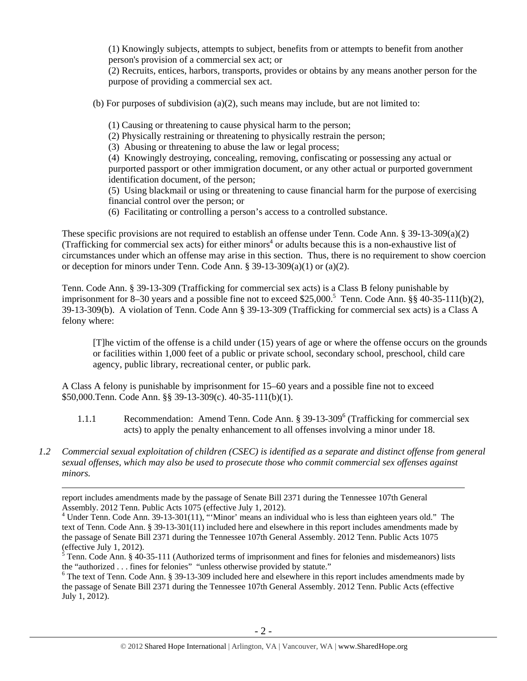(1) Knowingly subjects, attempts to subject, benefits from or attempts to benefit from another person's provision of a commercial sex act; or

(2) Recruits, entices, harbors, transports, provides or obtains by any means another person for the purpose of providing a commercial sex act.

(b) For purposes of subdivision  $(a)(2)$ , such means may include, but are not limited to:

- (1) Causing or threatening to cause physical harm to the person;
- (2) Physically restraining or threatening to physically restrain the person;

(3) Abusing or threatening to abuse the law or legal process;

(4) Knowingly destroying, concealing, removing, confiscating or possessing any actual or purported passport or other immigration document, or any other actual or purported government identification document, of the person;

(5) Using blackmail or using or threatening to cause financial harm for the purpose of exercising financial control over the person; or

(6) Facilitating or controlling a person's access to a controlled substance.

These specific provisions are not required to establish an offense under Tenn. Code Ann. § 39-13-309(a)(2) (Trafficking for commercial sex acts) for either minors<sup>4</sup> or adults because this is a non-exhaustive list of circumstances under which an offense may arise in this section. Thus, there is no requirement to show coercion or deception for minors under Tenn. Code Ann.  $\S$  39-13-309(a)(1) or (a)(2).

Tenn. Code Ann. § 39-13-309 (Trafficking for commercial sex acts) is a Class B felony punishable by imprisonment for 8–30 years and a possible fine not to exceed \$25,000.<sup>5</sup> Tenn. Code Ann. §§ 40-35-111(b)(2), 39-13-309(b). A violation of Tenn. Code Ann § 39-13-309 (Trafficking for commercial sex acts) is a Class A felony where:

[T]he victim of the offense is a child under (15) years of age or where the offense occurs on the grounds or facilities within 1,000 feet of a public or private school, secondary school, preschool, child care agency, public library, recreational center, or public park.

A Class A felony is punishable by imprisonment for 15–60 years and a possible fine not to exceed \$50,000.Tenn. Code Ann. §§ 39-13-309(c). 40-35-111(b)(1).

- 1.1.1 Recommendation: Amend Tenn. Code Ann. § 39-13-309<sup>6</sup> (Trafficking for commercial sex acts) to apply the penalty enhancement to all offenses involving a minor under 18.
- *1.2 Commercial sexual exploitation of children (CSEC) is identified as a separate and distinct offense from general sexual offenses, which may also be used to prosecute those who commit commercial sex offenses against minors.*

report includes amendments made by the passage of Senate Bill 2371 during the Tennessee 107th General Assembly. 2012 Tenn. Public Acts 1075 (effective July 1, 2012).

<sup>&</sup>lt;sup>4</sup> Under Tenn. Code Ann. 39-13-301(11), "'Minor' means an individual who is less than eighteen years old." The text of Tenn. Code Ann. § 39-13-301(11) included here and elsewhere in this report includes amendments made by the passage of Senate Bill 2371 during the Tennessee 107th General Assembly. 2012 Tenn. Public Acts 1075 (effective July 1, 2012).

<sup>&</sup>lt;sup>5</sup> Tenn. Code Ann. § 40-35-111 (Authorized terms of imprisonment and fines for felonies and misdemeanors) lists the "authorized . . . fines for felonies" "unless otherwise provided by statute."

<sup>&</sup>lt;sup>6</sup> The text of Tenn. Code Ann. § 39-13-309 included here and elsewhere in this report includes amendments made by the passage of Senate Bill 2371 during the Tennessee 107th General Assembly. 2012 Tenn. Public Acts (effective July 1, 2012).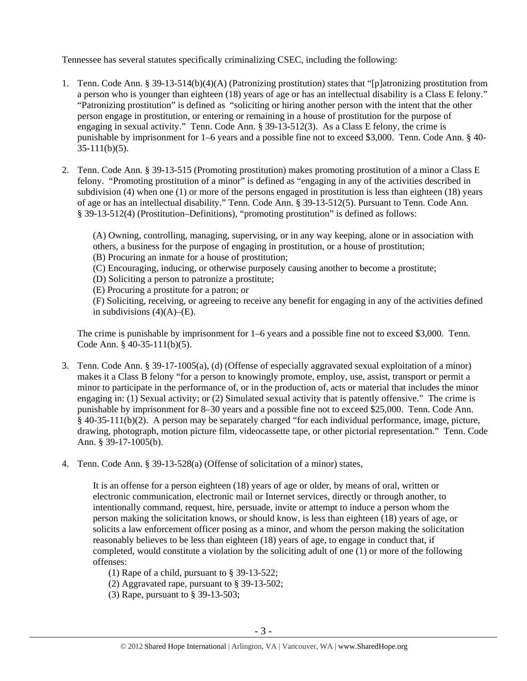Tennessee has several statutes specifically criminalizing CSEC, including the following:

- 1. Tenn. Code Ann. § 39-13-514(b)(4)(A) (Patronizing prostitution) states that "[p]atronizing prostitution from a person who is younger than eighteen (18) years of age or has an intellectual disability is a Class E felony." "Patronizing prostitution" is defined as "soliciting or hiring another person with the intent that the other person engage in prostitution, or entering or remaining in a house of prostitution for the purpose of engaging in sexual activity." Tenn. Code Ann. § 39-13-512(3). As a Class E felony, the crime is punishable by imprisonment for 1–6 years and a possible fine not to exceed \$3,000. Tenn. Code Ann. § 40-  $35-111(b)(5)$ .
- 2. Tenn. Code Ann. § 39-13-515 (Promoting prostitution) makes promoting prostitution of a minor a Class E felony. "Promoting prostitution of a minor" is defined as "engaging in any of the activities described in subdivision (4) when one (1) or more of the persons engaged in prostitution is less than eighteen (18) years of age or has an intellectual disability." Tenn. Code Ann. § 39-13-512(5). Pursuant to Tenn. Code Ann. § 39-13-512(4) (Prostitution–Definitions), "promoting prostitution" is defined as follows:

(A) Owning, controlling, managing, supervising, or in any way keeping, alone or in association with others, a business for the purpose of engaging in prostitution, or a house of prostitution; (B) Procuring an inmate for a house of prostitution;

(C) Encouraging, inducing, or otherwise purposely causing another to become a prostitute;

(D) Soliciting a person to patronize a prostitute;

(E) Procuring a prostitute for a patron; or

(F) Soliciting, receiving, or agreeing to receive any benefit for engaging in any of the activities defined in subdivisions  $(4)(A)$ – $(E)$ .

The crime is punishable by imprisonment for 1–6 years and a possible fine not to exceed \$3,000. Tenn. Code Ann. § 40-35-111(b)(5).

- 3. Tenn. Code Ann. § 39-17-1005(a), (d) (Offense of especially aggravated sexual exploitation of a minor) makes it a Class B felony "for a person to knowingly promote, employ, use, assist, transport or permit a minor to participate in the performance of, or in the production of, acts or material that includes the minor engaging in: (1) Sexual activity; or (2) Simulated sexual activity that is patently offensive." The crime is punishable by imprisonment for 8–30 years and a possible fine not to exceed \$25,000. Tenn. Code Ann. § 40-35-111(b)(2). A person may be separately charged "for each individual performance, image, picture, drawing, photograph, motion picture film, videocassette tape, or other pictorial representation." Tenn. Code Ann. § 39-17-1005(b).
- 4. Tenn. Code Ann. § 39-13-528(a) (Offense of solicitation of a minor) states,

It is an offense for a person eighteen (18) years of age or older, by means of oral, written or electronic communication, electronic mail or Internet services, directly or through another, to intentionally command, request, hire, persuade, invite or attempt to induce a person whom the person making the solicitation knows, or should know, is less than eighteen (18) years of age, or solicits a law enforcement officer posing as a minor, and whom the person making the solicitation reasonably believes to be less than eighteen (18) years of age, to engage in conduct that, if completed, would constitute a violation by the soliciting adult of one (1) or more of the following offenses:

(1) Rape of a child, pursuant to § 39-13-522;

- (2) Aggravated rape, pursuant to § 39-13-502;
- (3) Rape, pursuant to § 39-13-503;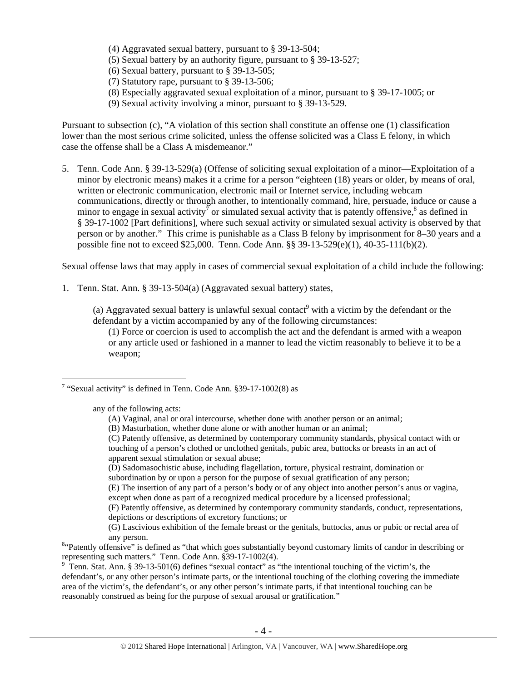- (4) Aggravated sexual battery, pursuant to § 39-13-504;
- (5) Sexual battery by an authority figure, pursuant to § 39-13-527;
- (6) Sexual battery, pursuant to § 39-13-505;
- (7) Statutory rape, pursuant to § 39-13-506;
- (8) Especially aggravated sexual exploitation of a minor, pursuant to § 39-17-1005; or
- (9) Sexual activity involving a minor, pursuant to § 39-13-529.

Pursuant to subsection (c), "A violation of this section shall constitute an offense one (1) classification lower than the most serious crime solicited, unless the offense solicited was a Class E felony, in which case the offense shall be a Class A misdemeanor."

5. Tenn. Code Ann. § 39-13-529(a) (Offense of soliciting sexual exploitation of a minor—Exploitation of a minor by electronic means) makes it a crime for a person "eighteen (18) years or older, by means of oral, written or electronic communication, electronic mail or Internet service, including webcam communications, directly or through another, to intentionally command, hire, persuade, induce or cause a minor to engage in sexual activity<sup>7</sup> or simulated sexual activity that is patently offensive,<sup>8</sup> as defined in § 39-17-1002 [Part definitions], where such sexual activity or simulated sexual activity is observed by that person or by another." This crime is punishable as a Class B felony by imprisonment for 8–30 years and a possible fine not to exceed \$25,000. Tenn. Code Ann. §§ 39-13-529(e)(1), 40-35-111(b)(2).

Sexual offense laws that may apply in cases of commercial sexual exploitation of a child include the following:

1. Tenn. Stat. Ann. § 39-13-504(a) (Aggravated sexual battery) states,

(a) Aggravated sexual battery is unlawful sexual contact<sup>9</sup> with a victim by the defendant or the defendant by a victim accompanied by any of the following circumstances:

(1) Force or coercion is used to accomplish the act and the defendant is armed with a weapon or any article used or fashioned in a manner to lead the victim reasonably to believe it to be a weapon;

any of the following acts:

 $\overline{a}$ 

- (C) Patently offensive, as determined by contemporary community standards, physical contact with or touching of a person's clothed or unclothed genitals, pubic area, buttocks or breasts in an act of apparent sexual stimulation or sexual abuse;
- (D) Sadomasochistic abuse, including flagellation, torture, physical restraint, domination or subordination by or upon a person for the purpose of sexual gratification of any person;

(E) The insertion of any part of a person's body or of any object into another person's anus or vagina, except when done as part of a recognized medical procedure by a licensed professional;

(F) Patently offensive, as determined by contemporary community standards, conduct, representations, depictions or descriptions of excretory functions; or

(G) Lascivious exhibition of the female breast or the genitals, buttocks, anus or pubic or rectal area of

any person.<br><sup>8</sup> Patently offensive" is defined as "that which goes substantially beyond customary limits of candor in describing or representing such matters." Tenn. Code Ann. §39-17-1002(4).

<sup>9</sup> Tenn. Stat. Ann. § 39-13-501(6) defines "sexual contact" as "the intentional touching of the victim's, the defendant's, or any other person's intimate parts, or the intentional touching of the clothing covering the immediate area of the victim's, the defendant's, or any other person's intimate parts, if that intentional touching can be reasonably construed as being for the purpose of sexual arousal or gratification."

<sup>&</sup>lt;sup>7</sup> "Sexual activity" is defined in Tenn. Code Ann.  $§$ 39-17-1002(8) as

<sup>(</sup>A) Vaginal, anal or oral intercourse, whether done with another person or an animal;

<sup>(</sup>B) Masturbation, whether done alone or with another human or an animal;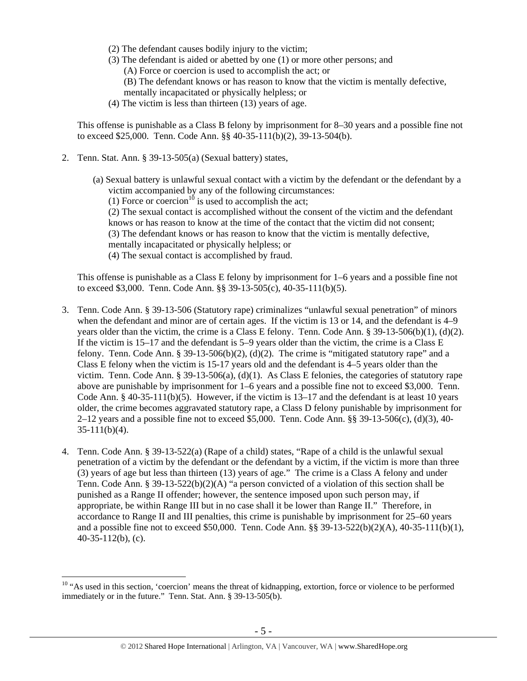- (2) The defendant causes bodily injury to the victim;
- (3) The defendant is aided or abetted by one (1) or more other persons; and
	- (A) Force or coercion is used to accomplish the act; or
	- (B) The defendant knows or has reason to know that the victim is mentally defective, mentally incapacitated or physically helpless; or
- (4) The victim is less than thirteen (13) years of age.

This offense is punishable as a Class B felony by imprisonment for 8–30 years and a possible fine not to exceed \$25,000. Tenn. Code Ann. §§ 40-35-111(b)(2), 39-13-504(b).

2. Tenn. Stat. Ann. § 39-13-505(a) (Sexual battery) states,

 $\overline{a}$ 

- (a) Sexual battery is unlawful sexual contact with a victim by the defendant or the defendant by a victim accompanied by any of the following circumstances:
	- (1) Force or coercion<sup>10</sup> is used to accomplish the act;

(2) The sexual contact is accomplished without the consent of the victim and the defendant knows or has reason to know at the time of the contact that the victim did not consent;

- (3) The defendant knows or has reason to know that the victim is mentally defective,
- mentally incapacitated or physically helpless; or
- (4) The sexual contact is accomplished by fraud.

This offense is punishable as a Class E felony by imprisonment for 1–6 years and a possible fine not to exceed \$3,000. Tenn. Code Ann. §§ 39-13-505(c), 40-35-111(b)(5).

- 3. Tenn. Code Ann. § 39-13-506 (Statutory rape) criminalizes "unlawful sexual penetration" of minors when the defendant and minor are of certain ages. If the victim is 13 or 14, and the defendant is 4–9 years older than the victim, the crime is a Class E felony. Tenn. Code Ann. § 39-13-506(b)(1), (d)(2). If the victim is 15–17 and the defendant is 5–9 years older than the victim, the crime is a Class E felony. Tenn. Code Ann. § 39-13-506(b)(2), (d)(2). The crime is "mitigated statutory rape" and a Class E felony when the victim is 15-17 years old and the defendant is 4–5 years older than the victim. Tenn. Code Ann. § 39-13-506(a), (d)(1). As Class E felonies, the categories of statutory rape above are punishable by imprisonment for 1–6 years and a possible fine not to exceed \$3,000. Tenn. Code Ann. § 40-35-111(b)(5). However, if the victim is 13–17 and the defendant is at least 10 years older, the crime becomes aggravated statutory rape, a Class D felony punishable by imprisonment for 2–12 years and a possible fine not to exceed \$5,000. Tenn. Code Ann. §§ 39-13-506(c), (d)(3), 40- 35-111(b)(4).
- 4. Tenn. Code Ann. § 39-13-522(a) (Rape of a child) states, "Rape of a child is the unlawful sexual penetration of a victim by the defendant or the defendant by a victim, if the victim is more than three (3) years of age but less than thirteen (13) years of age." The crime is a Class A felony and under Tenn. Code Ann. § 39-13-522(b)(2)(A) "a person convicted of a violation of this section shall be punished as a Range II offender; however, the sentence imposed upon such person may, if appropriate, be within Range III but in no case shall it be lower than Range II." Therefore, in accordance to Range II and III penalties, this crime is punishable by imprisonment for 25–60 years and a possible fine not to exceed \$50,000. Tenn. Code Ann. §§ 39-13-522(b)(2)(A), 40-35-111(b)(1), 40-35-112(b), (c).

<sup>&</sup>lt;sup>10</sup> "As used in this section, 'coercion' means the threat of kidnapping, extortion, force or violence to be performed immediately or in the future." Tenn. Stat. Ann. § 39-13-505(b).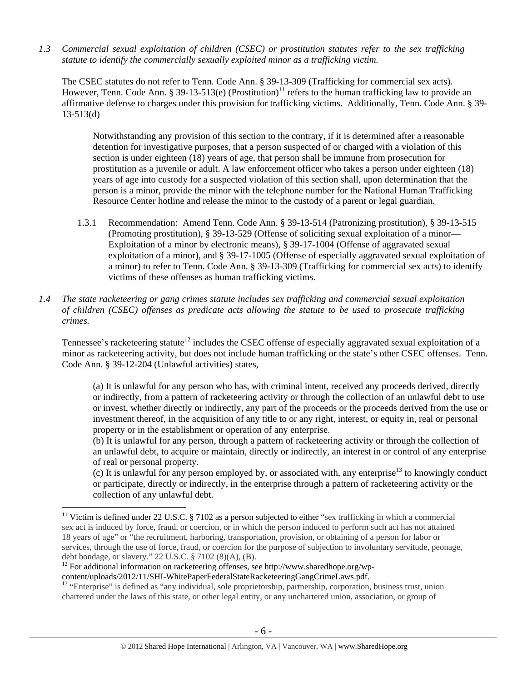*1.3 Commercial sexual exploitation of children (CSEC) or prostitution statutes refer to the sex trafficking statute to identify the commercially sexually exploited minor as a trafficking victim.* 

The CSEC statutes do not refer to Tenn. Code Ann. § 39-13-309 (Trafficking for commercial sex acts). However, Tenn. Code Ann. § 39-13-513(e) (Prostitution)<sup>11</sup> refers to the human trafficking law to provide an affirmative defense to charges under this provision for trafficking victims. Additionally, Tenn. Code Ann. § 39- 13-513(d)

Notwithstanding any provision of this section to the contrary, if it is determined after a reasonable detention for investigative purposes, that a person suspected of or charged with a violation of this section is under eighteen (18) years of age, that person shall be immune from prosecution for prostitution as a juvenile or adult. A law enforcement officer who takes a person under eighteen (18) years of age into custody for a suspected violation of this section shall, upon determination that the person is a minor, provide the minor with the telephone number for the National Human Trafficking Resource Center hotline and release the minor to the custody of a parent or legal guardian.

- 1.3.1 Recommendation: Amend Tenn. Code Ann. § 39-13-514 (Patronizing prostitution), § 39-13-515 (Promoting prostitution), § 39-13-529 (Offense of soliciting sexual exploitation of a minor— Exploitation of a minor by electronic means), § 39-17-1004 (Offense of aggravated sexual exploitation of a minor), and § 39-17-1005 (Offense of especially aggravated sexual exploitation of a minor) to refer to Tenn. Code Ann. § 39-13-309 (Trafficking for commercial sex acts) to identify victims of these offenses as human trafficking victims.
- *1.4 The state racketeering or gang crimes statute includes sex trafficking and commercial sexual exploitation of children (CSEC) offenses as predicate acts allowing the statute to be used to prosecute trafficking crimes.*

Tennessee's racketeering statute<sup>12</sup> includes the CSEC offense of especially aggravated sexual exploitation of a minor as racketeering activity, but does not include human trafficking or the state's other CSEC offenses. Tenn. Code Ann. § 39-12-204 (Unlawful activities) states,

(a) It is unlawful for any person who has, with criminal intent, received any proceeds derived, directly or indirectly, from a pattern of racketeering activity or through the collection of an unlawful debt to use or invest, whether directly or indirectly, any part of the proceeds or the proceeds derived from the use or investment thereof, in the acquisition of any title to or any right, interest, or equity in, real or personal property or in the establishment or operation of any enterprise.

(b) It is unlawful for any person, through a pattern of racketeering activity or through the collection of an unlawful debt, to acquire or maintain, directly or indirectly, an interest in or control of any enterprise of real or personal property.

(c) It is unlawful for any person employed by, or associated with, any enterprise<sup>13</sup> to knowingly conduct or participate, directly or indirectly, in the enterprise through a pattern of racketeering activity or the collection of any unlawful debt.

<sup>&</sup>lt;sup>11</sup> Victim is defined under 22 U.S.C. § 7102 as a person subjected to either "sex trafficking in which a commercial sex act is induced by force, fraud, or coercion, or in which the person induced to perform such act has not attained 18 years of age" or "the recruitment, harboring, transportation, provision, or obtaining of a person for labor or services, through the use of force, fraud, or coercion for the purpose of subjection to involuntary servitude, peonage, debt bondage, or slavery." 22 U.S.C. § 7102 (8)(A), (B).

 $12$  For additional information on racketeering offenses, see http://www.sharedhope.org/wp-

content/uploads/2012/11/SHI-WhitePaperFederalStateRacketeeringGangCrimeLaws.pdf. 13 "Enterprise" is defined as "any individual, sole proprietorship, partnership, corporation, business trust, union chartered under the laws of this state, or other legal entity, or any unchartered union, association, or group of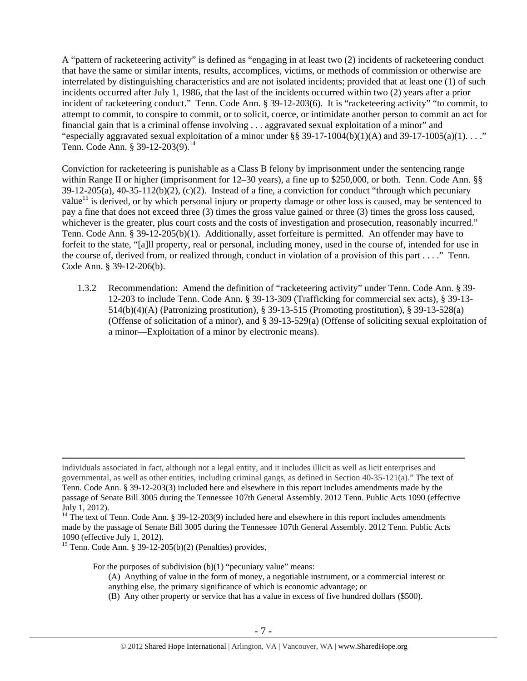A "pattern of racketeering activity" is defined as "engaging in at least two (2) incidents of racketeering conduct that have the same or similar intents, results, accomplices, victims, or methods of commission or otherwise are interrelated by distinguishing characteristics and are not isolated incidents; provided that at least one (1) of such incidents occurred after July 1, 1986, that the last of the incidents occurred within two (2) years after a prior incident of racketeering conduct." Tenn. Code Ann. § 39-12-203(6). It is "racketeering activity" "to commit, to attempt to commit, to conspire to commit, or to solicit, coerce, or intimidate another person to commit an act for financial gain that is a criminal offense involving . . . aggravated sexual exploitation of a minor" and "especially aggravated sexual exploitation of a minor under  $\S$ § 39-17-1004(b)(1)(A) and 39-17-1005(a)(1)...." Tenn. Code Ann. § 39-12-203(9).<sup>14</sup>

Conviction for racketeering is punishable as a Class B felony by imprisonment under the sentencing range within Range II or higher (imprisonment for 12–30 years), a fine up to \$250,000, or both. Tenn. Code Ann. §§  $39-12-205(a)$ ,  $40-35-112(b)(2)$ ,  $(c)(2)$ . Instead of a fine, a conviction for conduct "through which pecuniary value<sup>15</sup> is derived, or by which personal injury or property damage or other loss is caused, may be sentenced to pay a fine that does not exceed three (3) times the gross value gained or three (3) times the gross loss caused, whichever is the greater, plus court costs and the costs of investigation and prosecution, reasonably incurred." Tenn. Code Ann. § 39-12-205(b)(1). Additionally, asset forfeiture is permitted. An offender may have to forfeit to the state, "[a]ll property, real or personal, including money, used in the course of, intended for use in the course of, derived from, or realized through, conduct in violation of a provision of this part . . . ." Tenn. Code Ann. § 39-12-206(b).

1.3.2 Recommendation: Amend the definition of "racketeering activity" under Tenn. Code Ann. § 39- 12-203 to include Tenn. Code Ann. § 39-13-309 (Trafficking for commercial sex acts), § 39-13- 514(b)(4)(A) (Patronizing prostitution), § 39-13-515 (Promoting prostitution), § 39-13-528(a) (Offense of solicitation of a minor), and § 39-13-529(a) (Offense of soliciting sexual exploitation of a minor—Exploitation of a minor by electronic means).

<sup>15</sup> Tenn. Code Ann. § 39-12-205(b)(2) (Penalties) provides,

For the purposes of subdivision  $(b)(1)$  "pecuniary value" means:

- (A) Anything of value in the form of money, a negotiable instrument, or a commercial interest or anything else, the primary significance of which is economic advantage; or
- (B) Any other property or service that has a value in excess of five hundred dollars (\$500).

individuals associated in fact, although not a legal entity, and it includes illicit as well as licit enterprises and governmental, as well as other entities, including criminal gangs, as defined in Section 40-35-121(a)." The text of Tenn. Code Ann. § 39-12-203(3) included here and elsewhere in this report includes amendments made by the

passage of Senate Bill 3005 during the Tennessee 107th General Assembly. 2012 Tenn. Public Acts 1090 (effective July 1, 2012).

<sup>&</sup>lt;sup>14</sup> The text of Tenn. Code Ann. § 39-12-203(9) included here and elsewhere in this report includes amendments made by the passage of Senate Bill 3005 during the Tennessee 107th General Assembly. 2012 Tenn. Public Acts 1090 (effective July 1, 2012).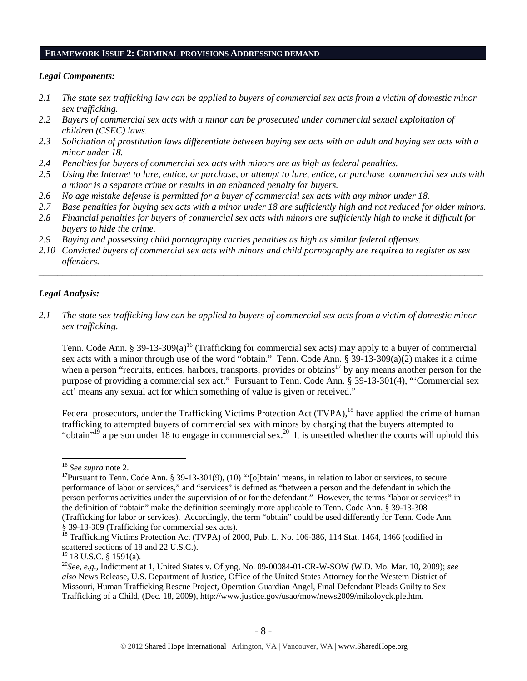#### **FRAMEWORK ISSUE 2: CRIMINAL PROVISIONS ADDRESSING DEMAND**

#### *Legal Components:*

- *2.1 The state sex trafficking law can be applied to buyers of commercial sex acts from a victim of domestic minor sex trafficking.*
- *2.2 Buyers of commercial sex acts with a minor can be prosecuted under commercial sexual exploitation of children (CSEC) laws.*
- *2.3 Solicitation of prostitution laws differentiate between buying sex acts with an adult and buying sex acts with a minor under 18.*
- *2.4 Penalties for buyers of commercial sex acts with minors are as high as federal penalties.*
- *2.5 Using the Internet to lure, entice, or purchase, or attempt to lure, entice, or purchase commercial sex acts with a minor is a separate crime or results in an enhanced penalty for buyers.*
- *2.6 No age mistake defense is permitted for a buyer of commercial sex acts with any minor under 18.*
- *2.7 Base penalties for buying sex acts with a minor under 18 are sufficiently high and not reduced for older minors.*
- *2.8 Financial penalties for buyers of commercial sex acts with minors are sufficiently high to make it difficult for buyers to hide the crime.*
- *2.9 Buying and possessing child pornography carries penalties as high as similar federal offenses.*
- *2.10 Convicted buyers of commercial sex acts with minors and child pornography are required to register as sex offenders.*

\_\_\_\_\_\_\_\_\_\_\_\_\_\_\_\_\_\_\_\_\_\_\_\_\_\_\_\_\_\_\_\_\_\_\_\_\_\_\_\_\_\_\_\_\_\_\_\_\_\_\_\_\_\_\_\_\_\_\_\_\_\_\_\_\_\_\_\_\_\_\_\_\_\_\_\_\_\_\_\_\_\_\_\_\_\_\_\_\_\_\_\_\_\_

#### *Legal Analysis:*

*2.1 The state sex trafficking law can be applied to buyers of commercial sex acts from a victim of domestic minor sex trafficking.*

Tenn. Code Ann. § 39-13-309(a)<sup>16</sup> (Trafficking for commercial sex acts) may apply to a buyer of commercial sex acts with a minor through use of the word "obtain." Tenn. Code Ann. § 39-13-309(a)(2) makes it a crime when a person "recruits, entices, harbors, transports, provides or obtains<sup>17</sup> by any means another person for the purpose of providing a commercial sex act." Pursuant to Tenn. Code Ann. § 39-13-301(4), "'Commercial sex act' means any sexual act for which something of value is given or received."

Federal prosecutors, under the Trafficking Victims Protection Act (TVPA),<sup>18</sup> have applied the crime of human trafficking to attempted buyers of commercial sex with minors by charging that the buyers attempted to "obtain"<sup>19</sup> a person under 18 to engage in commercial sex.<sup>20</sup> It is unsettled whether the courts will uphold this

<sup>&</sup>lt;sup>16</sup> *See supra* note 2.<br><sup>17</sup>Pursuant to Tenn. Code Ann. § 39-13-301(9), (10) "'[o]btain' means, in relation to labor or services, to secure performance of labor or services," and "services" is defined as "between a person and the defendant in which the person performs activities under the supervision of or for the defendant." However, the terms "labor or services" in the definition of "obtain" make the definition seemingly more applicable to Tenn. Code Ann. § 39-13-308 (Trafficking for labor or services). Accordingly, the term "obtain" could be used differently for Tenn. Code Ann. § 39-13-309 (Trafficking for commercial sex acts).

<sup>&</sup>lt;sup>18</sup> Trafficking Victims Protection Act (TVPA) of 2000, Pub. L. No. 106-386, 114 Stat. 1464, 1466 (codified in scattered sections of 18 and 22 U.S.C.).

 $19$  18 U.S.C. § 1591(a).

<sup>20</sup>*See, e.g*., Indictment at 1, United States v. Oflyng, No. 09-00084-01-CR-W-SOW (W.D. Mo. Mar. 10, 2009); *see also* News Release, U.S. Department of Justice, Office of the United States Attorney for the Western District of Missouri, Human Trafficking Rescue Project, Operation Guardian Angel, Final Defendant Pleads Guilty to Sex Trafficking of a Child, (Dec. 18, 2009), http://www.justice.gov/usao/mow/news2009/mikoloyck.ple.htm.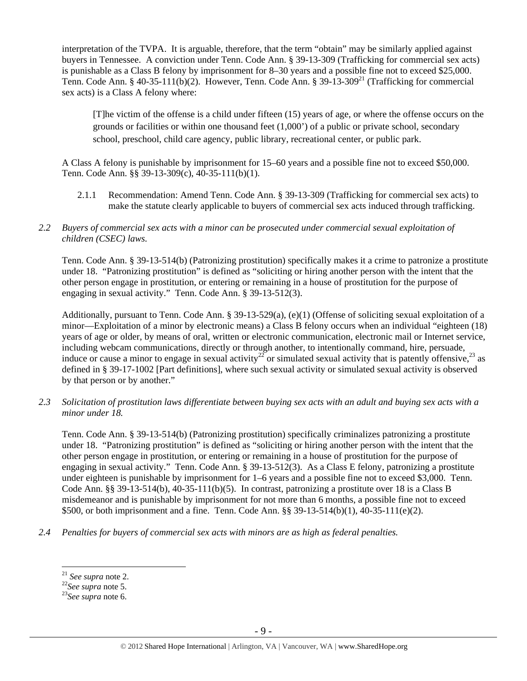interpretation of the TVPA. It is arguable, therefore, that the term "obtain" may be similarly applied against buyers in Tennessee. A conviction under Tenn. Code Ann. § 39-13-309 (Trafficking for commercial sex acts) is punishable as a Class B felony by imprisonment for 8–30 years and a possible fine not to exceed \$25,000. Tenn. Code Ann. § 40-35-111(b)(2). However, Tenn. Code Ann. § 39-13-309<sup>21</sup> (Trafficking for commercial sex acts) is a Class A felony where:

[T]he victim of the offense is a child under fifteen (15) years of age, or where the offense occurs on the grounds or facilities or within one thousand feet (1,000') of a public or private school, secondary school, preschool, child care agency, public library, recreational center, or public park.

A Class A felony is punishable by imprisonment for 15–60 years and a possible fine not to exceed \$50,000. Tenn. Code Ann. §§ 39-13-309(c), 40-35-111(b)(1).

- 2.1.1 Recommendation: Amend Tenn. Code Ann. § 39-13-309 (Trafficking for commercial sex acts) to make the statute clearly applicable to buyers of commercial sex acts induced through trafficking.
- *2.2 Buyers of commercial sex acts with a minor can be prosecuted under commercial sexual exploitation of children (CSEC) laws.*

Tenn. Code Ann. § 39-13-514(b) (Patronizing prostitution) specifically makes it a crime to patronize a prostitute under 18. "Patronizing prostitution" is defined as "soliciting or hiring another person with the intent that the other person engage in prostitution, or entering or remaining in a house of prostitution for the purpose of engaging in sexual activity." Tenn. Code Ann. § 39-13-512(3).

Additionally, pursuant to Tenn. Code Ann. § 39-13-529(a), (e)(1) (Offense of soliciting sexual exploitation of a minor—Exploitation of a minor by electronic means) a Class B felony occurs when an individual "eighteen (18) years of age or older, by means of oral, written or electronic communication, electronic mail or Internet service, including webcam communications, directly or through another, to intentionally command, hire, persuade, induce or cause a minor to engage in sexual activity<sup>22</sup> or simulated sexual activity that is patently offensive,<sup>23</sup> as defined in § 39-17-1002 [Part definitions], where such sexual activity or simulated sexual activity is observed by that person or by another."

*2.3 Solicitation of prostitution laws differentiate between buying sex acts with an adult and buying sex acts with a minor under 18.* 

Tenn. Code Ann. § 39-13-514(b) (Patronizing prostitution) specifically criminalizes patronizing a prostitute under 18. "Patronizing prostitution" is defined as "soliciting or hiring another person with the intent that the other person engage in prostitution, or entering or remaining in a house of prostitution for the purpose of engaging in sexual activity." Tenn. Code Ann. § 39-13-512(3). As a Class E felony, patronizing a prostitute under eighteen is punishable by imprisonment for 1–6 years and a possible fine not to exceed \$3,000. Tenn. Code Ann. §§ 39-13-514(b), 40-35-111(b)(5). In contrast, patronizing a prostitute over 18 is a Class B misdemeanor and is punishable by imprisonment for not more than 6 months, a possible fine not to exceed \$500, or both imprisonment and a fine. Tenn. Code Ann. §§ 39-13-514(b)(1), 40-35-111(e)(2).

*2.4 Penalties for buyers of commercial sex acts with minors are as high as federal penalties.* 

<sup>21</sup> *See supra* note 2. 22*See supra* note 5. 23*See supra* note 6.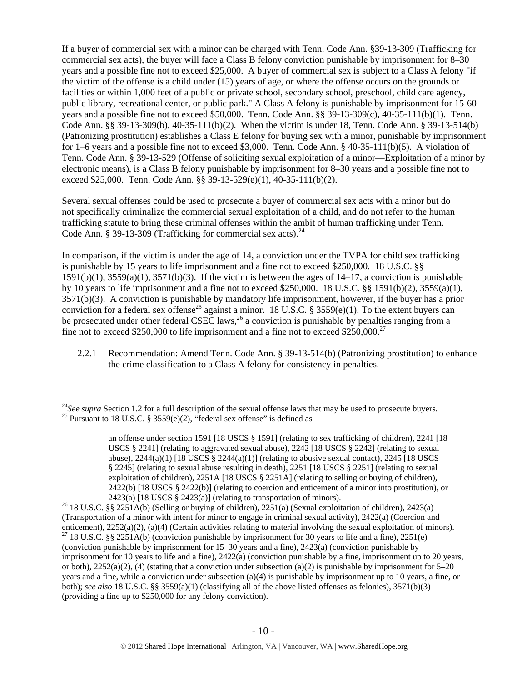If a buyer of commercial sex with a minor can be charged with Tenn. Code Ann. §39-13-309 (Trafficking for commercial sex acts), the buyer will face a Class B felony conviction punishable by imprisonment for 8–30 years and a possible fine not to exceed \$25,000. A buyer of commercial sex is subject to a Class A felony "if the victim of the offense is a child under (15) years of age, or where the offense occurs on the grounds or facilities or within 1,000 feet of a public or private school, secondary school, preschool, child care agency, public library, recreational center, or public park." A Class A felony is punishable by imprisonment for 15-60 years and a possible fine not to exceed \$50,000. Tenn. Code Ann. §§ 39-13-309(c), 40-35-111(b)(1). Tenn. Code Ann. §§ 39-13-309(b), 40-35-111(b)(2). When the victim is under 18, Tenn. Code Ann. § 39-13-514(b) (Patronizing prostitution) establishes a Class E felony for buying sex with a minor, punishable by imprisonment for 1–6 years and a possible fine not to exceed \$3,000. Tenn. Code Ann. § 40-35-111(b)(5). A violation of Tenn. Code Ann. § 39-13-529 (Offense of soliciting sexual exploitation of a minor—Exploitation of a minor by electronic means), is a Class B felony punishable by imprisonment for 8–30 years and a possible fine not to exceed \$25,000. Tenn. Code Ann. §§ 39-13-529(e)(1), 40-35-111(b)(2).

Several sexual offenses could be used to prosecute a buyer of commercial sex acts with a minor but do not specifically criminalize the commercial sexual exploitation of a child, and do not refer to the human trafficking statute to bring these criminal offenses within the ambit of human trafficking under Tenn. Code Ann. § 39-13-309 (Trafficking for commercial sex acts). $^{24}$ 

In comparison, if the victim is under the age of 14, a conviction under the TVPA for child sex trafficking is punishable by 15 years to life imprisonment and a fine not to exceed \$250,000. 18 U.S.C. §§  $1591(b)(1)$ ,  $3559(a)(1)$ ,  $3571(b)(3)$ . If the victim is between the ages of  $14-17$ , a conviction is punishable by 10 years to life imprisonment and a fine not to exceed \$250,000. 18 U.S.C. §§ 1591(b)(2), 3559(a)(1), 3571(b)(3). A conviction is punishable by mandatory life imprisonment, however, if the buyer has a prior conviction for a federal sex offense<sup>25</sup> against a minor. 18 U.S.C. § 3559(e)(1). To the extent buyers can be prosecuted under other federal CSEC laws,  $^{26}$  a conviction is punishable by penalties ranging from a fine not to exceed \$250,000 to life imprisonment and a fine not to exceed \$250,000.<sup>27</sup>

2.2.1 Recommendation: Amend Tenn. Code Ann. § 39-13-514(b) (Patronizing prostitution) to enhance the crime classification to a Class A felony for consistency in penalties.

<sup>&</sup>lt;sup>24</sup>*See supra* Section 1.2 for a full description of the sexual offense laws that may be used to prosecute buyers. <sup>25</sup> Pursuant to 18 U.S.C. § 3559(e)(2), "federal sex offense" is defined as

an offense under section 1591 [18 USCS § 1591] (relating to sex trafficking of children), 2241 [18 USCS § 2241] (relating to aggravated sexual abuse), 2242 [18 USCS § 2242] (relating to sexual abuse),  $2244(a)(1)$  [18 USCS §  $2244(a)(1)$ ] (relating to abusive sexual contact),  $2245$  [18 USCS § 2245] (relating to sexual abuse resulting in death), 2251 [18 USCS § 2251] (relating to sexual exploitation of children), 2251A [18 USCS § 2251A] (relating to selling or buying of children), 2422(b) [18 USCS § 2422(b)] (relating to coercion and enticement of a minor into prostitution), or

<sup>2423(</sup>a) [18 USCS § 2423(a)] (relating to transportation of minors).<br><sup>26</sup> 18 U.S.C. §§ 2251A(b) (Selling or buying of children), 2251(a) (Sexual exploitation of children), 2423(a) (Transportation of a minor with intent for minor to engage in criminal sexual activity),  $2422(a)$  (Coercion and enticement),  $2252(a)(2)$ ,  $(a)(4)$  (Certain activities relating to material involving the sexual exploitation of <sup>27</sup> 18 U.S.C. §§ 2251A(b) (conviction punishable by imprisonment for 30 years to life and a fine), 2251(e) (conviction punishable by imprisonment for 15–30 years and a fine), 2423(a) (conviction punishable by imprisonment for 10 years to life and a fine), 2422(a) (conviction punishable by a fine, imprisonment up to 20 years, or both),  $2252(a)(2)$ , (4) (stating that a conviction under subsection (a)(2) is punishable by imprisonment for 5–20 years and a fine, while a conviction under subsection (a)(4) is punishable by imprisonment up to 10 years, a fine, or both); *see also* 18 U.S.C. §§ 3559(a)(1) (classifying all of the above listed offenses as felonies), 3571(b)(3) (providing a fine up to \$250,000 for any felony conviction).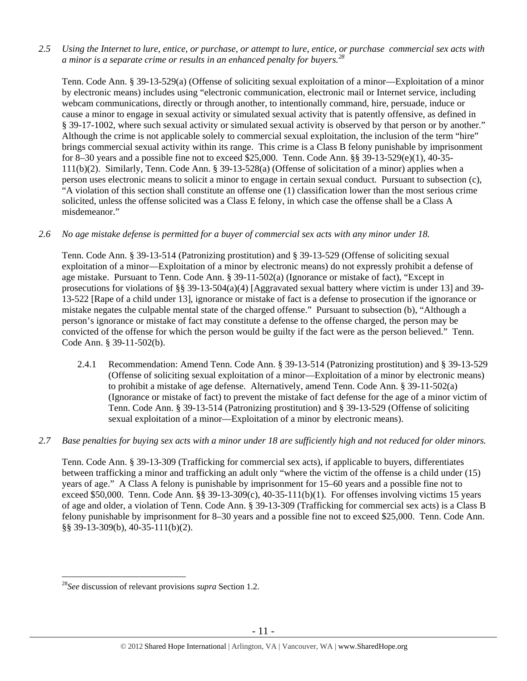*2.5 Using the Internet to lure, entice, or purchase, or attempt to lure, entice, or purchase commercial sex acts with a minor is a separate crime or results in an enhanced penalty for buyers.<sup>28</sup>*

Tenn. Code Ann. § 39-13-529(a) (Offense of soliciting sexual exploitation of a minor—Exploitation of a minor by electronic means) includes using "electronic communication, electronic mail or Internet service, including webcam communications, directly or through another, to intentionally command, hire, persuade, induce or cause a minor to engage in sexual activity or simulated sexual activity that is patently offensive, as defined in § 39-17-1002, where such sexual activity or simulated sexual activity is observed by that person or by another." Although the crime is not applicable solely to commercial sexual exploitation, the inclusion of the term "hire" brings commercial sexual activity within its range. This crime is a Class B felony punishable by imprisonment for 8–30 years and a possible fine not to exceed \$25,000. Tenn. Code Ann. §§ 39-13-529(e)(1), 40-35- 111(b)(2). Similarly, Tenn. Code Ann. § 39-13-528(a) (Offense of solicitation of a minor) applies when a person uses electronic means to solicit a minor to engage in certain sexual conduct. Pursuant to subsection (c), "A violation of this section shall constitute an offense one (1) classification lower than the most serious crime solicited, unless the offense solicited was a Class E felony, in which case the offense shall be a Class A misdemeanor."

#### *2.6 No age mistake defense is permitted for a buyer of commercial sex acts with any minor under 18.*

Tenn. Code Ann. § 39-13-514 (Patronizing prostitution) and § 39-13-529 (Offense of soliciting sexual exploitation of a minor—Exploitation of a minor by electronic means) do not expressly prohibit a defense of age mistake. Pursuant to Tenn. Code Ann. § 39-11-502(a) (Ignorance or mistake of fact), "Except in prosecutions for violations of §§ 39-13-504(a)(4) [Aggravated sexual battery where victim is under 13] and 39- 13-522 [Rape of a child under 13], ignorance or mistake of fact is a defense to prosecution if the ignorance or mistake negates the culpable mental state of the charged offense." Pursuant to subsection (b), "Although a person's ignorance or mistake of fact may constitute a defense to the offense charged, the person may be convicted of the offense for which the person would be guilty if the fact were as the person believed." Tenn. Code Ann. § 39-11-502(b).

2.4.1 Recommendation: Amend Tenn. Code Ann. § 39-13-514 (Patronizing prostitution) and § 39-13-529 (Offense of soliciting sexual exploitation of a minor—Exploitation of a minor by electronic means) to prohibit a mistake of age defense. Alternatively, amend Tenn. Code Ann. § 39-11-502(a) (Ignorance or mistake of fact) to prevent the mistake of fact defense for the age of a minor victim of Tenn. Code Ann. § 39-13-514 (Patronizing prostitution) and § 39-13-529 (Offense of soliciting sexual exploitation of a minor—Exploitation of a minor by electronic means).

#### *2.7 Base penalties for buying sex acts with a minor under 18 are sufficiently high and not reduced for older minors.*

Tenn. Code Ann. § 39-13-309 (Trafficking for commercial sex acts), if applicable to buyers, differentiates between trafficking a minor and trafficking an adult only "where the victim of the offense is a child under (15) years of age." A Class A felony is punishable by imprisonment for 15–60 years and a possible fine not to exceed \$50,000. Tenn. Code Ann. §§ 39-13-309 $(c)$ , 40-35-111 $(b)(1)$ . For offenses involving victims 15 years of age and older, a violation of Tenn. Code Ann. § 39-13-309 (Trafficking for commercial sex acts) is a Class B felony punishable by imprisonment for 8–30 years and a possible fine not to exceed \$25,000. Tenn. Code Ann. §§ 39-13-309(b), 40-35-111(b)(2).

<sup>28</sup>*See* discussion of relevant provisions *supra* Section 1.2.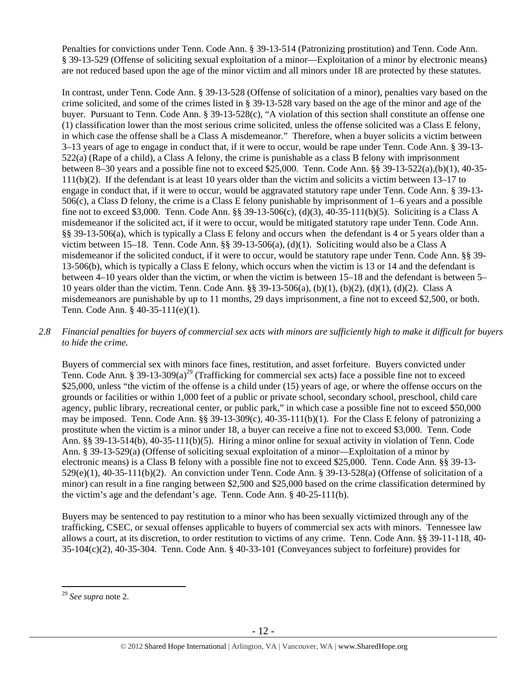Penalties for convictions under Tenn. Code Ann. § 39-13-514 (Patronizing prostitution) and Tenn. Code Ann. § 39-13-529 (Offense of soliciting sexual exploitation of a minor—Exploitation of a minor by electronic means) are not reduced based upon the age of the minor victim and all minors under 18 are protected by these statutes.

In contrast, under Tenn. Code Ann. § 39-13-528 (Offense of solicitation of a minor), penalties vary based on the crime solicited, and some of the crimes listed in § 39-13-528 vary based on the age of the minor and age of the buyer. Pursuant to Tenn. Code Ann. § 39-13-528(c), "A violation of this section shall constitute an offense one (1) classification lower than the most serious crime solicited, unless the offense solicited was a Class E felony, in which case the offense shall be a Class A misdemeanor." Therefore, when a buyer solicits a victim between 3–13 years of age to engage in conduct that, if it were to occur, would be rape under Tenn. Code Ann. § 39-13- 522(a) (Rape of a child), a Class A felony, the crime is punishable as a class B felony with imprisonment between 8–30 years and a possible fine not to exceed \$25,000. Tenn. Code Ann. §§ 39-13-522(a),(b)(1), 40-35- 111(b)(2). If the defendant is at least 10 years older than the victim and solicits a victim between 13–17 to engage in conduct that, if it were to occur, would be aggravated statutory rape under Tenn. Code Ann. § 39-13- 506(c), a Class D felony, the crime is a Class E felony punishable by imprisonment of 1–6 years and a possible fine not to exceed \$3,000. Tenn. Code Ann. §§ 39-13-506(c), (d)(3), 40-35-111(b)(5). Soliciting is a Class A misdemeanor if the solicited act, if it were to occur, would be mitigated statutory rape under Tenn. Code Ann. §§ 39-13-506(a), which is typically a Class E felony and occurs when the defendant is 4 or 5 years older than a victim between 15–18. Tenn. Code Ann. §§ 39-13-506(a), (d)(1). Soliciting would also be a Class A misdemeanor if the solicited conduct, if it were to occur, would be statutory rape under Tenn. Code Ann. §§ 39- 13-506(b), which is typically a Class E felony, which occurs when the victim is 13 or 14 and the defendant is between 4–10 years older than the victim, or when the victim is between 15–18 and the defendant is between 5– 10 years older than the victim. Tenn. Code Ann. §§ 39-13-506(a), (b)(1), (b)(2), (d)(1), (d)(2). Class A misdemeanors are punishable by up to 11 months, 29 days imprisonment, a fine not to exceed \$2,500, or both. Tenn. Code Ann. § 40-35-111(e)(1).

## *2.8 Financial penalties for buyers of commercial sex acts with minors are sufficiently high to make it difficult for buyers to hide the crime.*

Buyers of commercial sex with minors face fines, restitution, and asset forfeiture. Buyers convicted under Tenn. Code Ann. § 39-13-309(a)<sup>29</sup> (Trafficking for commercial sex acts) face a possible fine not to exceed \$25,000, unless "the victim of the offense is a child under (15) years of age, or where the offense occurs on the grounds or facilities or within 1,000 feet of a public or private school, secondary school, preschool, child care agency, public library, recreational center, or public park," in which case a possible fine not to exceed \$50,000 may be imposed. Tenn. Code Ann. §§ 39-13-309(c), 40-35-111(b)(1). For the Class E felony of patronizing a prostitute when the victim is a minor under 18, a buyer can receive a fine not to exceed \$3,000. Tenn. Code Ann. §§ 39-13-514(b), 40-35-111(b)(5). Hiring a minor online for sexual activity in violation of Tenn. Code Ann. § 39-13-529(a) (Offense of soliciting sexual exploitation of a minor—Exploitation of a minor by electronic means) is a Class B felony with a possible fine not to exceed \$25,000. Tenn. Code Ann. §§ 39-13- 529(e)(1), 40-35-111(b)(2). An conviction under Tenn. Code Ann. § 39-13-528(a) (Offense of solicitation of a minor) can result in a fine ranging between \$2,500 and \$25,000 based on the crime classification determined by the victim's age and the defendant's age. Tenn. Code Ann. § 40-25-111(b).

Buyers may be sentenced to pay restitution to a minor who has been sexually victimized through any of the trafficking, CSEC, or sexual offenses applicable to buyers of commercial sex acts with minors. Tennessee law allows a court, at its discretion, to order restitution to victims of any crime. Tenn. Code Ann. §§ 39-11-118, 40- 35-104(c)(2), 40-35-304. Tenn. Code Ann. § 40-33-101 (Conveyances subject to forfeiture) provides for

<sup>29</sup> *See supra* note 2.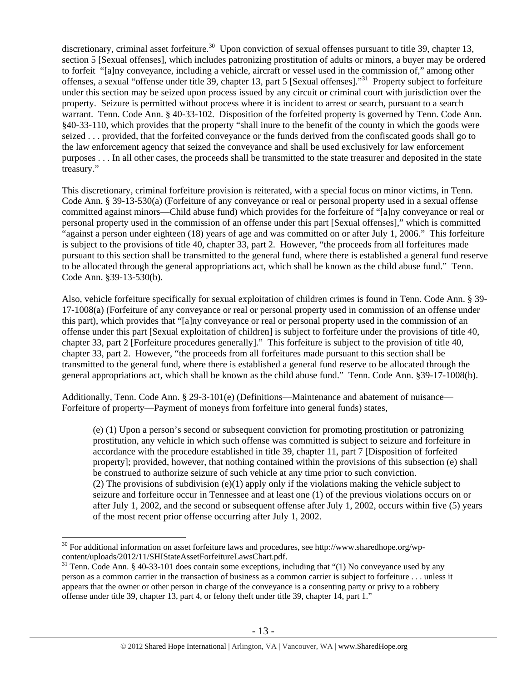discretionary, criminal asset forfeiture.<sup>30</sup> Upon conviction of sexual offenses pursuant to title 39, chapter 13, section 5 [Sexual offenses], which includes patronizing prostitution of adults or minors, a buyer may be ordered to forfeit "[a]ny conveyance, including a vehicle, aircraft or vessel used in the commission of," among other offenses, a sexual "offense under title 39, chapter 13, part 5 [Sexual offenses]."31 Property subject to forfeiture under this section may be seized upon process issued by any circuit or criminal court with jurisdiction over the property. Seizure is permitted without process where it is incident to arrest or search, pursuant to a search warrant. Tenn. Code Ann. § 40-33-102. Disposition of the forfeited property is governed by Tenn. Code Ann. §40-33-110, which provides that the property "shall inure to the benefit of the county in which the goods were seized . . . provided, that the forfeited conveyance or the funds derived from the confiscated goods shall go to the law enforcement agency that seized the conveyance and shall be used exclusively for law enforcement purposes . . . In all other cases, the proceeds shall be transmitted to the state treasurer and deposited in the state treasury."

This discretionary, criminal forfeiture provision is reiterated, with a special focus on minor victims, in Tenn. Code Ann. § 39-13-530(a) (Forfeiture of any conveyance or real or personal property used in a sexual offense committed against minors—Child abuse fund) which provides for the forfeiture of "[a]ny conveyance or real or personal property used in the commission of an offense under this part [Sexual offenses]," which is committed "against a person under eighteen (18) years of age and was committed on or after July 1, 2006." This forfeiture is subject to the provisions of title 40, chapter 33, part 2. However, "the proceeds from all forfeitures made pursuant to this section shall be transmitted to the general fund, where there is established a general fund reserve to be allocated through the general appropriations act, which shall be known as the child abuse fund." Tenn. Code Ann. §39-13-530(b).

Also, vehicle forfeiture specifically for sexual exploitation of children crimes is found in Tenn. Code Ann. § 39- 17-1008(a) (Forfeiture of any conveyance or real or personal property used in commission of an offense under this part), which provides that "[a]ny conveyance or real or personal property used in the commission of an offense under this part [Sexual exploitation of children] is subject to forfeiture under the provisions of title 40, chapter 33, part 2 [Forfeiture procedures generally]." This forfeiture is subject to the provision of title 40, chapter 33, part 2. However, "the proceeds from all forfeitures made pursuant to this section shall be transmitted to the general fund, where there is established a general fund reserve to be allocated through the general appropriations act, which shall be known as the child abuse fund." Tenn. Code Ann. §39-17-1008(b).

Additionally, Tenn. Code Ann. § 29-3-101(e) (Definitions—Maintenance and abatement of nuisance— Forfeiture of property—Payment of moneys from forfeiture into general funds) states,

(e) (1) Upon a person's second or subsequent conviction for promoting prostitution or patronizing prostitution, any vehicle in which such offense was committed is subject to seizure and forfeiture in accordance with the procedure established in title 39, chapter 11, part 7 [Disposition of forfeited property]; provided, however, that nothing contained within the provisions of this subsection (e) shall be construed to authorize seizure of such vehicle at any time prior to such conviction. (2) The provisions of subdivision  $(e)(1)$  apply only if the violations making the vehicle subject to seizure and forfeiture occur in Tennessee and at least one (1) of the previous violations occurs on or after July 1, 2002, and the second or subsequent offense after July 1, 2002, occurs within five (5) years of the most recent prior offense occurring after July 1, 2002.

 $30$  For additional information on asset forfeiture laws and procedures, see http://www.sharedhope.org/wpcontent/uploads/2012/11/SHIStateAssetForfeitureLawsChart.pdf.<br><sup>31</sup> Tenn. Code Ann. § 40-33-101 does contain some exceptions, including that "(1) No conveyance used by any

person as a common carrier in the transaction of business as a common carrier is subject to forfeiture . . . unless it appears that the owner or other person in charge of the conveyance is a consenting party or privy to a robbery offense under title 39, chapter 13, part 4, or felony theft under title 39, chapter 14, part 1."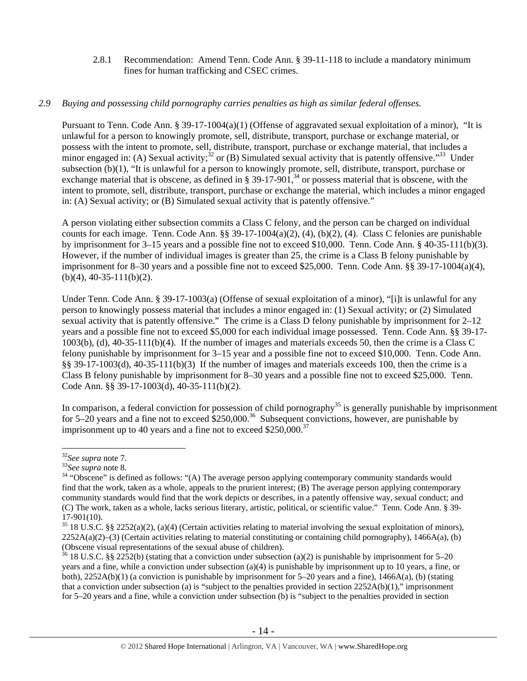2.8.1 Recommendation: Amend Tenn. Code Ann. § 39-11-118 to include a mandatory minimum fines for human trafficking and CSEC crimes.

#### *2.9 Buying and possessing child pornography carries penalties as high as similar federal offenses.*

Pursuant to Tenn. Code Ann. § 39-17-1004(a)(1) (Offense of aggravated sexual exploitation of a minor), "It is unlawful for a person to knowingly promote, sell, distribute, transport, purchase or exchange material, or possess with the intent to promote, sell, distribute, transport, purchase or exchange material, that includes a minor engaged in: (A) Sexual activity;<sup>32</sup> or (B) Simulated sexual activity that is patently offensive.<sup>33</sup> Under subsection (b)(1), "It is unlawful for a person to knowingly promote, sell, distribute, transport, purchase or exchange material that is obscene, as defined in  $\S 39-17-901$ ,<sup>34</sup> or possess material that is obscene, with the intent to promote, sell, distribute, transport, purchase or exchange the material, which includes a minor engaged in: (A) Sexual activity; or (B) Simulated sexual activity that is patently offensive."

A person violating either subsection commits a Class C felony, and the person can be charged on individual counts for each image. Tenn. Code Ann. §§ 39-17-1004(a)(2), (4), (b)(2), (4). Class C felonies are punishable by imprisonment for 3–15 years and a possible fine not to exceed \$10,000. Tenn. Code Ann. § 40-35-111(b)(3). However, if the number of individual images is greater than 25, the crime is a Class B felony punishable by imprisonment for 8–30 years and a possible fine not to exceed \$25,000. Tenn. Code Ann.  $\S$ § 39-17-1004(a)(4),  $(b)(4)$ , 40-35-111(b)(2).

Under Tenn. Code Ann. § 39-17-1003(a) (Offense of sexual exploitation of a minor), "[i]t is unlawful for any person to knowingly possess material that includes a minor engaged in: (1) Sexual activity; or (2) Simulated sexual activity that is patently offensive." The crime is a Class D felony punishable by imprisonment for 2–12 years and a possible fine not to exceed \$5,000 for each individual image possessed. Tenn. Code Ann. §§ 39-17- 1003(b), (d), 40-35-111(b)(4). If the number of images and materials exceeds 50, then the crime is a Class C felony punishable by imprisonment for 3–15 year and a possible fine not to exceed \$10,000. Tenn. Code Ann. §§ 39-17-1003(d), 40-35-111(b)(3) If the number of images and materials exceeds 100, then the crime is a Class B felony punishable by imprisonment for 8–30 years and a possible fine not to exceed \$25,000. Tenn. Code Ann. §§ 39-17-1003(d), 40-35-111(b)(2).

In comparison, a federal conviction for possession of child pornography<sup>35</sup> is generally punishable by imprisonment for 5–20 years and a fine not to exceed \$250,000.<sup>36</sup> Subsequent convictions, however, are punishable by imprisonment up to 40 years and a fine not to exceed  $$250,000.<sup>37</sup>$ 

<sup>&</sup>lt;sup>32</sup>See supra note 7.<br><sup>33</sup>See supra note 8.<br><sup>34</sup> "Obscene" is defined as follows: "(A) The average person applying contemporary community standards would find that the work, taken as a whole, appeals to the prurient interest; (B) The average person applying contemporary community standards would find that the work depicts or describes, in a patently offensive way, sexual conduct; and (C) The work, taken as a whole, lacks serious literary, artistic, political, or scientific value." Tenn. Code Ann. § 39- 17-901(10).

 $35$  18 U.S.C. §§ 2252(a)(2), (a)(4) (Certain activities relating to material involving the sexual exploitation of minors),  $2252A(a)(2)$ –(3) (Certain activities relating to material constituting or containing child pornography), 1466A(a), (b) (Obscene visual representations of the sexual abuse of children).

<sup>&</sup>lt;sup>36</sup> 18 U.S.C. §§ 2252(b) (stating that a conviction under subsection (a)(2) is punishable by imprisonment for 5–20 years and a fine, while a conviction under subsection (a)(4) is punishable by imprisonment up to 10 years, a fine, or both), 2252A(b)(1) (a conviction is punishable by imprisonment for 5–20 years and a fine), 1466A(a), (b) (stating that a conviction under subsection (a) is "subject to the penalties provided in section 2252A(b)(1)," imprisonment for 5–20 years and a fine, while a conviction under subsection (b) is "subject to the penalties provided in section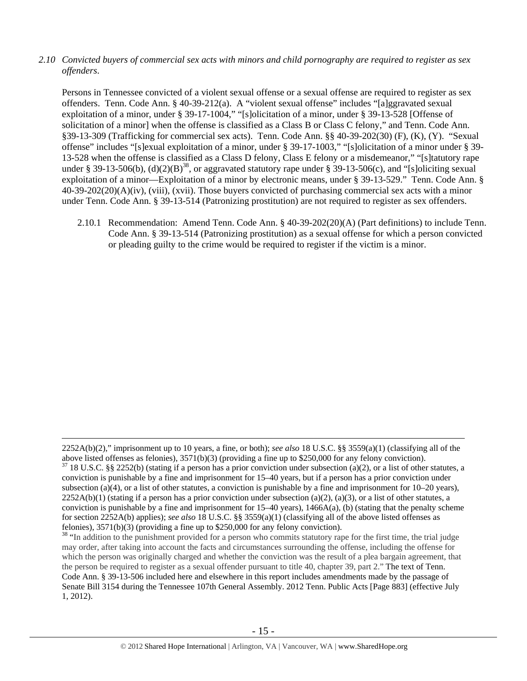*2.10 Convicted buyers of commercial sex acts with minors and child pornography are required to register as sex offenders*.

Persons in Tennessee convicted of a violent sexual offense or a sexual offense are required to register as sex offenders. Tenn. Code Ann. § 40-39-212(a). A "violent sexual offense" includes "[a]ggravated sexual exploitation of a minor, under § 39-17-1004," "[s]olicitation of a minor, under § 39-13-528 [Offense of solicitation of a minor] when the offense is classified as a Class B or Class C felony," and Tenn. Code Ann. §39-13-309 (Trafficking for commercial sex acts). Tenn. Code Ann. §§ 40-39-202(30) (F), (K), (Y). "Sexual offense" includes "[s]exual exploitation of a minor, under § 39-17-1003," "[s]olicitation of a minor under § 39- 13-528 when the offense is classified as a Class D felony, Class E felony or a misdemeanor," "[s]tatutory rape under § 39-13-506(b), (d)(2)(B)<sup>38</sup>, or aggravated statutory rape under § 39-13-506(c), and "[s]oliciting sexual exploitation of a minor—Exploitation of a minor by electronic means, under § 39-13-529." Tenn. Code Ann. § 40-39-202(20)(A)(iv), (viii), (xvii). Those buyers convicted of purchasing commercial sex acts with a minor under Tenn. Code Ann. § 39-13-514 (Patronizing prostitution) are not required to register as sex offenders.

2.10.1 Recommendation: Amend Tenn. Code Ann. § 40-39-202(20)(A) (Part definitions) to include Tenn. Code Ann. § 39-13-514 (Patronizing prostitution) as a sexual offense for which a person convicted or pleading guilty to the crime would be required to register if the victim is a minor.

 <sup>2252</sup>A(b)(2)," imprisonment up to 10 years, a fine, or both); *see also* 18 U.S.C. §§ 3559(a)(1) (classifying all of the above listed offenses as felonies), 3571(b)(3) (providing a fine up to \$250,000 for any felony conviction).

 $37$  18 U.S.C. §§ 2252(b) (stating if a person has a prior conviction under subsection (a)(2), or a list of other statutes, a conviction is punishable by a fine and imprisonment for 15–40 years, but if a person has a prior conviction under subsection (a)(4), or a list of other statutes, a conviction is punishable by a fine and imprisonment for  $10-20$  years),  $2252A(b)(1)$  (stating if a person has a prior conviction under subsection (a)(2), (a)(3), or a list of other statutes, a conviction is punishable by a fine and imprisonment for  $15-40$  years),  $1466A(a)$ , (b) (stating that the penalty scheme for section 2252A(b) applies); *see also* 18 U.S.C. §§ 3559(a)(1) (classifying all of the above listed offenses as felonies), 3571(b)(3) (providing a fine up to \$250,000 for any felony conviction).

<sup>&</sup>lt;sup>38</sup> "In addition to the punishment provided for a person who commits statutory rape for the first time, the trial judge may order, after taking into account the facts and circumstances surrounding the offense, including the offense for which the person was originally charged and whether the conviction was the result of a plea bargain agreement, that the person be required to register as a sexual offender pursuant to title 40, chapter 39, part 2." The text of Tenn. Code Ann. § 39-13-506 included here and elsewhere in this report includes amendments made by the passage of Senate Bill 3154 during the Tennessee 107th General Assembly. 2012 Tenn. Public Acts [Page 883] (effective July 1, 2012).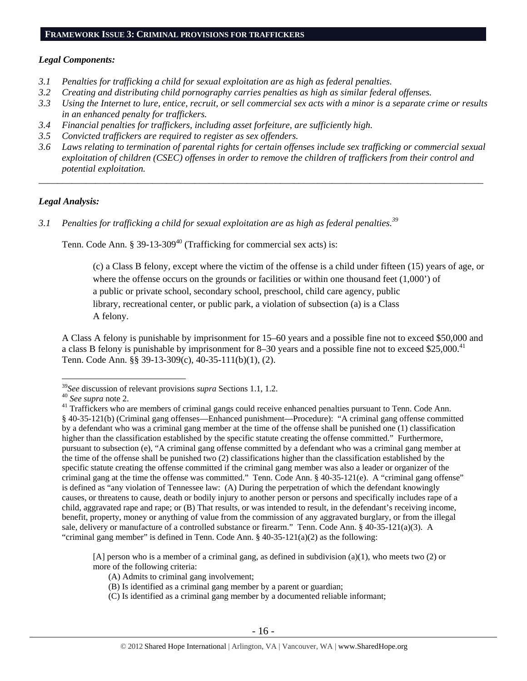## *Legal Components:*

- *3.1 Penalties for trafficking a child for sexual exploitation are as high as federal penalties.*
- *3.2 Creating and distributing child pornography carries penalties as high as similar federal offenses.*
- *3.3 Using the Internet to lure, entice, recruit, or sell commercial sex acts with a minor is a separate crime or results in an enhanced penalty for traffickers.*
- *3.4 Financial penalties for traffickers, including asset forfeiture, are sufficiently high.*
- *3.5 Convicted traffickers are required to register as sex offenders.*
- *3.6 Laws relating to termination of parental rights for certain offenses include sex trafficking or commercial sexual exploitation of children (CSEC) offenses in order to remove the children of traffickers from their control and potential exploitation.*

*\_\_\_\_\_\_\_\_\_\_\_\_\_\_\_\_\_\_\_\_\_\_\_\_\_\_\_\_\_\_\_\_\_\_\_\_\_\_\_\_\_\_\_\_\_\_\_\_\_\_\_\_\_\_\_\_\_\_\_\_\_\_\_\_\_\_\_\_\_\_\_\_\_\_\_\_\_\_\_\_\_\_\_\_\_\_\_\_\_\_\_\_\_\_* 

# *Legal Analysis:*

*3.1 Penalties for trafficking a child for sexual exploitation are as high as federal penalties.<sup>39</sup>*

Tenn. Code Ann.  $\S 39-13-309^{40}$  (Trafficking for commercial sex acts) is:

(c) a Class B felony, except where the victim of the offense is a child under fifteen (15) years of age, or where the offense occurs on the grounds or facilities or within one thousand feet  $(1,000)$  of a public or private school, secondary school, preschool, child care agency, public library, recreational center, or public park, a violation of subsection (a) is a Class A felony.

A Class A felony is punishable by imprisonment for 15–60 years and a possible fine not to exceed \$50,000 and a class B felony is punishable by imprisonment for 8–30 years and a possible fine not to exceed  $$25,000$ .<sup>41</sup> Tenn. Code Ann. §§ 39-13-309(c), 40-35-111(b)(1), (2).

 $\overline{a}$ 

[A] person who is a member of a criminal gang, as defined in subdivision (a)(1), who meets two (2) or more of the following criteria:

<sup>&</sup>lt;sup>39</sup>See discussion of relevant provisions *supra* Sections 1.1, 1.2.<br><sup>40</sup> See supra note 2.<br><sup>41</sup> Traffickers who are members of criminal gangs could receive enhanced penalties pursuant to Tenn. Code Ann. § 40-35-121(b) (Criminal gang offenses—Enhanced punishment—Procedure): "A criminal gang offense committed by a defendant who was a criminal gang member at the time of the offense shall be punished one (1) classification higher than the classification established by the specific statute creating the offense committed." Furthermore, pursuant to subsection (e), "A criminal gang offense committed by a defendant who was a criminal gang member at the time of the offense shall be punished two (2) classifications higher than the classification established by the specific statute creating the offense committed if the criminal gang member was also a leader or organizer of the criminal gang at the time the offense was committed." Tenn. Code Ann. § 40-35-121(e). A "criminal gang offense" is defined as "any violation of Tennessee law: (A) During the perpetration of which the defendant knowingly causes, or threatens to cause, death or bodily injury to another person or persons and specifically includes rape of a child, aggravated rape and rape; or (B) That results, or was intended to result, in the defendant's receiving income, benefit, property, money or anything of value from the commission of any aggravated burglary, or from the illegal sale, delivery or manufacture of a controlled substance or firearm." Tenn. Code Ann. § 40-35-121(a)(3). A "criminal gang member" is defined in Tenn. Code Ann.  $\S$  40-35-121(a)(2) as the following:

<sup>(</sup>A) Admits to criminal gang involvement;

<sup>(</sup>B) Is identified as a criminal gang member by a parent or guardian;

<sup>(</sup>C) Is identified as a criminal gang member by a documented reliable informant;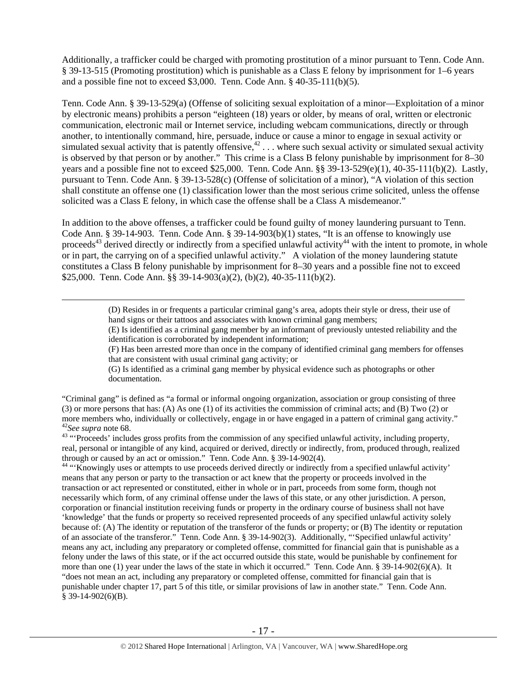Additionally, a trafficker could be charged with promoting prostitution of a minor pursuant to Tenn. Code Ann. § 39-13-515 (Promoting prostitution) which is punishable as a Class E felony by imprisonment for 1–6 years and a possible fine not to exceed \$3,000. Tenn. Code Ann. § 40-35-111(b)(5).

Tenn. Code Ann. § 39-13-529(a) (Offense of soliciting sexual exploitation of a minor—Exploitation of a minor by electronic means) prohibits a person "eighteen (18) years or older, by means of oral, written or electronic communication, electronic mail or Internet service, including webcam communications, directly or through another, to intentionally command, hire, persuade, induce or cause a minor to engage in sexual activity or simulated sexual activity that is patently offensive,  $42 \ldots$  where such sexual activity or simulated sexual activity is observed by that person or by another." This crime is a Class B felony punishable by imprisonment for 8–30 years and a possible fine not to exceed \$25,000. Tenn. Code Ann. §§ 39-13-529(e)(1), 40-35-111(b)(2). Lastly, pursuant to Tenn. Code Ann. § 39-13-528(c) (Offense of solicitation of a minor), "A violation of this section shall constitute an offense one (1) classification lower than the most serious crime solicited, unless the offense solicited was a Class E felony, in which case the offense shall be a Class A misdemeanor."

In addition to the above offenses, a trafficker could be found guilty of money laundering pursuant to Tenn. Code Ann. § 39-14-903. Tenn. Code Ann. § 39-14-903(b)(1) states, "It is an offense to knowingly use proceeds<sup>43</sup> derived directly or indirectly from a specified unlawful activity<sup>44</sup> with the intent to promote, in whole or in part, the carrying on of a specified unlawful activity." A violation of the money laundering statute constitutes a Class B felony punishable by imprisonment for 8–30 years and a possible fine not to exceed \$25,000. Tenn. Code Ann. §§ 39-14-903(a)(2), (b)(2), 40-35-111(b)(2).

> (D) Resides in or frequents a particular criminal gang's area, adopts their style or dress, their use of hand signs or their tattoos and associates with known criminal gang members;

(E) Is identified as a criminal gang member by an informant of previously untested reliability and the identification is corroborated by independent information;

(F) Has been arrested more than once in the company of identified criminal gang members for offenses that are consistent with usual criminal gang activity; or

(G) Is identified as a criminal gang member by physical evidence such as photographs or other documentation.

"Criminal gang" is defined as "a formal or informal ongoing organization, association or group consisting of three (3) or more persons that has: (A) As one (1) of its activities the commission of criminal acts; and (B) Two (2) or more members who, individually or collectively, engage in or have engaged in a pattern of criminal gang activity."<br><sup>42</sup>See supra note 68.

<sup>43</sup> "Proceeds' includes gross profits from the commission of any specified unlawful activity, including property, real, personal or intangible of any kind, acquired or derived, directly or indirectly, from, produced through, realized through or caused by an act or omission." Tenn. Code Ann. § 39-14-902(4).

<sup>44</sup> "Knowingly uses or attempts to use proceeds derived directly or indirectly from a specified unlawful activity' means that any person or party to the transaction or act knew that the property or proceeds involved in the transaction or act represented or constituted, either in whole or in part, proceeds from some form, though not necessarily which form, of any criminal offense under the laws of this state, or any other jurisdiction. A person, corporation or financial institution receiving funds or property in the ordinary course of business shall not have 'knowledge' that the funds or property so received represented proceeds of any specified unlawful activity solely because of: (A) The identity or reputation of the transferor of the funds or property; or (B) The identity or reputation of an associate of the transferor." Tenn. Code Ann. § 39-14-902(3). Additionally, "'Specified unlawful activity' means any act, including any preparatory or completed offense, committed for financial gain that is punishable as a felony under the laws of this state, or if the act occurred outside this state, would be punishable by confinement for more than one (1) year under the laws of the state in which it occurred." Tenn. Code Ann. § 39-14-902(6)(A). It "does not mean an act, including any preparatory or completed offense, committed for financial gain that is punishable under chapter 17, part 5 of this title, or similar provisions of law in another state." Tenn. Code Ann. § 39-14-902(6)(B).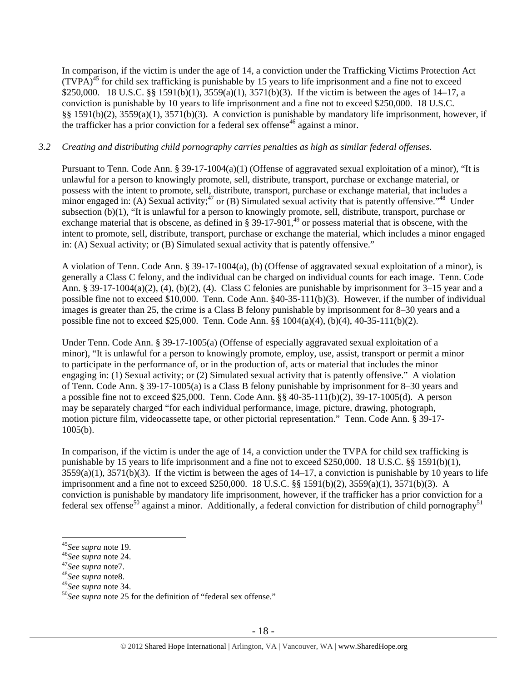In comparison, if the victim is under the age of 14, a conviction under the Trafficking Victims Protection Act  $(TVPA)^{45}$  for child sex trafficking is punishable by 15 years to life imprisonment and a fine not to exceed \$250,000. 18 U.S.C. §§ 1591(b)(1), 3559(a)(1), 3571(b)(3). If the victim is between the ages of 14–17, a conviction is punishable by 10 years to life imprisonment and a fine not to exceed \$250,000. 18 U.S.C. §§ 1591(b)(2), 3559(a)(1), 3571(b)(3). A conviction is punishable by mandatory life imprisonment, however, if the trafficker has a prior conviction for a federal sex offense<sup>46</sup> against a minor.

# *3.2 Creating and distributing child pornography carries penalties as high as similar federal offenses*.

Pursuant to Tenn. Code Ann. § 39-17-1004(a)(1) (Offense of aggravated sexual exploitation of a minor), "It is unlawful for a person to knowingly promote, sell, distribute, transport, purchase or exchange material, or possess with the intent to promote, sell, distribute, transport, purchase or exchange material, that includes a minor engaged in: (A) Sexual activity;<sup>47</sup> or (B) Simulated sexual activity that is patently offensive.<sup> $348$ </sup> Under subsection (b)(1), "It is unlawful for a person to knowingly promote, sell, distribute, transport, purchase or exchange material that is obscene, as defined in  $\S 39-17-901$ ,<sup>49</sup> or possess material that is obscene, with the intent to promote, sell, distribute, transport, purchase or exchange the material, which includes a minor engaged in: (A) Sexual activity; or (B) Simulated sexual activity that is patently offensive."

A violation of Tenn. Code Ann. § 39-17-1004(a), (b) (Offense of aggravated sexual exploitation of a minor), is generally a Class C felony, and the individual can be charged on individual counts for each image. Tenn. Code Ann. § 39-17-1004(a)(2), (4), (b)(2), (4). Class C felonies are punishable by imprisonment for 3–15 year and a possible fine not to exceed \$10,000. Tenn. Code Ann. §40-35-111(b)(3). However, if the number of individual images is greater than 25, the crime is a Class B felony punishable by imprisonment for 8–30 years and a possible fine not to exceed \$25,000. Tenn. Code Ann. §§ 1004(a)(4), (b)(4), 40-35-111(b)(2).

Under Tenn. Code Ann. § 39-17-1005(a) (Offense of especially aggravated sexual exploitation of a minor), "It is unlawful for a person to knowingly promote, employ, use, assist, transport or permit a minor to participate in the performance of, or in the production of, acts or material that includes the minor engaging in: (1) Sexual activity; or (2) Simulated sexual activity that is patently offensive." A violation of Tenn. Code Ann. § 39-17-1005(a) is a Class B felony punishable by imprisonment for 8–30 years and a possible fine not to exceed \$25,000. Tenn. Code Ann. §§ 40-35-111(b)(2), 39-17-1005(d). A person may be separately charged "for each individual performance, image, picture, drawing, photograph, motion picture film, videocassette tape, or other pictorial representation." Tenn. Code Ann. § 39-17- 1005(b).

In comparison, if the victim is under the age of 14, a conviction under the TVPA for child sex trafficking is punishable by 15 years to life imprisonment and a fine not to exceed \$250,000. 18 U.S.C. §§ 1591(b)(1),  $3559(a)(1)$ ,  $3571(b)(3)$ . If the victim is between the ages of  $14-17$ , a conviction is punishable by 10 years to life imprisonment and a fine not to exceed \$250,000. 18 U.S.C. §§ 1591(b)(2), 3559(a)(1), 3571(b)(3). A conviction is punishable by mandatory life imprisonment, however, if the trafficker has a prior conviction for a federal sex offense<sup>50</sup> against a minor. Additionally, a federal conviction for distribution of child pornography<sup>51</sup>

- 
- <sup>45</sup>*See supra* note 19. 46*See supra* note 24. 47*See supra* note7. 48*See supra* note8.
- 

<sup>&</sup>lt;sup>50</sup>See supra note 25 for the definition of "federal sex offense."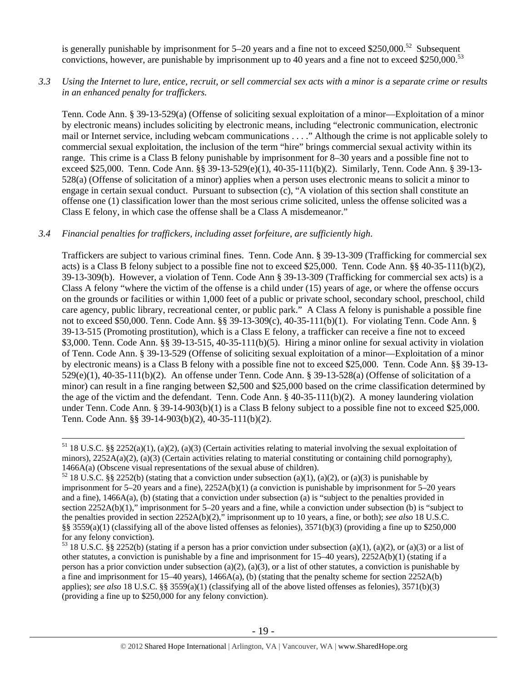is generally punishable by imprisonment for  $5-20$  years and a fine not to exceed \$250,000.<sup>52</sup> Subsequent convictions, however, are punishable by imprisonment up to 40 years and a fine not to exceed \$250,000.<sup>53</sup>

## *3.3 Using the Internet to lure, entice, recruit, or sell commercial sex acts with a minor is a separate crime or results in an enhanced penalty for traffickers.*

Tenn. Code Ann. § 39-13-529(a) (Offense of soliciting sexual exploitation of a minor—Exploitation of a minor by electronic means) includes soliciting by electronic means, including "electronic communication, electronic mail or Internet service, including webcam communications . . . ." Although the crime is not applicable solely to commercial sexual exploitation, the inclusion of the term "hire" brings commercial sexual activity within its range. This crime is a Class B felony punishable by imprisonment for 8–30 years and a possible fine not to exceed \$25,000. Tenn. Code Ann. §§ 39-13-529(e)(1), 40-35-111(b)(2). Similarly, Tenn. Code Ann. § 39-13- 528(a) (Offense of solicitation of a minor) applies when a person uses electronic means to solicit a minor to engage in certain sexual conduct. Pursuant to subsection (c), "A violation of this section shall constitute an offense one (1) classification lower than the most serious crime solicited, unless the offense solicited was a Class E felony, in which case the offense shall be a Class A misdemeanor."

## *3.4 Financial penalties for traffickers, including asset forfeiture, are sufficiently high*.

Traffickers are subject to various criminal fines. Tenn. Code Ann. § 39-13-309 (Trafficking for commercial sex acts) is a Class B felony subject to a possible fine not to exceed \$25,000. Tenn. Code Ann. §§ 40-35-111(b)(2), 39-13-309(b). However, a violation of Tenn. Code Ann § 39-13-309 (Trafficking for commercial sex acts) is a Class A felony "where the victim of the offense is a child under (15) years of age, or where the offense occurs on the grounds or facilities or within 1,000 feet of a public or private school, secondary school, preschool, child care agency, public library, recreational center, or public park." A Class A felony is punishable a possible fine not to exceed \$50,000. Tenn. Code Ann. §§ 39-13-309(c), 40-35-111(b)(1). For violating Tenn. Code Ann. § 39-13-515 (Promoting prostitution), which is a Class E felony, a trafficker can receive a fine not to exceed \$3,000. Tenn. Code Ann. §§ 39-13-515, 40-35-111(b)(5). Hiring a minor online for sexual activity in violation of Tenn. Code Ann. § 39-13-529 (Offense of soliciting sexual exploitation of a minor—Exploitation of a minor by electronic means) is a Class B felony with a possible fine not to exceed \$25,000. Tenn. Code Ann. §§ 39-13- 529(e)(1), 40-35-111(b)(2). An offense under Tenn. Code Ann. § 39-13-528(a) (Offense of solicitation of a minor) can result in a fine ranging between \$2,500 and \$25,000 based on the crime classification determined by the age of the victim and the defendant. Tenn. Code Ann. § 40-35-111(b)(2). A money laundering violation under Tenn. Code Ann. § 39-14-903(b)(1) is a Class B felony subject to a possible fine not to exceed \$25,000. Tenn. Code Ann. §§ 39-14-903(b)(2), 40-35-111(b)(2).

 $51$  18 U.S.C. §§ 2252(a)(1), (a)(2), (a)(3) (Certain activities relating to material involving the sexual exploitation of minors),  $2252A(a)(2)$ , (a)(3) (Certain activities relating to material constituting or containing child pornography),

<sup>1466</sup>A(a) (Obscene visual representations of the sexual abuse of children).<br><sup>52</sup> 18 U.S.C. §§ 2252(b) (stating that a conviction under subsection (a)(1), (a)(2), or (a)(3) is punishable by imprisonment for 5–20 years and a fine), 2252A(b)(1) (a conviction is punishable by imprisonment for 5–20 years and a fine), 1466A(a), (b) (stating that a conviction under subsection (a) is "subject to the penalties provided in section 2252A(b)(1)," imprisonment for 5–20 years and a fine, while a conviction under subsection (b) is "subject to the penalties provided in section 2252A(b)(2)," imprisonment up to 10 years, a fine, or both); *see also* 18 U.S.C. §§ 3559(a)(1) (classifying all of the above listed offenses as felonies),  $3571(b)(3)$  (providing a fine up to \$250,000 for any felony conviction).

<sup>&</sup>lt;sup>53</sup> 18 U.S.C. §§ 2252(b) (stating if a person has a prior conviction under subsection (a)(1), (a)(2), or (a)(3) or a list of other statutes, a conviction is punishable by a fine and imprisonment for 15–40 years), 2252A(b)(1) (stating if a person has a prior conviction under subsection (a)(2), (a)(3), or a list of other statutes, a conviction is punishable by a fine and imprisonment for  $15-40$  years),  $1466A(a)$ , (b) (stating that the penalty scheme for section  $2252A(b)$ applies); *see also* 18 U.S.C. §§ 3559(a)(1) (classifying all of the above listed offenses as felonies), 3571(b)(3) (providing a fine up to \$250,000 for any felony conviction).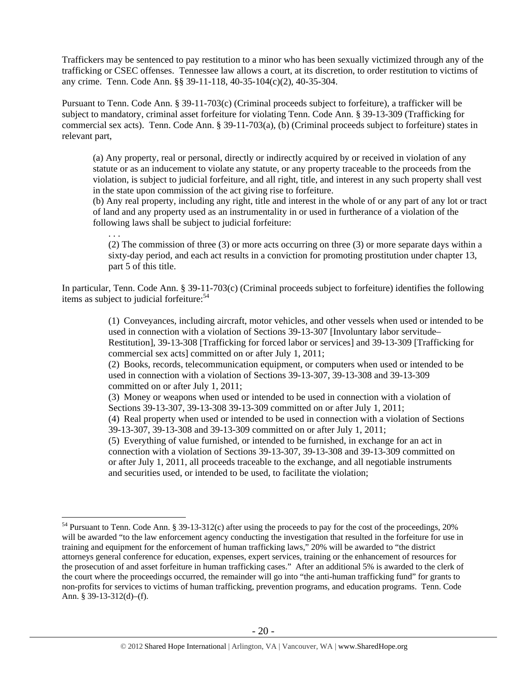Traffickers may be sentenced to pay restitution to a minor who has been sexually victimized through any of the trafficking or CSEC offenses. Tennessee law allows a court, at its discretion, to order restitution to victims of any crime. Tenn. Code Ann. §§ 39-11-118, 40-35-104(c)(2), 40-35-304.

Pursuant to Tenn. Code Ann. § 39-11-703(c) (Criminal proceeds subject to forfeiture), a trafficker will be subject to mandatory, criminal asset forfeiture for violating Tenn. Code Ann. § 39-13-309 (Trafficking for commercial sex acts). Tenn. Code Ann. § 39-11-703(a), (b) (Criminal proceeds subject to forfeiture) states in relevant part,

(a) Any property, real or personal, directly or indirectly acquired by or received in violation of any statute or as an inducement to violate any statute, or any property traceable to the proceeds from the violation, is subject to judicial forfeiture, and all right, title, and interest in any such property shall vest in the state upon commission of the act giving rise to forfeiture.

(b) Any real property, including any right, title and interest in the whole of or any part of any lot or tract of land and any property used as an instrumentality in or used in furtherance of a violation of the following laws shall be subject to judicial forfeiture:

 . . . (2) The commission of three (3) or more acts occurring on three (3) or more separate days within a sixty-day period, and each act results in a conviction for promoting prostitution under chapter 13, part 5 of this title.

In particular, Tenn. Code Ann. § 39-11-703(c) (Criminal proceeds subject to forfeiture) identifies the following items as subject to judicial forfeiture:<sup>54</sup>

> (1) Conveyances, including aircraft, motor vehicles, and other vessels when used or intended to be used in connection with a violation of Sections 39-13-307 [Involuntary labor servitude– Restitution], 39-13-308 [Trafficking for forced labor or services] and 39-13-309 [Trafficking for commercial sex acts] committed on or after July 1, 2011;

(2) Books, records, telecommunication equipment, or computers when used or intended to be used in connection with a violation of Sections 39-13-307, 39-13-308 and 39-13-309 committed on or after July 1, 2011;

(3) Money or weapons when used or intended to be used in connection with a violation of Sections 39-13-307, 39-13-308 39-13-309 committed on or after July 1, 2011;

(4) Real property when used or intended to be used in connection with a violation of Sections 39-13-307, 39-13-308 and 39-13-309 committed on or after July 1, 2011;

(5) Everything of value furnished, or intended to be furnished, in exchange for an act in connection with a violation of Sections 39-13-307, 39-13-308 and 39-13-309 committed on or after July 1, 2011, all proceeds traceable to the exchange, and all negotiable instruments and securities used, or intended to be used, to facilitate the violation;

<sup>&</sup>lt;sup>54</sup> Pursuant to Tenn. Code Ann. § 39-13-312(c) after using the proceeds to pay for the cost of the proceedings, 20% will be awarded "to the law enforcement agency conducting the investigation that resulted in the forfeiture for use in training and equipment for the enforcement of human trafficking laws," 20% will be awarded to "the district attorneys general conference for education, expenses, expert services, training or the enhancement of resources for the prosecution of and asset forfeiture in human trafficking cases." After an additional 5% is awarded to the clerk of the court where the proceedings occurred, the remainder will go into "the anti-human trafficking fund" for grants to non-profits for services to victims of human trafficking, prevention programs, and education programs. Tenn. Code Ann. § 39-13-312(d)–(f).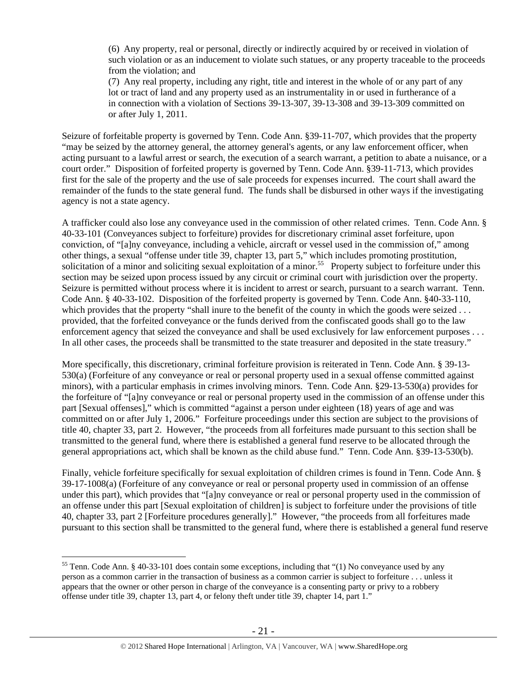(6) Any property, real or personal, directly or indirectly acquired by or received in violation of such violation or as an inducement to violate such statues, or any property traceable to the proceeds from the violation; and

(7) Any real property, including any right, title and interest in the whole of or any part of any lot or tract of land and any property used as an instrumentality in or used in furtherance of a in connection with a violation of Sections 39-13-307, 39-13-308 and 39-13-309 committed on or after July 1, 2011.

Seizure of forfeitable property is governed by Tenn. Code Ann. §39-11-707, which provides that the property "may be seized by the attorney general, the attorney general's agents, or any law enforcement officer, when acting pursuant to a lawful arrest or search, the execution of a search warrant, a petition to abate a nuisance, or a court order." Disposition of forfeited property is governed by Tenn. Code Ann. §39-11-713, which provides first for the sale of the property and the use of sale proceeds for expenses incurred. The court shall award the remainder of the funds to the state general fund. The funds shall be disbursed in other ways if the investigating agency is not a state agency.

A trafficker could also lose any conveyance used in the commission of other related crimes. Tenn. Code Ann. § 40-33-101 (Conveyances subject to forfeiture) provides for discretionary criminal asset forfeiture, upon conviction, of "[a]ny conveyance, including a vehicle, aircraft or vessel used in the commission of," among other things, a sexual "offense under title 39, chapter 13, part 5," which includes promoting prostitution, solicitation of a minor and soliciting sexual exploitation of a minor.<sup>55</sup> Property subject to forfeiture under this section may be seized upon process issued by any circuit or criminal court with jurisdiction over the property. Seizure is permitted without process where it is incident to arrest or search, pursuant to a search warrant. Tenn. Code Ann. § 40-33-102. Disposition of the forfeited property is governed by Tenn. Code Ann. §40-33-110, which provides that the property "shall inure to the benefit of the county in which the goods were seized . . . provided, that the forfeited conveyance or the funds derived from the confiscated goods shall go to the law enforcement agency that seized the conveyance and shall be used exclusively for law enforcement purposes . . . In all other cases, the proceeds shall be transmitted to the state treasurer and deposited in the state treasury."

More specifically, this discretionary, criminal forfeiture provision is reiterated in Tenn. Code Ann. § 39-13- 530(a) (Forfeiture of any conveyance or real or personal property used in a sexual offense committed against minors), with a particular emphasis in crimes involving minors. Tenn. Code Ann. §29-13-530(a) provides for the forfeiture of "[a]ny conveyance or real or personal property used in the commission of an offense under this part [Sexual offenses]," which is committed "against a person under eighteen (18) years of age and was committed on or after July 1, 2006." Forfeiture proceedings under this section are subject to the provisions of title 40, chapter 33, part 2. However, "the proceeds from all forfeitures made pursuant to this section shall be transmitted to the general fund, where there is established a general fund reserve to be allocated through the general appropriations act, which shall be known as the child abuse fund." Tenn. Code Ann. §39-13-530(b).

Finally, vehicle forfeiture specifically for sexual exploitation of children crimes is found in Tenn. Code Ann. § 39-17-1008(a) (Forfeiture of any conveyance or real or personal property used in commission of an offense under this part), which provides that "[a]ny conveyance or real or personal property used in the commission of an offense under this part [Sexual exploitation of children] is subject to forfeiture under the provisions of title 40, chapter 33, part 2 [Forfeiture procedures generally]." However, "the proceeds from all forfeitures made pursuant to this section shall be transmitted to the general fund, where there is established a general fund reserve

<sup>&</sup>lt;sup>55</sup> Tenn. Code Ann. § 40-33-101 does contain some exceptions, including that " $(1)$  No conveyance used by any person as a common carrier in the transaction of business as a common carrier is subject to forfeiture . . . unless it appears that the owner or other person in charge of the conveyance is a consenting party or privy to a robbery offense under title 39, chapter 13, part 4, or felony theft under title 39, chapter 14, part 1."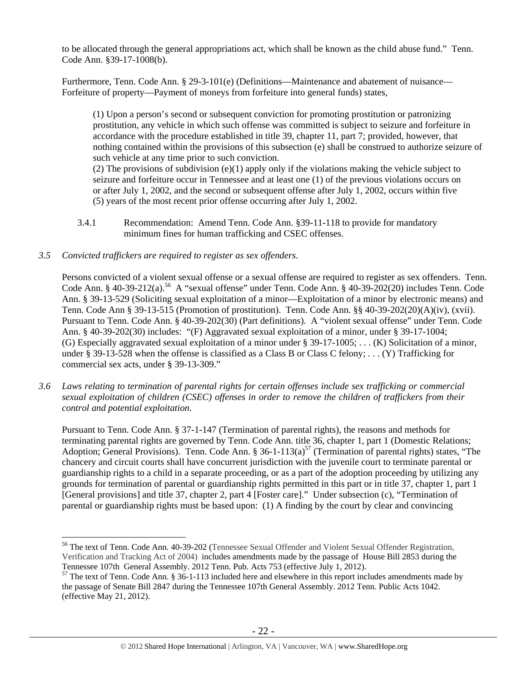to be allocated through the general appropriations act, which shall be known as the child abuse fund." Tenn. Code Ann. §39-17-1008(b).

Furthermore, Tenn. Code Ann. § 29-3-101(e) (Definitions—Maintenance and abatement of nuisance— Forfeiture of property—Payment of moneys from forfeiture into general funds) states,

(1) Upon a person's second or subsequent conviction for promoting prostitution or patronizing prostitution, any vehicle in which such offense was committed is subject to seizure and forfeiture in accordance with the procedure established in title 39, chapter 11, part 7; provided, however, that nothing contained within the provisions of this subsection (e) shall be construed to authorize seizure of such vehicle at any time prior to such conviction.

(2) The provisions of subdivision  $(e)(1)$  apply only if the violations making the vehicle subject to seizure and forfeiture occur in Tennessee and at least one (1) of the previous violations occurs on or after July 1, 2002, and the second or subsequent offense after July 1, 2002, occurs within five (5) years of the most recent prior offense occurring after July 1, 2002.

3.4.1 Recommendation: Amend Tenn. Code Ann. §39-11-118 to provide for mandatory minimum fines for human trafficking and CSEC offenses.

## *3.5 Convicted traffickers are required to register as sex offenders.*

 $\overline{a}$ 

Persons convicted of a violent sexual offense or a sexual offense are required to register as sex offenders. Tenn. Code Ann. § 40-39-212(a).<sup>56</sup> A "sexual offense" under Tenn. Code Ann. § 40-39-202(20) includes Tenn. Code Ann. § 39-13-529 (Soliciting sexual exploitation of a minor—Exploitation of a minor by electronic means) and Tenn. Code Ann § 39-13-515 (Promotion of prostitution). Tenn. Code Ann. §§ 40-39-202(20)(A)(iv), (xvii). Pursuant to Tenn. Code Ann. § 40-39-202(30) (Part definitions). A "violent sexual offense" under Tenn. Code Ann. § 40-39-202(30) includes: "(F) Aggravated sexual exploitation of a minor, under § 39-17-1004; (G) Especially aggravated sexual exploitation of a minor under § 39-17-1005; . . . (K) Solicitation of a minor, under § 39-13-528 when the offense is classified as a Class B or Class C felony; . . . (Y) Trafficking for commercial sex acts, under § 39-13-309."

*3.6 Laws relating to termination of parental rights for certain offenses include sex trafficking or commercial sexual exploitation of children (CSEC) offenses in order to remove the children of traffickers from their control and potential exploitation.* 

Pursuant to Tenn. Code Ann. § 37-1-147 (Termination of parental rights), the reasons and methods for terminating parental rights are governed by Tenn. Code Ann. title 36, chapter 1, part 1 (Domestic Relations; Adoption; General Provisions). Tenn. Code Ann. § 36-1-113(a)<sup>57</sup> (Termination of parental rights) states, "The chancery and circuit courts shall have concurrent jurisdiction with the juvenile court to terminate parental or guardianship rights to a child in a separate proceeding, or as a part of the adoption proceeding by utilizing any grounds for termination of parental or guardianship rights permitted in this part or in title 37, chapter 1, part 1 [General provisions] and title 37, chapter 2, part 4 [Foster care]." Under subsection (c), "Termination of parental or guardianship rights must be based upon: (1) A finding by the court by clear and convincing

<sup>56</sup> The text of Tenn. Code Ann. 40-39-202 (Tennessee Sexual Offender and Violent Sexual Offender Registration, Verification and Tracking Act of 2004) includes amendments made by the passage of House Bill 2853 during the Tennessee 107th General Assembly. 2012 Tenn. Pub. Acts 753 (effective July 1, 2012).

<sup>&</sup>lt;sup>57</sup> The text of Tenn. Code Ann. § 36-1-113 included here and elsewhere in this report includes amendments made by the passage of Senate Bill 2847 during the Tennessee 107th General Assembly. 2012 Tenn. Public Acts 1042. (effective May 21, 2012).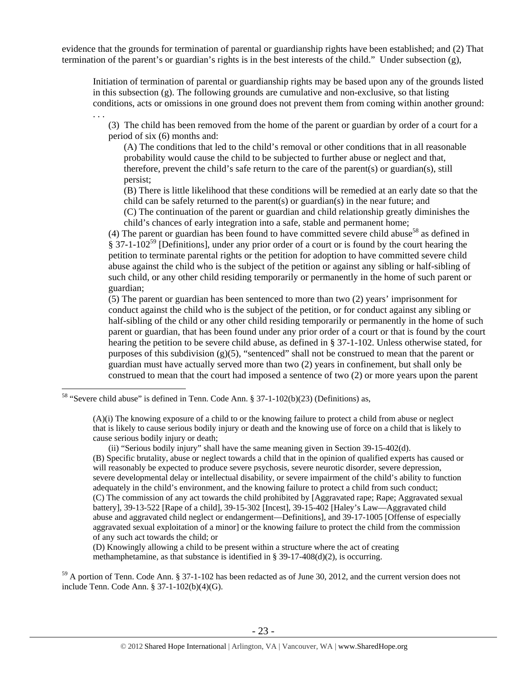evidence that the grounds for termination of parental or guardianship rights have been established; and (2) That termination of the parent's or guardian's rights is in the best interests of the child." Under subsection (g),

Initiation of termination of parental or guardianship rights may be based upon any of the grounds listed in this subsection (g). The following grounds are cumulative and non-exclusive, so that listing conditions, acts or omissions in one ground does not prevent them from coming within another ground:

(3) The child has been removed from the home of the parent or guardian by order of a court for a period of six (6) months and:

 (A) The conditions that led to the child's removal or other conditions that in all reasonable probability would cause the child to be subjected to further abuse or neglect and that, therefore, prevent the child's safe return to the care of the parent(s) or guardian(s), still persist;

 (B) There is little likelihood that these conditions will be remedied at an early date so that the child can be safely returned to the parent(s) or guardian(s) in the near future; and

 (C) The continuation of the parent or guardian and child relationship greatly diminishes the child's chances of early integration into a safe, stable and permanent home;

(4) The parent or guardian has been found to have committed severe child abuse<sup>58</sup> as defined in  $§$  37-1-102<sup>59</sup> [Definitions], under any prior order of a court or is found by the court hearing the petition to terminate parental rights or the petition for adoption to have committed severe child abuse against the child who is the subject of the petition or against any sibling or half-sibling of such child, or any other child residing temporarily or permanently in the home of such parent or guardian;

(5) The parent or guardian has been sentenced to more than two (2) years' imprisonment for conduct against the child who is the subject of the petition, or for conduct against any sibling or half-sibling of the child or any other child residing temporarily or permanently in the home of such parent or guardian, that has been found under any prior order of a court or that is found by the court hearing the petition to be severe child abuse, as defined in § 37-1-102. Unless otherwise stated, for purposes of this subdivision  $(g)(5)$ , "sentenced" shall not be construed to mean that the parent or guardian must have actually served more than two (2) years in confinement, but shall only be construed to mean that the court had imposed a sentence of two (2) or more years upon the parent

. . .

 $\overline{a}$ 

(ii) "Serious bodily injury" shall have the same meaning given in Section 39-15-402(d).

(B) Specific brutality, abuse or neglect towards a child that in the opinion of qualified experts has caused or will reasonably be expected to produce severe psychosis, severe neurotic disorder, severe depression, severe developmental delay or intellectual disability, or severe impairment of the child's ability to function adequately in the child's environment, and the knowing failure to protect a child from such conduct; (C) The commission of any act towards the child prohibited by [Aggravated rape; Rape; Aggravated sexual battery], 39-13-522 [Rape of a child], 39-15-302 [Incest], 39-15-402 [Haley's Law—Aggravated child abuse and aggravated child neglect or endangerment—Definitions], and 39-17-1005 [Offense of especially aggravated sexual exploitation of a minor] or the knowing failure to protect the child from the commission of any such act towards the child; or

(D) Knowingly allowing a child to be present within a structure where the act of creating methamphetamine, as that substance is identified in § 39-17-408(d)(2), is occurring.

<sup>59</sup> A portion of Tenn. Code Ann. § 37-1-102 has been redacted as of June 30, 2012, and the current version does not include Tenn. Code Ann. § 37-1-102(b)(4)(G).

<sup>&</sup>lt;sup>58</sup> "Severe child abuse" is defined in Tenn. Code Ann. § 37-1-102(b)(23) (Definitions) as,

<sup>(</sup>A)(i) The knowing exposure of a child to or the knowing failure to protect a child from abuse or neglect that is likely to cause serious bodily injury or death and the knowing use of force on a child that is likely to cause serious bodily injury or death;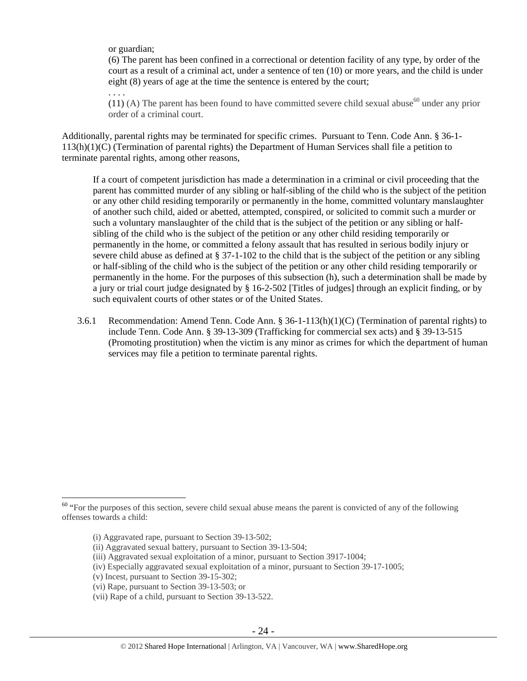or guardian;

(6) The parent has been confined in a correctional or detention facility of any type, by order of the court as a result of a criminal act, under a sentence of ten (10) or more years, and the child is under eight (8) years of age at the time the sentence is entered by the court;

. . . .

(11) (A) The parent has been found to have committed severe child sexual abuse<sup>60</sup> under any prior order of a criminal court.

Additionally, parental rights may be terminated for specific crimes. Pursuant to Tenn. Code Ann. § 36-1- 113(h)(1)(C) (Termination of parental rights) the Department of Human Services shall file a petition to terminate parental rights, among other reasons,

If a court of competent jurisdiction has made a determination in a criminal or civil proceeding that the parent has committed murder of any sibling or half-sibling of the child who is the subject of the petition or any other child residing temporarily or permanently in the home, committed voluntary manslaughter of another such child, aided or abetted, attempted, conspired, or solicited to commit such a murder or such a voluntary manslaughter of the child that is the subject of the petition or any sibling or halfsibling of the child who is the subject of the petition or any other child residing temporarily or permanently in the home, or committed a felony assault that has resulted in serious bodily injury or severe child abuse as defined at § 37-1-102 to the child that is the subject of the petition or any sibling or half-sibling of the child who is the subject of the petition or any other child residing temporarily or permanently in the home. For the purposes of this subsection (h), such a determination shall be made by a jury or trial court judge designated by § 16-2-502 [Titles of judges] through an explicit finding, or by such equivalent courts of other states or of the United States.

3.6.1 Recommendation: Amend Tenn. Code Ann. § 36-1-113(h)(1)(C) (Termination of parental rights) to include Tenn. Code Ann. § 39-13-309 (Trafficking for commercial sex acts) and § 39-13-515 (Promoting prostitution) when the victim is any minor as crimes for which the department of human services may file a petition to terminate parental rights.

<sup>&</sup>lt;sup>60</sup> "For the purposes of this section, severe child sexual abuse means the parent is convicted of any of the following offenses towards a child:

<sup>(</sup>i) Aggravated rape, pursuant to Section 39-13-502;

<sup>(</sup>ii) Aggravated sexual battery, pursuant to Section 39-13-504;

<sup>(</sup>iii) Aggravated sexual exploitation of a minor, pursuant to Section 3917-1004;

<sup>(</sup>iv) Especially aggravated sexual exploitation of a minor, pursuant to Section 39-17-1005;

<sup>(</sup>v) Incest, pursuant to Section 39-15-302;

<sup>(</sup>vi) Rape, pursuant to Section 39-13-503; or

<sup>(</sup>vii) Rape of a child, pursuant to Section 39-13-522.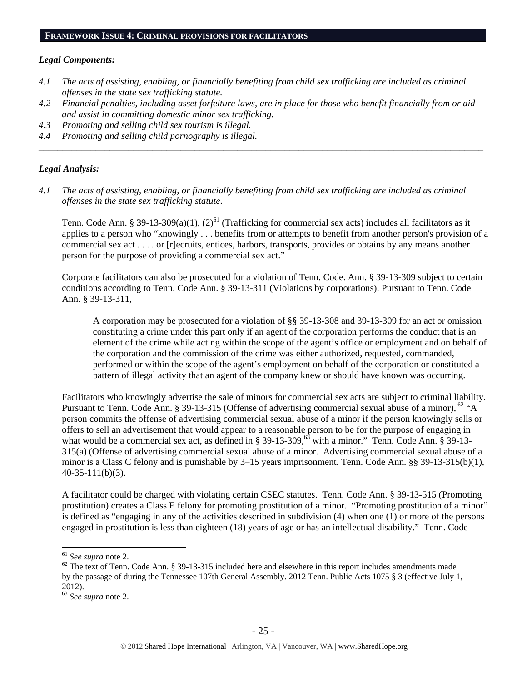# *Legal Components:*

- *4.1 The acts of assisting, enabling, or financially benefiting from child sex trafficking are included as criminal offenses in the state sex trafficking statute.*
- *4.2 Financial penalties, including asset forfeiture laws, are in place for those who benefit financially from or aid and assist in committing domestic minor sex trafficking.*
- *4.3 Promoting and selling child sex tourism is illegal.*
- *4.4 Promoting and selling child pornography is illegal. \_\_\_\_\_\_\_\_\_\_\_\_\_\_\_\_\_\_\_\_\_\_\_\_\_\_\_\_\_\_\_\_\_\_\_\_\_\_\_\_\_\_\_\_\_\_\_\_\_\_\_\_\_\_\_\_\_\_\_\_\_\_\_\_\_\_\_\_\_\_\_\_\_\_\_\_\_\_\_\_\_\_\_\_\_\_\_\_\_\_\_\_\_\_*

# *Legal Analysis:*

*4.1 The acts of assisting, enabling, or financially benefiting from child sex trafficking are included as criminal offenses in the state sex trafficking statute*.

Tenn. Code Ann. § 39-13-309(a)(1), (2)<sup>61</sup> (Trafficking for commercial sex acts) includes all facilitators as it applies to a person who "knowingly . . . benefits from or attempts to benefit from another person's provision of a commercial sex act . . . . or [r]ecruits, entices, harbors, transports, provides or obtains by any means another person for the purpose of providing a commercial sex act."

Corporate facilitators can also be prosecuted for a violation of Tenn. Code. Ann. § 39-13-309 subject to certain conditions according to Tenn. Code Ann. § 39-13-311 (Violations by corporations). Pursuant to Tenn. Code Ann. § 39-13-311,

A corporation may be prosecuted for a violation of §§ 39-13-308 and 39-13-309 for an act or omission constituting a crime under this part only if an agent of the corporation performs the conduct that is an element of the crime while acting within the scope of the agent's office or employment and on behalf of the corporation and the commission of the crime was either authorized, requested, commanded, performed or within the scope of the agent's employment on behalf of the corporation or constituted a pattern of illegal activity that an agent of the company knew or should have known was occurring.

Facilitators who knowingly advertise the sale of minors for commercial sex acts are subject to criminal liability. Pursuant to Tenn. Code Ann. § 39-13-315 (Offense of advertising commercial sexual abuse of a minor),  $^{62}$  "A person commits the offense of advertising commercial sexual abuse of a minor if the person knowingly sells or offers to sell an advertisement that would appear to a reasonable person to be for the purpose of engaging in what would be a commercial sex act, as defined in § 39-13-309,<sup>63</sup> with a minor." Tenn. Code Ann. § 39-13-315(a) (Offense of advertising commercial sexual abuse of a minor. Advertising commercial sexual abuse of a minor is a Class C felony and is punishable by 3–15 years imprisonment. Tenn. Code Ann. §§ 39-13-315(b)(1), 40-35-111(b)(3).

A facilitator could be charged with violating certain CSEC statutes. Tenn. Code Ann. § 39-13-515 (Promoting prostitution) creates a Class E felony for promoting prostitution of a minor. "Promoting prostitution of a minor" is defined as "engaging in any of the activities described in subdivision (4) when one (1) or more of the persons engaged in prostitution is less than eighteen (18) years of age or has an intellectual disability." Tenn. Code

<sup>&</sup>lt;sup>61</sup> See supra note 2.<br><sup>62</sup> The text of Tenn. Code Ann. § 39-13-315 included here and elsewhere in this report includes amendments made by the passage of during the Tennessee 107th General Assembly. 2012 Tenn. Public Acts 1075 § 3 (effective July 1, 2012).

<sup>63</sup> *See supra* note 2.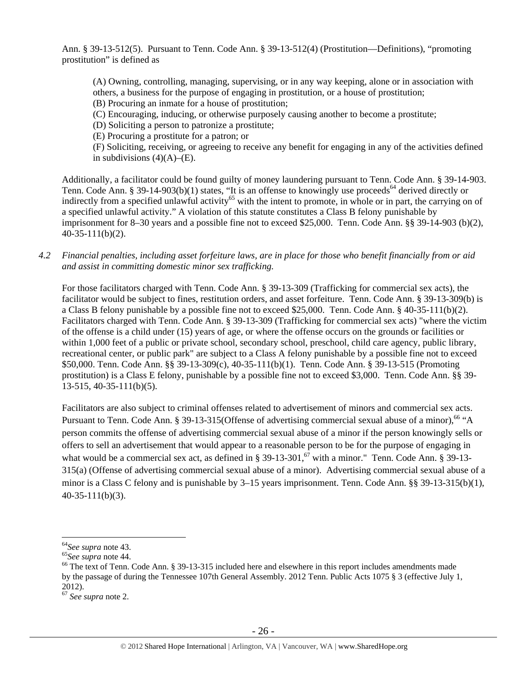Ann. § 39-13-512(5). Pursuant to Tenn. Code Ann. § 39-13-512(4) (Prostitution—Definitions), "promoting prostitution" is defined as

(A) Owning, controlling, managing, supervising, or in any way keeping, alone or in association with others, a business for the purpose of engaging in prostitution, or a house of prostitution;

(B) Procuring an inmate for a house of prostitution;

(C) Encouraging, inducing, or otherwise purposely causing another to become a prostitute;

(D) Soliciting a person to patronize a prostitute;

(E) Procuring a prostitute for a patron; or

 (F) Soliciting, receiving, or agreeing to receive any benefit for engaging in any of the activities defined in subdivisions  $(4)(A)$ – $(E)$ .

Additionally, a facilitator could be found guilty of money laundering pursuant to Tenn. Code Ann. § 39-14-903. Tenn. Code Ann. § 39-14-903(b)(1) states, "It is an offense to knowingly use proceeds<sup>64</sup> derived directly or indirectly from a specified unlawful activity<sup>65</sup> with the intent to promote, in whole or in part, the carrying on of a specified unlawful activity." A violation of this statute constitutes a Class B felony punishable by imprisonment for 8–30 years and a possible fine not to exceed \$25,000. Tenn. Code Ann. §§ 39-14-903 (b)(2), 40-35-111(b)(2).

*4.2 Financial penalties, including asset forfeiture laws, are in place for those who benefit financially from or aid and assist in committing domestic minor sex trafficking.* 

For those facilitators charged with Tenn. Code Ann. § 39-13-309 (Trafficking for commercial sex acts), the facilitator would be subject to fines, restitution orders, and asset forfeiture. Tenn. Code Ann. § 39-13-309(b) is a Class B felony punishable by a possible fine not to exceed \$25,000. Tenn. Code Ann. § 40-35-111(b)(2). Facilitators charged with Tenn. Code Ann. § 39-13-309 (Trafficking for commercial sex acts) "where the victim of the offense is a child under (15) years of age, or where the offense occurs on the grounds or facilities or within 1,000 feet of a public or private school, secondary school, preschool, child care agency, public library, recreational center, or public park" are subject to a Class A felony punishable by a possible fine not to exceed \$50,000. Tenn. Code Ann. §§ 39-13-309(c), 40-35-111(b)(1). Tenn. Code Ann. § 39-13-515 (Promoting prostitution) is a Class E felony, punishable by a possible fine not to exceed \$3,000. Tenn. Code Ann. §§ 39- 13-515, 40-35-111(b)(5).

Facilitators are also subject to criminal offenses related to advertisement of minors and commercial sex acts. Pursuant to Tenn. Code Ann. § 39-13-315(Offense of advertising commercial sexual abuse of a minor),<sup>66</sup> "A person commits the offense of advertising commercial sexual abuse of a minor if the person knowingly sells or offers to sell an advertisement that would appear to a reasonable person to be for the purpose of engaging in what would be a commercial sex act, as defined in § 39-13-301, $6\overline{7}$  with a minor." Tenn. Code Ann. § 39-13-315(a) (Offense of advertising commercial sexual abuse of a minor). Advertising commercial sexual abuse of a minor is a Class C felony and is punishable by 3–15 years imprisonment. Tenn. Code Ann. §§ 39-13-315(b)(1), 40-35-111(b)(3).

 $\overline{a}$ 

<sup>&</sup>lt;sup>64</sup>See supra note 43.<br><sup>65</sup>See supra note 44.<br><sup>66</sup>The text of Tenn. Code Ann. § 39-13-315 included here and elsewhere in this report includes amendments made by the passage of during the Tennessee 107th General Assembly. 2012 Tenn. Public Acts 1075 § 3 (effective July 1, 2012).

<sup>67</sup> *See supra* note 2.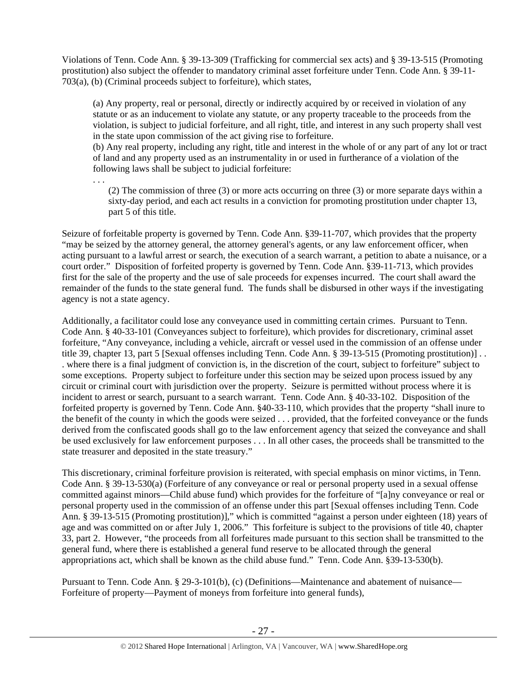Violations of Tenn. Code Ann. § 39-13-309 (Trafficking for commercial sex acts) and § 39-13-515 (Promoting prostitution) also subject the offender to mandatory criminal asset forfeiture under Tenn. Code Ann. § 39-11- 703(a), (b) (Criminal proceeds subject to forfeiture), which states,

(a) Any property, real or personal, directly or indirectly acquired by or received in violation of any statute or as an inducement to violate any statute, or any property traceable to the proceeds from the violation, is subject to judicial forfeiture, and all right, title, and interest in any such property shall vest in the state upon commission of the act giving rise to forfeiture.

(b) Any real property, including any right, title and interest in the whole of or any part of any lot or tract of land and any property used as an instrumentality in or used in furtherance of a violation of the following laws shall be subject to judicial forfeiture:

(2) The commission of three (3) or more acts occurring on three (3) or more separate days within a sixty-day period, and each act results in a conviction for promoting prostitution under chapter 13, part 5 of this title.

Seizure of forfeitable property is governed by Tenn. Code Ann. §39-11-707, which provides that the property "may be seized by the attorney general, the attorney general's agents, or any law enforcement officer, when acting pursuant to a lawful arrest or search, the execution of a search warrant, a petition to abate a nuisance, or a court order." Disposition of forfeited property is governed by Tenn. Code Ann. §39-11-713, which provides first for the sale of the property and the use of sale proceeds for expenses incurred. The court shall award the remainder of the funds to the state general fund. The funds shall be disbursed in other ways if the investigating agency is not a state agency.

. . .

Additionally, a facilitator could lose any conveyance used in committing certain crimes. Pursuant to Tenn. Code Ann. § 40-33-101 (Conveyances subject to forfeiture), which provides for discretionary, criminal asset forfeiture, "Any conveyance, including a vehicle, aircraft or vessel used in the commission of an offense under title 39, chapter 13, part 5 [Sexual offenses including Tenn. Code Ann. § 39-13-515 (Promoting prostitution)] . . . where there is a final judgment of conviction is, in the discretion of the court, subject to forfeiture" subject to some exceptions. Property subject to forfeiture under this section may be seized upon process issued by any circuit or criminal court with jurisdiction over the property. Seizure is permitted without process where it is incident to arrest or search, pursuant to a search warrant. Tenn. Code Ann. § 40-33-102. Disposition of the forfeited property is governed by Tenn. Code Ann. §40-33-110, which provides that the property "shall inure to the benefit of the county in which the goods were seized . . . provided, that the forfeited conveyance or the funds derived from the confiscated goods shall go to the law enforcement agency that seized the conveyance and shall be used exclusively for law enforcement purposes . . . In all other cases, the proceeds shall be transmitted to the state treasurer and deposited in the state treasury."

This discretionary, criminal forfeiture provision is reiterated, with special emphasis on minor victims, in Tenn. Code Ann. § 39-13-530(a) (Forfeiture of any conveyance or real or personal property used in a sexual offense committed against minors—Child abuse fund) which provides for the forfeiture of "[a]ny conveyance or real or personal property used in the commission of an offense under this part [Sexual offenses including Tenn. Code Ann. § 39-13-515 (Promoting prostitution)]," which is committed "against a person under eighteen (18) years of age and was committed on or after July 1, 2006." This forfeiture is subject to the provisions of title 40, chapter 33, part 2. However, "the proceeds from all forfeitures made pursuant to this section shall be transmitted to the general fund, where there is established a general fund reserve to be allocated through the general appropriations act, which shall be known as the child abuse fund." Tenn. Code Ann. §39-13-530(b).

Pursuant to Tenn. Code Ann. § 29-3-101(b), (c) (Definitions—Maintenance and abatement of nuisance— Forfeiture of property—Payment of moneys from forfeiture into general funds),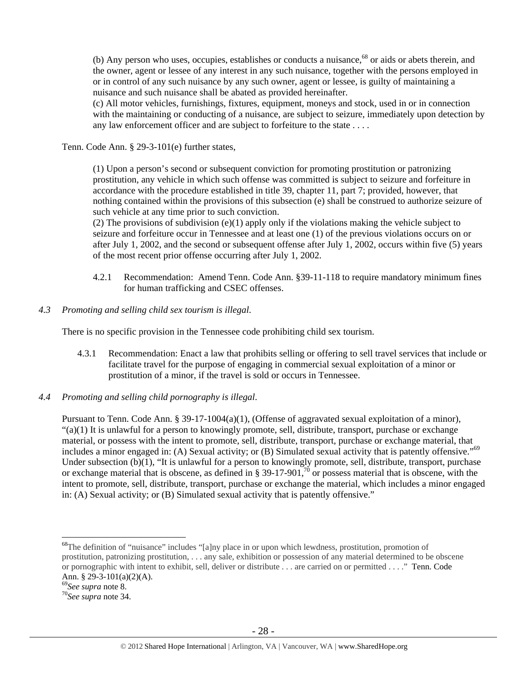(b) Any person who uses, occupies, establishes or conducts a nuisance, $68$  or aids or abets therein, and the owner, agent or lessee of any interest in any such nuisance, together with the persons employed in or in control of any such nuisance by any such owner, agent or lessee, is guilty of maintaining a nuisance and such nuisance shall be abated as provided hereinafter.

(c) All motor vehicles, furnishings, fixtures, equipment, moneys and stock, used in or in connection with the maintaining or conducting of a nuisance, are subject to seizure, immediately upon detection by any law enforcement officer and are subject to forfeiture to the state . . . .

Tenn. Code Ann. § 29-3-101(e) further states,

(1) Upon a person's second or subsequent conviction for promoting prostitution or patronizing prostitution, any vehicle in which such offense was committed is subject to seizure and forfeiture in accordance with the procedure established in title 39, chapter 11, part 7; provided, however, that nothing contained within the provisions of this subsection (e) shall be construed to authorize seizure of such vehicle at any time prior to such conviction.

(2) The provisions of subdivision (e)(1) apply only if the violations making the vehicle subject to seizure and forfeiture occur in Tennessee and at least one (1) of the previous violations occurs on or after July 1, 2002, and the second or subsequent offense after July 1, 2002, occurs within five (5) years of the most recent prior offense occurring after July 1, 2002.

- 4.2.1 Recommendation: Amend Tenn. Code Ann. §39-11-118 to require mandatory minimum fines for human trafficking and CSEC offenses.
- *4.3 Promoting and selling child sex tourism is illegal*.

There is no specific provision in the Tennessee code prohibiting child sex tourism.

- 4.3.1 Recommendation: Enact a law that prohibits selling or offering to sell travel services that include or facilitate travel for the purpose of engaging in commercial sexual exploitation of a minor or prostitution of a minor, if the travel is sold or occurs in Tennessee.
- *4.4 Promoting and selling child pornography is illegal*.

Pursuant to Tenn. Code Ann. § 39-17-1004(a)(1), (Offense of aggravated sexual exploitation of a minor),  $"(a)(1)$  It is unlawful for a person to knowingly promote, sell, distribute, transport, purchase or exchange material, or possess with the intent to promote, sell, distribute, transport, purchase or exchange material, that includes a minor engaged in: (A) Sexual activity; or (B) Simulated sexual activity that is patently offensive."<sup>69</sup> Under subsection (b)(1), "It is unlawful for a person to knowingly promote, sell, distribute, transport, purchase or exchange material that is obscene, as defined in § 39-17-901,<sup>70</sup> or possess material that is obscene, with the intent to promote, sell, distribute, transport, purchase or exchange the material, which includes a minor engaged in: (A) Sexual activity; or (B) Simulated sexual activity that is patently offensive."

<sup>&</sup>lt;sup>68</sup>The definition of "nuisance" includes "[a]ny place in or upon which lewdness, prostitution, promotion of prostitution, patronizing prostitution, . . . any sale, exhibition or possession of any material determined to be obscene or pornographic with intent to exhibit, sell, deliver or distribute . . . are carried on or permitted . . . ." Tenn. Code Ann. § 29-3-101(a)(2)(A).<br><sup>69</sup>See supra note 8.

<sup>69</sup>*See supra* note 8. 70*See supra* note 34.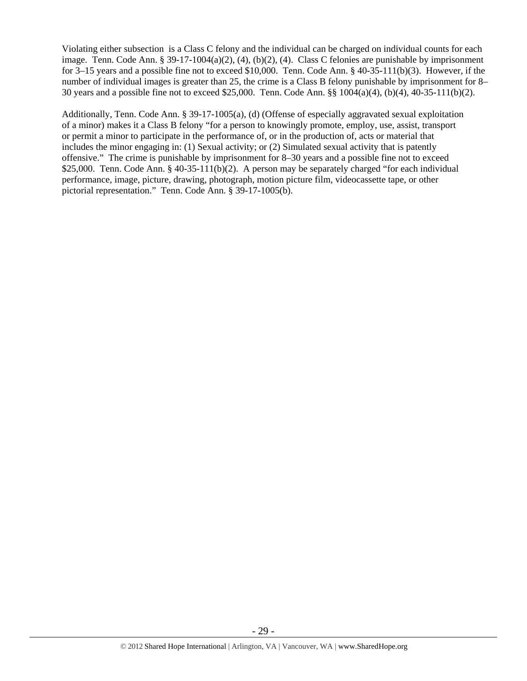Violating either subsection is a Class C felony and the individual can be charged on individual counts for each image. Tenn. Code Ann. § 39-17-1004(a)(2), (4), (b)(2), (4). Class C felonies are punishable by imprisonment for 3–15 years and a possible fine not to exceed \$10,000. Tenn. Code Ann. § 40-35-111(b)(3). However, if the number of individual images is greater than 25, the crime is a Class B felony punishable by imprisonment for 8– 30 years and a possible fine not to exceed \$25,000. Tenn. Code Ann. §§ 1004(a)(4), (b)(4), 40-35-111(b)(2).

Additionally, Tenn. Code Ann. § 39-17-1005(a), (d) (Offense of especially aggravated sexual exploitation of a minor) makes it a Class B felony "for a person to knowingly promote, employ, use, assist, transport or permit a minor to participate in the performance of, or in the production of, acts or material that includes the minor engaging in: (1) Sexual activity; or (2) Simulated sexual activity that is patently offensive." The crime is punishable by imprisonment for 8–30 years and a possible fine not to exceed \$25,000. Tenn. Code Ann. § 40-35-111(b)(2). A person may be separately charged "for each individual performance, image, picture, drawing, photograph, motion picture film, videocassette tape, or other pictorial representation." Tenn. Code Ann. § 39-17-1005(b).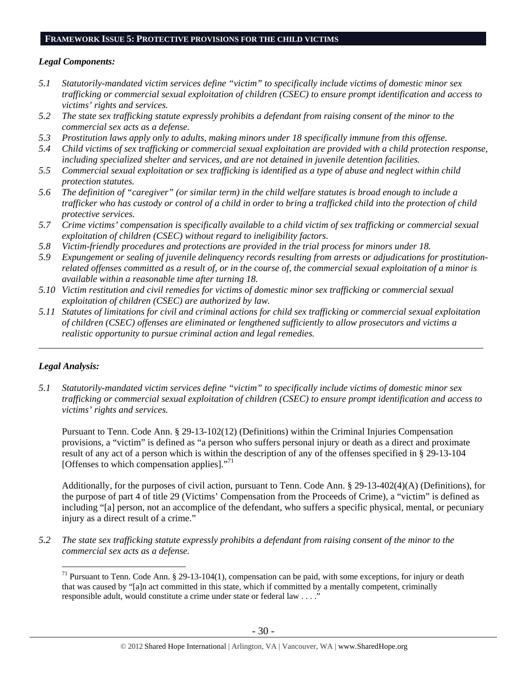## **FRAMEWORK ISSUE 5: PROTECTIVE PROVISIONS FOR THE CHILD VICTIMS**

#### *Legal Components:*

- *5.1 Statutorily-mandated victim services define "victim" to specifically include victims of domestic minor sex trafficking or commercial sexual exploitation of children (CSEC) to ensure prompt identification and access to victims' rights and services.*
- *5.2 The state sex trafficking statute expressly prohibits a defendant from raising consent of the minor to the commercial sex acts as a defense.*
- *5.3 Prostitution laws apply only to adults, making minors under 18 specifically immune from this offense.*
- *5.4 Child victims of sex trafficking or commercial sexual exploitation are provided with a child protection response, including specialized shelter and services, and are not detained in juvenile detention facilities.*
- *5.5 Commercial sexual exploitation or sex trafficking is identified as a type of abuse and neglect within child protection statutes.*
- *5.6 The definition of "caregiver" (or similar term) in the child welfare statutes is broad enough to include a trafficker who has custody or control of a child in order to bring a trafficked child into the protection of child protective services.*
- *5.7 Crime victims' compensation is specifically available to a child victim of sex trafficking or commercial sexual exploitation of children (CSEC) without regard to ineligibility factors.*
- *5.8 Victim-friendly procedures and protections are provided in the trial process for minors under 18.*
- *5.9 Expungement or sealing of juvenile delinquency records resulting from arrests or adjudications for prostitutionrelated offenses committed as a result of, or in the course of, the commercial sexual exploitation of a minor is available within a reasonable time after turning 18.*
- *5.10 Victim restitution and civil remedies for victims of domestic minor sex trafficking or commercial sexual exploitation of children (CSEC) are authorized by law.*
- *5.11 Statutes of limitations for civil and criminal actions for child sex trafficking or commercial sexual exploitation of children (CSEC) offenses are eliminated or lengthened sufficiently to allow prosecutors and victims a realistic opportunity to pursue criminal action and legal remedies.*

*\_\_\_\_\_\_\_\_\_\_\_\_\_\_\_\_\_\_\_\_\_\_\_\_\_\_\_\_\_\_\_\_\_\_\_\_\_\_\_\_\_\_\_\_\_\_\_\_\_\_\_\_\_\_\_\_\_\_\_\_\_\_\_\_\_\_\_\_\_\_\_\_\_\_\_\_\_\_\_\_\_\_\_\_\_\_\_\_\_\_\_\_\_\_* 

#### *Legal Analysis:*

 $\overline{a}$ 

*5.1 Statutorily-mandated victim services define "victim" to specifically include victims of domestic minor sex trafficking or commercial sexual exploitation of children (CSEC) to ensure prompt identification and access to victims' rights and services.* 

Pursuant to Tenn. Code Ann. § 29-13-102(12) (Definitions) within the Criminal Injuries Compensation provisions, a "victim" is defined as "a person who suffers personal injury or death as a direct and proximate result of any act of a person which is within the description of any of the offenses specified in § 29-13-104 [Offenses to which compensation applies]."<sup>71</sup>

Additionally, for the purposes of civil action, pursuant to Tenn. Code Ann. § 29-13-402(4)(A) (Definitions), for the purpose of part 4 of title 29 (Victims' Compensation from the Proceeds of Crime), a "victim" is defined as including "[a] person, not an accomplice of the defendant, who suffers a specific physical, mental, or pecuniary injury as a direct result of a crime."

*5.2 The state sex trafficking statute expressly prohibits a defendant from raising consent of the minor to the commercial sex acts as a defense.* 

 $71$  Pursuant to Tenn. Code Ann. § 29-13-104(1), compensation can be paid, with some exceptions, for injury or death that was caused by "[a]n act committed in this state, which if committed by a mentally competent, criminally responsible adult, would constitute a crime under state or federal law . . . ."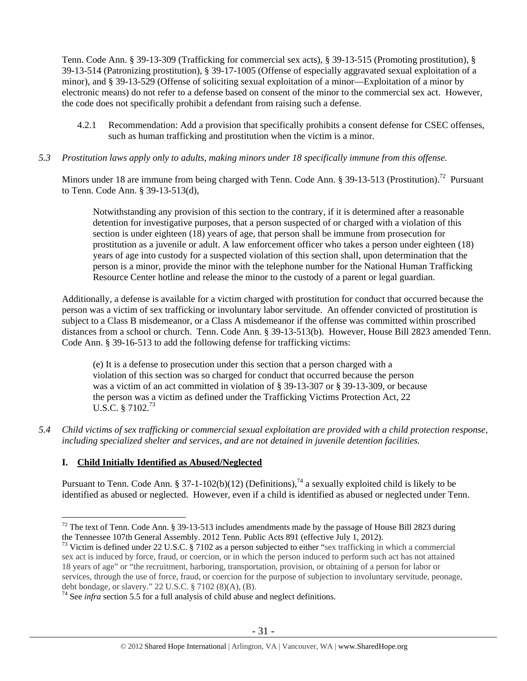Tenn. Code Ann. § 39-13-309 (Trafficking for commercial sex acts), § 39-13-515 (Promoting prostitution), § 39-13-514 (Patronizing prostitution), § 39-17-1005 (Offense of especially aggravated sexual exploitation of a minor), and § 39-13-529 (Offense of soliciting sexual exploitation of a minor—Exploitation of a minor by electronic means) do not refer to a defense based on consent of the minor to the commercial sex act. However, the code does not specifically prohibit a defendant from raising such a defense.

- 4.2.1 Recommendation: Add a provision that specifically prohibits a consent defense for CSEC offenses, such as human trafficking and prostitution when the victim is a minor.
- *5.3 Prostitution laws apply only to adults, making minors under 18 specifically immune from this offense.*

Minors under 18 are immune from being charged with Tenn. Code Ann. § 39-13-513 (Prostitution).<sup>72</sup> Pursuant to Tenn. Code Ann. § 39-13-513(d),

Notwithstanding any provision of this section to the contrary, if it is determined after a reasonable detention for investigative purposes, that a person suspected of or charged with a violation of this section is under eighteen (18) years of age, that person shall be immune from prosecution for prostitution as a juvenile or adult. A law enforcement officer who takes a person under eighteen (18) years of age into custody for a suspected violation of this section shall, upon determination that the person is a minor, provide the minor with the telephone number for the National Human Trafficking Resource Center hotline and release the minor to the custody of a parent or legal guardian.

Additionally, a defense is available for a victim charged with prostitution for conduct that occurred because the person was a victim of sex trafficking or involuntary labor servitude. An offender convicted of prostitution is subject to a Class B misdemeanor, or a Class A misdemeanor if the offense was committed within proscribed distances from a school or church. Tenn. Code Ann. § 39-13-513(b). However, House Bill 2823 amended Tenn. Code Ann. § 39-16-513 to add the following defense for trafficking victims:

(e) It is a defense to prosecution under this section that a person charged with a violation of this section was so charged for conduct that occurred because the person was a victim of an act committed in violation of § 39-13-307 or § 39-13-309, or because the person was a victim as defined under the Trafficking Victims Protection Act, 22 U.S.C. § 7102.<sup>73</sup>

*5.4 Child victims of sex trafficking or commercial sexual exploitation are provided with a child protection response, including specialized shelter and services, and are not detained in juvenile detention facilities.* 

# **I. Child Initially Identified as Abused/Neglected**

 $\overline{a}$ 

Pursuant to Tenn. Code Ann. § 37-1-102(b)(12) (Definitions),<sup>74</sup> a sexually exploited child is likely to be identified as abused or neglected. However, even if a child is identified as abused or neglected under Tenn.

 $72$  The text of Tenn. Code Ann. § 39-13-513 includes amendments made by the passage of House Bill 2823 during the Tennessee 107th General Assembly. 2012 Tenn. Public Acts 891 (effective July 1, 2012).

<sup>&</sup>lt;sup>73</sup> Victim is defined under 22 U.S.C. § 7102 as a person subjected to either "sex trafficking in which a commercial sex act is induced by force, fraud, or coercion, or in which the person induced to perform such act has not attained 18 years of age" or "the recruitment, harboring, transportation, provision, or obtaining of a person for labor or services, through the use of force, fraud, or coercion for the purpose of subjection to involuntary servitude, peonage, debt bondage, or slavery." 22 U.S.C. § 7102 (8)(A), (B).

<sup>&</sup>lt;sup>74</sup> See *infra* section 5.5 for a full analysis of child abuse and neglect definitions.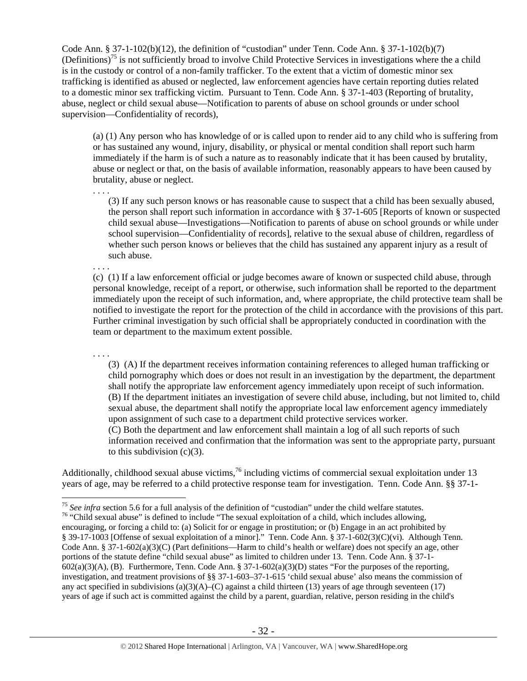Code Ann. § 37-1-102(b)(12), the definition of "custodian" under Tenn. Code Ann. § 37-1-102(b)(7) (Definitions)<sup>75</sup> is not sufficiently broad to involve Child Protective Services in investigations where the a child is in the custody or control of a non-family trafficker. To the extent that a victim of domestic minor sex trafficking is identified as abused or neglected, law enforcement agencies have certain reporting duties related to a domestic minor sex trafficking victim. Pursuant to Tenn. Code Ann. § 37-1-403 (Reporting of brutality, abuse, neglect or child sexual abuse—Notification to parents of abuse on school grounds or under school supervision—Confidentiality of records),

. . . .

(a) (1) Any person who has knowledge of or is called upon to render aid to any child who is suffering from or has sustained any wound, injury, disability, or physical or mental condition shall report such harm immediately if the harm is of such a nature as to reasonably indicate that it has been caused by brutality, abuse or neglect or that, on the basis of available information, reasonably appears to have been caused by brutality, abuse or neglect.

 (3) If any such person knows or has reasonable cause to suspect that a child has been sexually abused, the person shall report such information in accordance with § 37-1-605 [Reports of known or suspected child sexual abuse—Investigations—Notification to parents of abuse on school grounds or while under school supervision—Confidentiality of records], relative to the sexual abuse of children, regardless of whether such person knows or believes that the child has sustained any apparent injury as a result of such abuse.

. . . . (c) (1) If a law enforcement official or judge becomes aware of known or suspected child abuse, through personal knowledge, receipt of a report, or otherwise, such information shall be reported to the department immediately upon the receipt of such information, and, where appropriate, the child protective team shall be notified to investigate the report for the protection of the child in accordance with the provisions of this part. Further criminal investigation by such official shall be appropriately conducted in coordination with the team or department to the maximum extent possible.

. . . . (3) (A) If the department receives information containing references to alleged human trafficking or child pornography which does or does not result in an investigation by the department, the department shall notify the appropriate law enforcement agency immediately upon receipt of such information. (B) If the department initiates an investigation of severe child abuse, including, but not limited to, child sexual abuse, the department shall notify the appropriate local law enforcement agency immediately upon assignment of such case to a department child protective services worker. (C) Both the department and law enforcement shall maintain a log of all such reports of such information received and confirmation that the information was sent to the appropriate party, pursuant to this subdivision  $(c)(3)$ .

Additionally, childhood sexual abuse victims,  $^{76}$  including victims of commercial sexual exploitation under 13 years of age, may be referred to a child protective response team for investigation. Tenn. Code Ann. §§ 37-1-

 $\overline{a}$ <sup>75</sup> See infra section 5.6 for a full analysis of the definition of "custodian" under the child welfare statutes.<br><sup>76</sup> "Child sexual abuse" is defined to include "The sexual exploitation of a child, which includes allowin

encouraging, or forcing a child to: (a) Solicit for or engage in prostitution; or (b) Engage in an act prohibited by § 39-17-1003 [Offense of sexual exploitation of a minor]." Tenn. Code Ann. § 37-1-602(3)(C)(vi). Although Tenn. Code Ann. § 37-1-602(a)(3)(C) (Part definitions—Harm to child's health or welfare) does not specify an age, other portions of the statute define "child sexual abuse" as limited to children under 13. Tenn. Code Ann. § 37-1-  $602(a)(3)(A)$ , (B). Furthermore, Tenn. Code Ann. § 37-1-602(a)(3)(D) states "For the purposes of the reporting, investigation, and treatment provisions of §§ 37-1-603–37-1-615 'child sexual abuse' also means the commission of any act specified in subdivisions (a)(3)(A)–(C) against a child thirteen (13) years of age through seventeen (17) years of age if such act is committed against the child by a parent, guardian, relative, person residing in the child's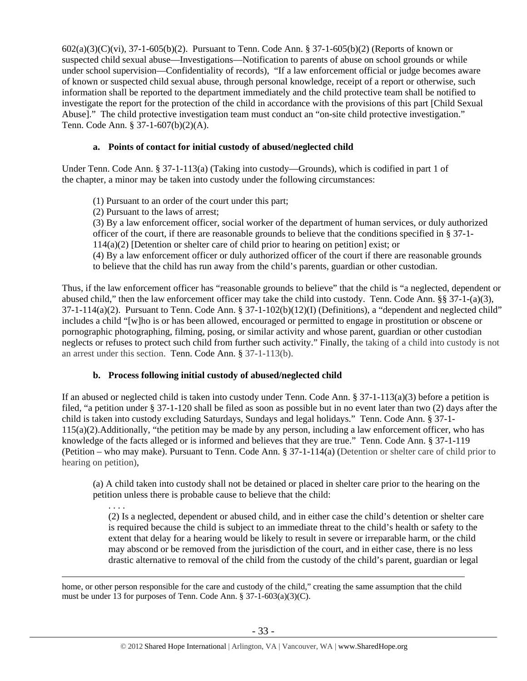602(a)(3)(C)(vi), 37-1-605(b)(2). Pursuant to Tenn. Code Ann. § 37-1-605(b)(2) (Reports of known or suspected child sexual abuse—Investigations—Notification to parents of abuse on school grounds or while under school supervision—Confidentiality of records), "If a law enforcement official or judge becomes aware of known or suspected child sexual abuse, through personal knowledge, receipt of a report or otherwise, such information shall be reported to the department immediately and the child protective team shall be notified to investigate the report for the protection of the child in accordance with the provisions of this part [Child Sexual Abuse]." The child protective investigation team must conduct an "on-site child protective investigation." Tenn. Code Ann. § 37-1-607(b)(2)(A).

# **a. Points of contact for initial custody of abused/neglected child**

Under Tenn. Code Ann. § 37-1-113(a) (Taking into custody—Grounds), which is codified in part 1 of the chapter, a minor may be taken into custody under the following circumstances:

- (1) Pursuant to an order of the court under this part;
- (2) Pursuant to the laws of arrest;

(3) By a law enforcement officer, social worker of the department of human services, or duly authorized officer of the court, if there are reasonable grounds to believe that the conditions specified in § 37-1- 114(a)(2) [Detention or shelter care of child prior to hearing on petition] exist; or (4) By a law enforcement officer or duly authorized officer of the court if there are reasonable grounds to believe that the child has run away from the child's parents, guardian or other custodian.

Thus, if the law enforcement officer has "reasonable grounds to believe" that the child is "a neglected, dependent or abused child," then the law enforcement officer may take the child into custody. Tenn. Code Ann. §§ 37-1-(a)(3),  $37-1-114(a)(2)$ . Pursuant to Tenn. Code Ann. §  $37-1-102(b)(12)(I)$  (Definitions), a "dependent and neglected child" includes a child "[w]ho is or has been allowed, encouraged or permitted to engage in prostitution or obscene or pornographic photographing, filming, posing, or similar activity and whose parent, guardian or other custodian neglects or refuses to protect such child from further such activity." Finally, the taking of a child into custody is not an arrest under this section. Tenn. Code Ann. § 37-1-113(b).

# **b. Process following initial custody of abused/neglected child**

If an abused or neglected child is taken into custody under Tenn. Code Ann.  $\S 37$ -1-113(a)(3) before a petition is filed, "a petition under § 37-1-120 shall be filed as soon as possible but in no event later than two (2) days after the child is taken into custody excluding Saturdays, Sundays and legal holidays." Tenn. Code Ann. § 37-1- 115(a)(2).Additionally, "the petition may be made by any person, including a law enforcement officer, who has knowledge of the facts alleged or is informed and believes that they are true." Tenn. Code Ann. § 37-1-119 (Petition – who may make). Pursuant to Tenn. Code Ann. § 37-1-114(a) (Detention or shelter care of child prior to hearing on petition),

(a) A child taken into custody shall not be detained or placed in shelter care prior to the hearing on the petition unless there is probable cause to believe that the child:

. . . . (2) Is a neglected, dependent or abused child, and in either case the child's detention or shelter care is required because the child is subject to an immediate threat to the child's health or safety to the extent that delay for a hearing would be likely to result in severe or irreparable harm, or the child may abscond or be removed from the jurisdiction of the court, and in either case, there is no less drastic alternative to removal of the child from the custody of the child's parent, guardian or legal

home, or other person responsible for the care and custody of the child," creating the same assumption that the child must be under 13 for purposes of Tenn. Code Ann. § 37-1-603(a)(3)(C).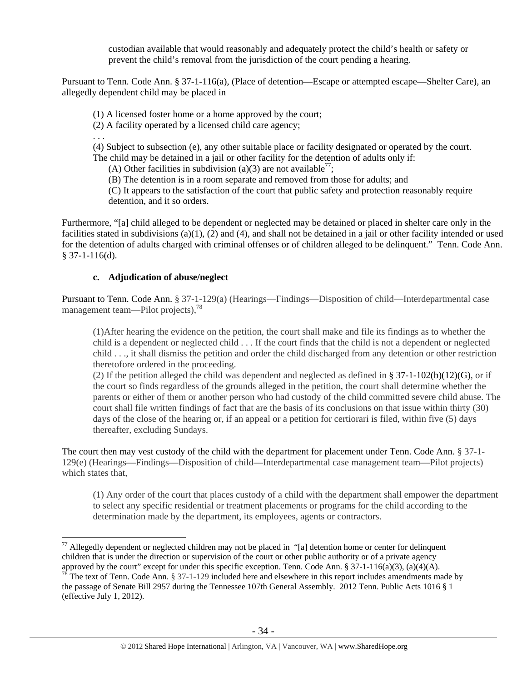custodian available that would reasonably and adequately protect the child's health or safety or prevent the child's removal from the jurisdiction of the court pending a hearing.

Pursuant to Tenn. Code Ann. § 37-1-116(a), (Place of detention—Escape or attempted escape—Shelter Care), an allegedly dependent child may be placed in

(1) A licensed foster home or a home approved by the court;

(2) A facility operated by a licensed child care agency;

. . .

 $\overline{a}$ 

(4) Subject to subsection (e), any other suitable place or facility designated or operated by the court. The child may be detained in a jail or other facility for the detention of adults only if:

(A) Other facilities in subdivision (a)(3) are not available<sup>77</sup>;

(B) The detention is in a room separate and removed from those for adults; and

 (C) It appears to the satisfaction of the court that public safety and protection reasonably require detention, and it so orders.

Furthermore, "[a] child alleged to be dependent or neglected may be detained or placed in shelter care only in the facilities stated in subdivisions  $(a)(1)$ ,  $(2)$  and  $(4)$ , and shall not be detained in a jail or other facility intended or used for the detention of adults charged with criminal offenses or of children alleged to be delinquent." Tenn. Code Ann. § 37-1-116(d).

## **c. Adjudication of abuse/neglect**

Pursuant to Tenn. Code Ann. § 37-1-129(a) (Hearings—Findings—Disposition of child—Interdepartmental case management team—Pilot projects),<sup>78</sup>

(1)After hearing the evidence on the petition, the court shall make and file its findings as to whether the child is a dependent or neglected child . . . If the court finds that the child is not a dependent or neglected child . . ., it shall dismiss the petition and order the child discharged from any detention or other restriction theretofore ordered in the proceeding.

(2) If the petition alleged the child was dependent and neglected as defined in § 37-1-102(b)(12)(G), or if the court so finds regardless of the grounds alleged in the petition, the court shall determine whether the parents or either of them or another person who had custody of the child committed severe child abuse. The court shall file written findings of fact that are the basis of its conclusions on that issue within thirty (30) days of the close of the hearing or, if an appeal or a petition for certiorari is filed, within five (5) days thereafter, excluding Sundays.

The court then may vest custody of the child with the department for placement under Tenn. Code Ann. § 37-1- 129(e) (Hearings—Findings—Disposition of child—Interdepartmental case management team—Pilot projects) which states that.

(1) Any order of the court that places custody of a child with the department shall empower the department to select any specific residential or treatment placements or programs for the child according to the determination made by the department, its employees, agents or contractors.

 $77$  Allegedly dependent or neglected children may not be placed in "[a] detention home or center for delinquent children that is under the direction or supervision of the court or other public authority or of a private agency approved by the court" except for under this specific exception. Tenn. Code Ann. § 37-1-116(a)(3), (a)(4)(A).

 $78$  The text of Tenn. Code Ann. § 37-1-129 included here and elsewhere in this report includes amendments made by the passage of Senate Bill 2957 during the Tennessee 107th General Assembly. 2012 Tenn. Public Acts 1016 § 1 (effective July 1, 2012).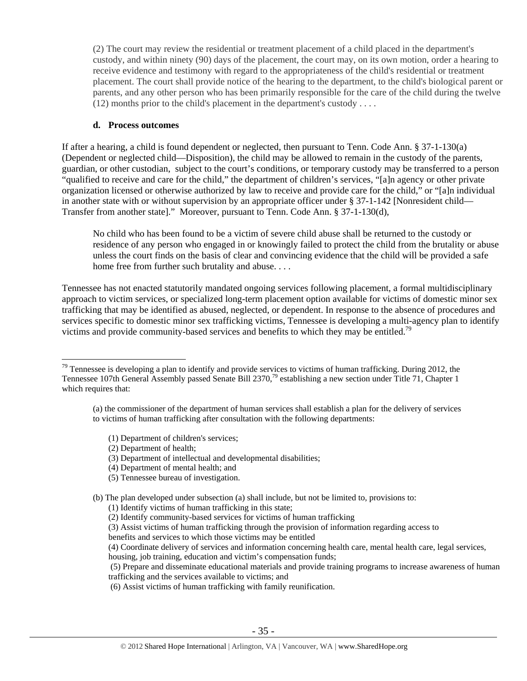(2) The court may review the residential or treatment placement of a child placed in the department's custody, and within ninety (90) days of the placement, the court may, on its own motion, order a hearing to receive evidence and testimony with regard to the appropriateness of the child's residential or treatment placement. The court shall provide notice of the hearing to the department, to the child's biological parent or parents, and any other person who has been primarily responsible for the care of the child during the twelve  $(12)$  months prior to the child's placement in the department's custody ....

### **d. Process outcomes**

If after a hearing, a child is found dependent or neglected, then pursuant to Tenn. Code Ann. § 37-1-130(a) (Dependent or neglected child—Disposition), the child may be allowed to remain in the custody of the parents, guardian, or other custodian, subject to the court's conditions, or temporary custody may be transferred to a person "qualified to receive and care for the child," the department of children's services, "[a]n agency or other private organization licensed or otherwise authorized by law to receive and provide care for the child," or "[a]n individual in another state with or without supervision by an appropriate officer under § 37-1-142 [Nonresident child— Transfer from another state]." Moreover, pursuant to Tenn. Code Ann. § 37-1-130(d),

No child who has been found to be a victim of severe child abuse shall be returned to the custody or residence of any person who engaged in or knowingly failed to protect the child from the brutality or abuse unless the court finds on the basis of clear and convincing evidence that the child will be provided a safe home free from further such brutality and abuse. . . .

Tennessee has not enacted statutorily mandated ongoing services following placement, a formal multidisciplinary approach to victim services, or specialized long-term placement option available for victims of domestic minor sex trafficking that may be identified as abused, neglected, or dependent. In response to the absence of procedures and services specific to domestic minor sex trafficking victims, Tennessee is developing a multi-agency plan to identify victims and provide community-based services and benefits to which they may be entitled.<sup>79</sup>

- (1) Department of children's services;
- (2) Department of health;

 $\overline{a}$ 

- (3) Department of intellectual and developmental disabilities;
- (4) Department of mental health; and
- (5) Tennessee bureau of investigation.

- (1) Identify victims of human trafficking in this state;
- (2) Identify community-based services for victims of human trafficking
- (3) Assist victims of human trafficking through the provision of information regarding access to
- benefits and services to which those victims may be entitled
- (4) Coordinate delivery of services and information concerning health care, mental health care, legal services,

housing, job training, education and victim's compensation funds;

 (5) Prepare and disseminate educational materials and provide training programs to increase awareness of human trafficking and the services available to victims; and

(6) Assist victims of human trafficking with family reunification.

 $79$  Tennessee is developing a plan to identify and provide services to victims of human trafficking. During 2012, the Tennessee 107th General Assembly passed Senate Bill 2370,<sup>79</sup> establishing a new section under Title 71, Chapter 1 which requires that:

<sup>(</sup>a) the commissioner of the department of human services shall establish a plan for the delivery of services to victims of human trafficking after consultation with the following departments:

<sup>(</sup>b) The plan developed under subsection (a) shall include, but not be limited to, provisions to: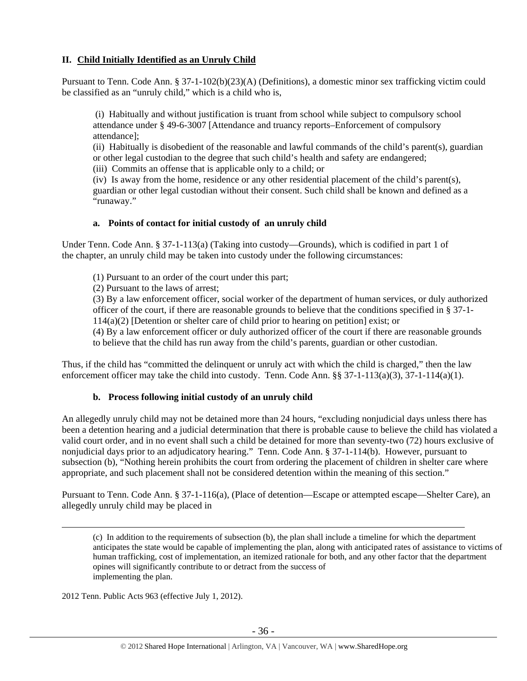## **II. Child Initially Identified as an Unruly Child**

Pursuant to Tenn. Code Ann. § 37-1-102(b)(23)(A) (Definitions), a domestic minor sex trafficking victim could be classified as an "unruly child," which is a child who is,

 (i) Habitually and without justification is truant from school while subject to compulsory school attendance under § 49-6-3007 [Attendance and truancy reports–Enforcement of compulsory attendance];

(ii) Habitually is disobedient of the reasonable and lawful commands of the child's parent(s), guardian or other legal custodian to the degree that such child's health and safety are endangered;

(iii) Commits an offense that is applicable only to a child; or

(iv) Is away from the home, residence or any other residential placement of the child's parent(s), guardian or other legal custodian without their consent. Such child shall be known and defined as a "runaway."

## **a. Points of contact for initial custody of an unruly child**

Under Tenn. Code Ann. § 37-1-113(a) (Taking into custody—Grounds), which is codified in part 1 of the chapter, an unruly child may be taken into custody under the following circumstances:

(1) Pursuant to an order of the court under this part;

(2) Pursuant to the laws of arrest;

(3) By a law enforcement officer, social worker of the department of human services, or duly authorized officer of the court, if there are reasonable grounds to believe that the conditions specified in § 37-1- 114(a)(2) [Detention or shelter care of child prior to hearing on petition] exist; or

(4) By a law enforcement officer or duly authorized officer of the court if there are reasonable grounds to believe that the child has run away from the child's parents, guardian or other custodian.

Thus, if the child has "committed the delinquent or unruly act with which the child is charged," then the law enforcement officer may take the child into custody. Tenn. Code Ann. §§ 37-1-113(a)(3), 37-1-114(a)(1).

# **b. Process following initial custody of an unruly child**

An allegedly unruly child may not be detained more than 24 hours, "excluding nonjudicial days unless there has been a detention hearing and a judicial determination that there is probable cause to believe the child has violated a valid court order, and in no event shall such a child be detained for more than seventy-two (72) hours exclusive of nonjudicial days prior to an adjudicatory hearing." Tenn. Code Ann. § 37-1-114(b). However, pursuant to subsection (b), "Nothing herein prohibits the court from ordering the placement of children in shelter care where appropriate, and such placement shall not be considered detention within the meaning of this section."

Pursuant to Tenn. Code Ann. § 37-1-116(a), (Place of detention—Escape or attempted escape—Shelter Care), an allegedly unruly child may be placed in

 (c) In addition to the requirements of subsection (b), the plan shall include a timeline for which the department anticipates the state would be capable of implementing the plan, along with anticipated rates of assistance to victims of human trafficking, cost of implementation, an itemized rationale for both, and any other factor that the department opines will significantly contribute to or detract from the success of implementing the plan.

2012 Tenn. Public Acts 963 (effective July 1, 2012).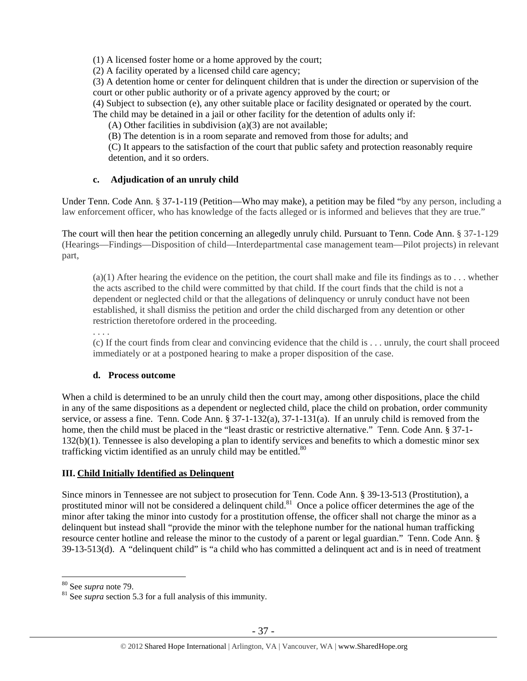(1) A licensed foster home or a home approved by the court;

(2) A facility operated by a licensed child care agency;

(3) A detention home or center for delinquent children that is under the direction or supervision of the court or other public authority or of a private agency approved by the court; or

(4) Subject to subsection (e), any other suitable place or facility designated or operated by the court.

The child may be detained in a jail or other facility for the detention of adults only if:

(A) Other facilities in subdivision (a)(3) are not available;

(B) The detention is in a room separate and removed from those for adults; and

 (C) It appears to the satisfaction of the court that public safety and protection reasonably require detention, and it so orders.

# **c. Adjudication of an unruly child**

Under Tenn. Code Ann. § 37-1-119 (Petition—Who may make), a petition may be filed "by any person, including a law enforcement officer, who has knowledge of the facts alleged or is informed and believes that they are true."

The court will then hear the petition concerning an allegedly unruly child. Pursuant to Tenn. Code Ann. § 37-1-129 (Hearings—Findings—Disposition of child—Interdepartmental case management team—Pilot projects) in relevant part,

 $(a)(1)$  After hearing the evidence on the petition, the court shall make and file its findings as to ... whether the acts ascribed to the child were committed by that child. If the court finds that the child is not a dependent or neglected child or that the allegations of delinquency or unruly conduct have not been established, it shall dismiss the petition and order the child discharged from any detention or other restriction theretofore ordered in the proceeding.

. . . .

(c) If the court finds from clear and convincing evidence that the child is . . . unruly, the court shall proceed immediately or at a postponed hearing to make a proper disposition of the case.

# **d. Process outcome**

When a child is determined to be an unruly child then the court may, among other dispositions, place the child in any of the same dispositions as a dependent or neglected child, place the child on probation, order community service, or assess a fine. Tenn. Code Ann. § 37-1-132(a), 37-1-131(a). If an unruly child is removed from the home, then the child must be placed in the "least drastic or restrictive alternative." Tenn. Code Ann. § 37-1-132(b)(1). Tennessee is also developing a plan to identify services and benefits to which a domestic minor sex trafficking victim identified as an unruly child may be entitled. $80$ 

# **III. Child Initially Identified as Delinquent**

Since minors in Tennessee are not subject to prosecution for Tenn. Code Ann. § 39-13-513 (Prostitution), a prostituted minor will not be considered a delinquent child.<sup>81</sup> Once a police officer determines the age of the minor after taking the minor into custody for a prostitution offense, the officer shall not charge the minor as a delinquent but instead shall "provide the minor with the telephone number for the national human trafficking resource center hotline and release the minor to the custody of a parent or legal guardian." Tenn. Code Ann. § 39-13-513(d). A "delinquent child" is "a child who has committed a delinquent act and is in need of treatment

<sup>&</sup>lt;sup>80</sup> See *supra* note 79.<br><sup>81</sup> See *supra* section 5.3 for a full analysis of this immunity.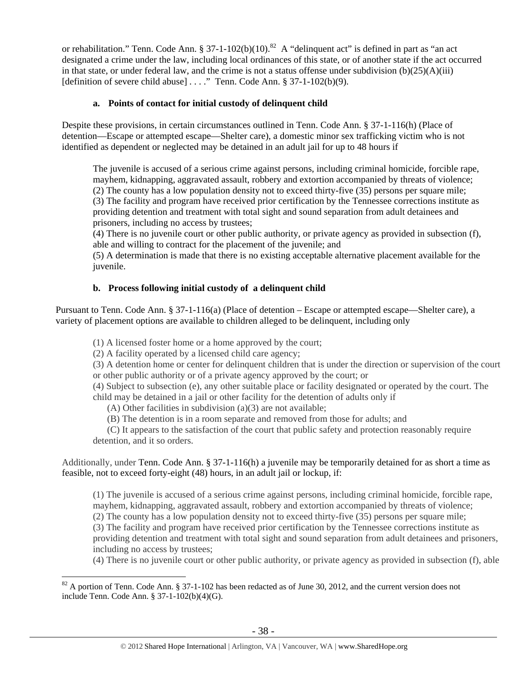or rehabilitation." Tenn. Code Ann. § 37-1-102(b)(10).<sup>82</sup> A "delinquent act" is defined in part as "an act" designated a crime under the law, including local ordinances of this state, or of another state if the act occurred in that state, or under federal law, and the crime is not a status offense under subdivision  $(b)(25)(A)(iii)$ [definition of severe child abuse] . . . ." Tenn. Code Ann. § 37-1-102(b)(9).

## **a. Points of contact for initial custody of delinquent child**

Despite these provisions, in certain circumstances outlined in Tenn. Code Ann. § 37-1-116(h) (Place of detention—Escape or attempted escape—Shelter care), a domestic minor sex trafficking victim who is not identified as dependent or neglected may be detained in an adult jail for up to 48 hours if

The juvenile is accused of a serious crime against persons, including criminal homicide, forcible rape, mayhem, kidnapping, aggravated assault, robbery and extortion accompanied by threats of violence; (2) The county has a low population density not to exceed thirty-five (35) persons per square mile; (3) The facility and program have received prior certification by the Tennessee corrections institute as providing detention and treatment with total sight and sound separation from adult detainees and prisoners, including no access by trustees;

(4) There is no juvenile court or other public authority, or private agency as provided in subsection (f), able and willing to contract for the placement of the juvenile; and

(5) A determination is made that there is no existing acceptable alternative placement available for the juvenile.

# **b. Process following initial custody of a delinquent child**

Pursuant to Tenn. Code Ann. § 37-1-116(a) (Place of detention – Escape or attempted escape—Shelter care), a variety of placement options are available to children alleged to be delinquent, including only

(1) A licensed foster home or a home approved by the court;

(2) A facility operated by a licensed child care agency;

 $\overline{a}$ 

(3) A detention home or center for delinquent children that is under the direction or supervision of the court or other public authority or of a private agency approved by the court; or

(4) Subject to subsection (e), any other suitable place or facility designated or operated by the court. The child may be detained in a jail or other facility for the detention of adults only if

(A) Other facilities in subdivision (a)(3) are not available;

(B) The detention is in a room separate and removed from those for adults; and

 (C) It appears to the satisfaction of the court that public safety and protection reasonably require detention, and it so orders.

Additionally, under Tenn. Code Ann. § 37-1-116(h) a juvenile may be temporarily detained for as short a time as feasible, not to exceed forty-eight (48) hours, in an adult jail or lockup, if:

(1) The juvenile is accused of a serious crime against persons, including criminal homicide, forcible rape, mayhem, kidnapping, aggravated assault, robbery and extortion accompanied by threats of violence;

(2) The county has a low population density not to exceed thirty-five (35) persons per square mile;

(3) The facility and program have received prior certification by the Tennessee corrections institute as providing detention and treatment with total sight and sound separation from adult detainees and prisoners, including no access by trustees;

(4) There is no juvenile court or other public authority, or private agency as provided in subsection (f), able

 $82$  A portion of Tenn. Code Ann. § 37-1-102 has been redacted as of June 30, 2012, and the current version does not include Tenn. Code Ann. § 37-1-102(b)(4)(G).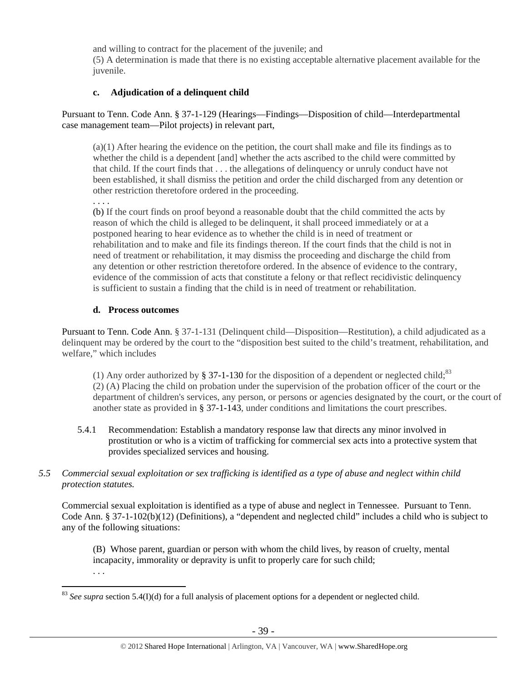and willing to contract for the placement of the juvenile; and

(5) A determination is made that there is no existing acceptable alternative placement available for the juvenile.

# **c. Adjudication of a delinquent child**

Pursuant to Tenn. Code Ann. § 37-1-129 (Hearings—Findings—Disposition of child—Interdepartmental case management team—Pilot projects) in relevant part,

(a)(1) After hearing the evidence on the petition, the court shall make and file its findings as to whether the child is a dependent [and] whether the acts ascribed to the child were committed by that child. If the court finds that . . . the allegations of delinquency or unruly conduct have not been established, it shall dismiss the petition and order the child discharged from any detention or other restriction theretofore ordered in the proceeding.

. . . .

(b) If the court finds on proof beyond a reasonable doubt that the child committed the acts by reason of which the child is alleged to be delinquent, it shall proceed immediately or at a postponed hearing to hear evidence as to whether the child is in need of treatment or rehabilitation and to make and file its findings thereon. If the court finds that the child is not in need of treatment or rehabilitation, it may dismiss the proceeding and discharge the child from any detention or other restriction theretofore ordered. In the absence of evidence to the contrary, evidence of the commission of acts that constitute a felony or that reflect recidivistic delinquency is sufficient to sustain a finding that the child is in need of treatment or rehabilitation.

# **d. Process outcomes**

Pursuant to Tenn. Code Ann. § 37-1-131 (Delinquent child—Disposition—Restitution), a child adjudicated as a delinquent may be ordered by the court to the "disposition best suited to the child's treatment, rehabilitation, and welfare," which includes

(1) Any order authorized by § 37-1-130 for the disposition of a dependent or neglected child;<sup>83</sup> (2) (A) Placing the child on probation under the supervision of the probation officer of the court or the department of children's services, any person, or persons or agencies designated by the court, or the court of another state as provided in § 37-1-143, under conditions and limitations the court prescribes.

5.4.1 Recommendation: Establish a mandatory response law that directs any minor involved in prostitution or who is a victim of trafficking for commercial sex acts into a protective system that provides specialized services and housing.

# *5.5 Commercial sexual exploitation or sex trafficking is identified as a type of abuse and neglect within child protection statutes.*

Commercial sexual exploitation is identified as a type of abuse and neglect in Tennessee. Pursuant to Tenn. Code Ann. § 37-1-102(b)(12) (Definitions), a "dependent and neglected child" includes a child who is subject to any of the following situations:

(B) Whose parent, guardian or person with whom the child lives, by reason of cruelty, mental incapacity, immorality or depravity is unfit to properly care for such child; . . .

 $\overline{a}$ <sup>83</sup> *See supra* section 5.4(I)(d) for a full analysis of placement options for a dependent or neglected child.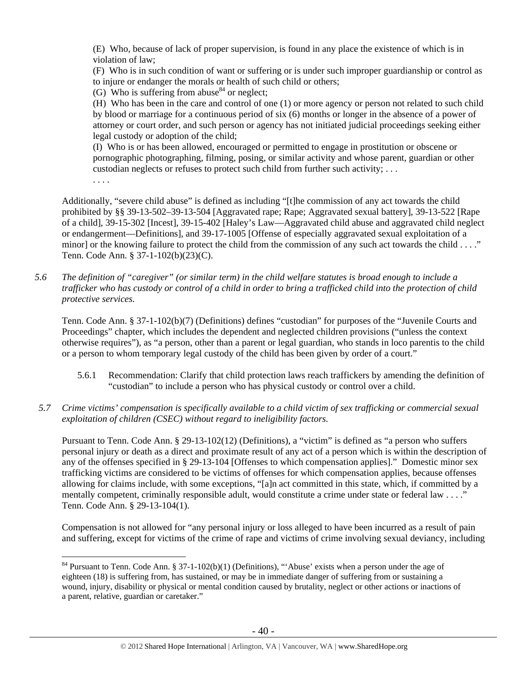(E) Who, because of lack of proper supervision, is found in any place the existence of which is in violation of law;

(F) Who is in such condition of want or suffering or is under such improper guardianship or control as to injure or endanger the morals or health of such child or others;

(G) Who is suffering from abuse  $84$  or neglect;

(H) Who has been in the care and control of one (1) or more agency or person not related to such child by blood or marriage for a continuous period of six (6) months or longer in the absence of a power of attorney or court order, and such person or agency has not initiated judicial proceedings seeking either legal custody or adoption of the child;

(I) Who is or has been allowed, encouraged or permitted to engage in prostitution or obscene or pornographic photographing, filming, posing, or similar activity and whose parent, guardian or other custodian neglects or refuses to protect such child from further such activity; . . .

. . . .

Additionally, "severe child abuse" is defined as including "[t]he commission of any act towards the child prohibited by §§ 39-13-502–39-13-504 [Aggravated rape; Rape; Aggravated sexual battery], 39-13-522 [Rape of a child], 39-15-302 [Incest], 39-15-402 [Haley's Law—Aggravated child abuse and aggravated child neglect or endangerment—Definitions], and 39-17-1005 [Offense of especially aggravated sexual exploitation of a minor] or the knowing failure to protect the child from the commission of any such act towards the child  $\dots$ ." Tenn. Code Ann. § 37-1-102(b)(23)(C).

*5.6 The definition of "caregiver" (or similar term) in the child welfare statutes is broad enough to include a trafficker who has custody or control of a child in order to bring a trafficked child into the protection of child protective services.* 

Tenn. Code Ann. § 37-1-102(b)(7) (Definitions) defines "custodian" for purposes of the "Juvenile Courts and Proceedings" chapter, which includes the dependent and neglected children provisions ("unless the context otherwise requires"), as "a person, other than a parent or legal guardian, who stands in loco parentis to the child or a person to whom temporary legal custody of the child has been given by order of a court."

- 5.6.1 Recommendation: Clarify that child protection laws reach traffickers by amending the definition of "custodian" to include a person who has physical custody or control over a child.
- *5.7 Crime victims' compensation is specifically available to a child victim of sex trafficking or commercial sexual exploitation of children (CSEC) without regard to ineligibility factors.*

Pursuant to Tenn. Code Ann. § 29-13-102(12) (Definitions), a "victim" is defined as "a person who suffers personal injury or death as a direct and proximate result of any act of a person which is within the description of any of the offenses specified in § 29-13-104 [Offenses to which compensation applies]." Domestic minor sex trafficking victims are considered to be victims of offenses for which compensation applies, because offenses allowing for claims include, with some exceptions, "[a]n act committed in this state, which, if committed by a mentally competent, criminally responsible adult, would constitute a crime under state or federal law . . . ." Tenn. Code Ann. § 29-13-104(1).

Compensation is not allowed for "any personal injury or loss alleged to have been incurred as a result of pain and suffering, except for victims of the crime of rape and victims of crime involving sexual deviancy, including

 $\overline{a}$  $84$  Pursuant to Tenn. Code Ann. § 37-1-102(b)(1) (Definitions), "'Abuse' exists when a person under the age of eighteen (18) is suffering from, has sustained, or may be in immediate danger of suffering from or sustaining a wound, injury, disability or physical or mental condition caused by brutality, neglect or other actions or inactions of a parent, relative, guardian or caretaker."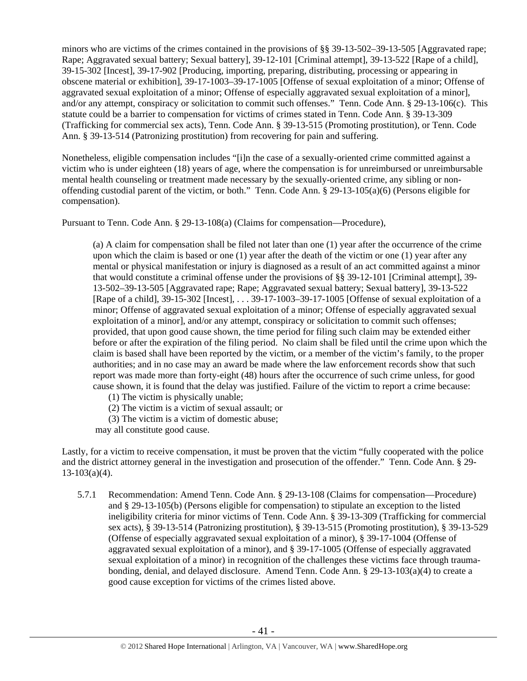minors who are victims of the crimes contained in the provisions of §§ 39-13-502–39-13-505 [Aggravated rape; Rape; Aggravated sexual battery; Sexual battery], 39-12-101 [Criminal attempt], 39-13-522 [Rape of a child], 39-15-302 [Incest], 39-17-902 [Producing, importing, preparing, distributing, processing or appearing in obscene material or exhibition], 39-17-1003–39-17-1005 [Offense of sexual exploitation of a minor; Offense of aggravated sexual exploitation of a minor; Offense of especially aggravated sexual exploitation of a minor], and/or any attempt, conspiracy or solicitation to commit such offenses." Tenn. Code Ann. § 29-13-106(c). This statute could be a barrier to compensation for victims of crimes stated in Tenn. Code Ann. § 39-13-309 (Trafficking for commercial sex acts), Tenn. Code Ann. § 39-13-515 (Promoting prostitution), or Tenn. Code Ann. § 39-13-514 (Patronizing prostitution) from recovering for pain and suffering.

Nonetheless, eligible compensation includes "[i]n the case of a sexually-oriented crime committed against a victim who is under eighteen (18) years of age, where the compensation is for unreimbursed or unreimbursable mental health counseling or treatment made necessary by the sexually-oriented crime, any sibling or nonoffending custodial parent of the victim, or both." Tenn. Code Ann. § 29-13-105(a)(6) (Persons eligible for compensation).

Pursuant to Tenn. Code Ann. § 29-13-108(a) (Claims for compensation—Procedure),

(a) A claim for compensation shall be filed not later than one (1) year after the occurrence of the crime upon which the claim is based or one (1) year after the death of the victim or one (1) year after any mental or physical manifestation or injury is diagnosed as a result of an act committed against a minor that would constitute a criminal offense under the provisions of §§ 39-12-101 [Criminal attempt], 39- 13-502–39-13-505 [Aggravated rape; Rape; Aggravated sexual battery; Sexual battery], 39-13-522 [Rape of a child], 39-15-302 [Incest], . . . 39-17-1003–39-17-1005 [Offense of sexual exploitation of a minor; Offense of aggravated sexual exploitation of a minor; Offense of especially aggravated sexual exploitation of a minor], and/or any attempt, conspiracy or solicitation to commit such offenses; provided, that upon good cause shown, the time period for filing such claim may be extended either before or after the expiration of the filing period. No claim shall be filed until the crime upon which the claim is based shall have been reported by the victim, or a member of the victim's family, to the proper authorities; and in no case may an award be made where the law enforcement records show that such report was made more than forty-eight (48) hours after the occurrence of such crime unless, for good cause shown, it is found that the delay was justified. Failure of the victim to report a crime because:

(1) The victim is physically unable;

(2) The victim is a victim of sexual assault; or

(3) The victim is a victim of domestic abuse;

may all constitute good cause.

Lastly, for a victim to receive compensation, it must be proven that the victim "fully cooperated with the police and the district attorney general in the investigation and prosecution of the offender." Tenn. Code Ann. § 29-  $13-103(a)(4)$ .

5.7.1 Recommendation: Amend Tenn. Code Ann. § 29-13-108 (Claims for compensation—Procedure) and § 29-13-105(b) (Persons eligible for compensation) to stipulate an exception to the listed ineligibility criteria for minor victims of Tenn. Code Ann. § 39-13-309 (Trafficking for commercial sex acts), § 39-13-514 (Patronizing prostitution), § 39-13-515 (Promoting prostitution), § 39-13-529 (Offense of especially aggravated sexual exploitation of a minor), § 39-17-1004 (Offense of aggravated sexual exploitation of a minor), and § 39-17-1005 (Offense of especially aggravated sexual exploitation of a minor) in recognition of the challenges these victims face through traumabonding, denial, and delayed disclosure. Amend Tenn. Code Ann. § 29-13-103(a)(4) to create a good cause exception for victims of the crimes listed above.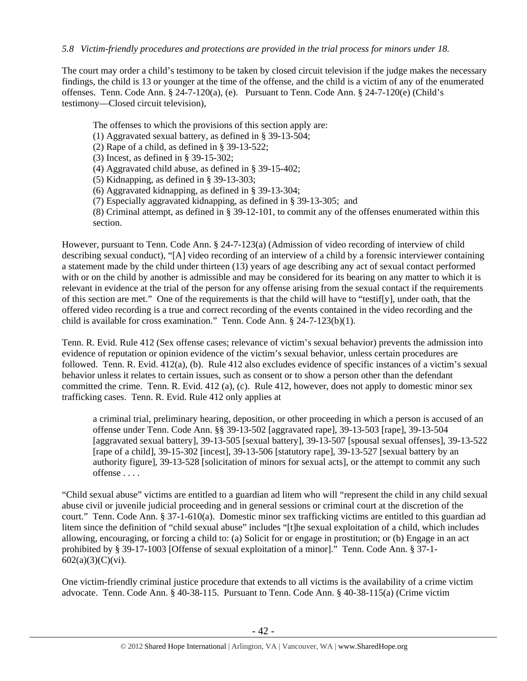#### *5.8 Victim-friendly procedures and protections are provided in the trial process for minors under 18.*

The court may order a child's testimony to be taken by closed circuit television if the judge makes the necessary findings, the child is 13 or younger at the time of the offense, and the child is a victim of any of the enumerated offenses. Tenn. Code Ann. § 24-7-120(a), (e). Pursuant to Tenn. Code Ann. § 24-7-120(e) (Child's testimony—Closed circuit television),

The offenses to which the provisions of this section apply are:

(1) Aggravated sexual battery, as defined in § 39-13-504;

(2) Rape of a child, as defined in § 39-13-522;

(3) Incest, as defined in § 39-15-302;

(4) Aggravated child abuse, as defined in § 39-15-402;

(5) Kidnapping, as defined in § 39-13-303;

(6) Aggravated kidnapping, as defined in § 39-13-304;

(7) Especially aggravated kidnapping, as defined in § 39-13-305; and

(8) Criminal attempt, as defined in § 39-12-101, to commit any of the offenses enumerated within this section.

However, pursuant to Tenn. Code Ann. § 24-7-123(a) (Admission of video recording of interview of child describing sexual conduct), "[A] video recording of an interview of a child by a forensic interviewer containing a statement made by the child under thirteen (13) years of age describing any act of sexual contact performed with or on the child by another is admissible and may be considered for its bearing on any matter to which it is relevant in evidence at the trial of the person for any offense arising from the sexual contact if the requirements of this section are met." One of the requirements is that the child will have to "testif[y], under oath, that the offered video recording is a true and correct recording of the events contained in the video recording and the child is available for cross examination." Tenn. Code Ann. § 24-7-123(b)(1).

Tenn. R. Evid. Rule 412 (Sex offense cases; relevance of victim's sexual behavior) prevents the admission into evidence of reputation or opinion evidence of the victim's sexual behavior, unless certain procedures are followed. Tenn. R. Evid. 412(a), (b). Rule 412 also excludes evidence of specific instances of a victim's sexual behavior unless it relates to certain issues, such as consent or to show a person other than the defendant committed the crime. Tenn. R. Evid. 412 (a), (c). Rule 412, however, does not apply to domestic minor sex trafficking cases. Tenn. R. Evid. Rule 412 only applies at

a criminal trial, preliminary hearing, deposition, or other proceeding in which a person is accused of an offense under Tenn. Code Ann. §§ 39-13-502 [aggravated rape], 39-13-503 [rape], 39-13-504 [aggravated sexual battery], 39-13-505 [sexual battery], 39-13-507 [spousal sexual offenses], 39-13-522 [rape of a child], 39-15-302 [incest], 39-13-506 [statutory rape], 39-13-527 [sexual battery by an authority figure], 39-13-528 [solicitation of minors for sexual acts], or the attempt to commit any such offense . . . .

"Child sexual abuse" victims are entitled to a guardian ad litem who will "represent the child in any child sexual abuse civil or juvenile judicial proceeding and in general sessions or criminal court at the discretion of the court." Tenn. Code Ann. § 37-1-610(a). Domestic minor sex trafficking victims are entitled to this guardian ad litem since the definition of "child sexual abuse" includes "[t]he sexual exploitation of a child, which includes allowing, encouraging, or forcing a child to: (a) Solicit for or engage in prostitution; or (b) Engage in an act prohibited by § 39-17-1003 [Offense of sexual exploitation of a minor]." Tenn. Code Ann. § 37-1- 602(a)(3)(C)(vi).

One victim-friendly criminal justice procedure that extends to all victims is the availability of a crime victim advocate. Tenn. Code Ann. § 40-38-115. Pursuant to Tenn. Code Ann. § 40-38-115(a) (Crime victim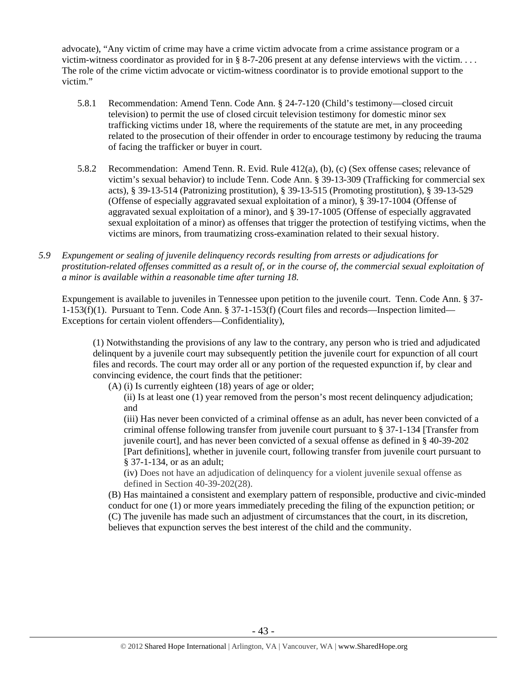advocate), "Any victim of crime may have a crime victim advocate from a crime assistance program or a victim-witness coordinator as provided for in § 8-7-206 present at any defense interviews with the victim. . . . The role of the crime victim advocate or victim-witness coordinator is to provide emotional support to the victim."

- 5.8.1 Recommendation: Amend Tenn. Code Ann. § 24-7-120 (Child's testimony—closed circuit television) to permit the use of closed circuit television testimony for domestic minor sex trafficking victims under 18, where the requirements of the statute are met, in any proceeding related to the prosecution of their offender in order to encourage testimony by reducing the trauma of facing the trafficker or buyer in court.
- 5.8.2 Recommendation: Amend Tenn. R. Evid. Rule 412(a), (b), (c) (Sex offense cases; relevance of victim's sexual behavior) to include Tenn. Code Ann. § 39-13-309 (Trafficking for commercial sex acts), § 39-13-514 (Patronizing prostitution), § 39-13-515 (Promoting prostitution), § 39-13-529 (Offense of especially aggravated sexual exploitation of a minor), § 39-17-1004 (Offense of aggravated sexual exploitation of a minor), and § 39-17-1005 (Offense of especially aggravated sexual exploitation of a minor) as offenses that trigger the protection of testifying victims, when the victims are minors, from traumatizing cross-examination related to their sexual history.
- *5.9 Expungement or sealing of juvenile delinquency records resulting from arrests or adjudications for prostitution-related offenses committed as a result of, or in the course of, the commercial sexual exploitation of a minor is available within a reasonable time after turning 18.*

Expungement is available to juveniles in Tennessee upon petition to the juvenile court. Tenn. Code Ann. § 37- 1-153(f)(1). Pursuant to Tenn. Code Ann. § 37-1-153(f) (Court files and records—Inspection limited— Exceptions for certain violent offenders—Confidentiality),

(1) Notwithstanding the provisions of any law to the contrary, any person who is tried and adjudicated delinquent by a juvenile court may subsequently petition the juvenile court for expunction of all court files and records. The court may order all or any portion of the requested expunction if, by clear and convincing evidence, the court finds that the petitioner:

(A) (i) Is currently eighteen (18) years of age or older;

(ii) Is at least one (1) year removed from the person's most recent delinquency adjudication; and

(iii) Has never been convicted of a criminal offense as an adult, has never been convicted of a criminal offense following transfer from juvenile court pursuant to § 37-1-134 [Transfer from juvenile court], and has never been convicted of a sexual offense as defined in § 40-39-202 [Part definitions], whether in juvenile court, following transfer from juvenile court pursuant to § 37-1-134, or as an adult;

(iv) Does not have an adjudication of delinquency for a violent juvenile sexual offense as defined in Section 40-39-202(28).

(B) Has maintained a consistent and exemplary pattern of responsible, productive and civic-minded conduct for one (1) or more years immediately preceding the filing of the expunction petition; or (C) The juvenile has made such an adjustment of circumstances that the court, in its discretion, believes that expunction serves the best interest of the child and the community.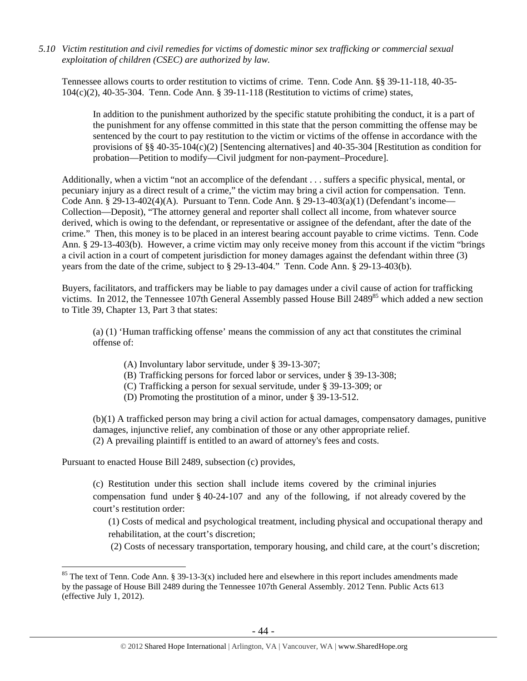*5.10 Victim restitution and civil remedies for victims of domestic minor sex trafficking or commercial sexual exploitation of children (CSEC) are authorized by law.* 

Tennessee allows courts to order restitution to victims of crime. Tenn. Code Ann. §§ 39-11-118, 40-35- 104(c)(2), 40-35-304. Tenn. Code Ann. § 39-11-118 (Restitution to victims of crime) states,

In addition to the punishment authorized by the specific statute prohibiting the conduct, it is a part of the punishment for any offense committed in this state that the person committing the offense may be sentenced by the court to pay restitution to the victim or victims of the offense in accordance with the provisions of §§ 40-35-104(c)(2) [Sentencing alternatives] and 40-35-304 [Restitution as condition for probation—Petition to modify—Civil judgment for non-payment–Procedure].

Additionally, when a victim "not an accomplice of the defendant . . . suffers a specific physical, mental, or pecuniary injury as a direct result of a crime," the victim may bring a civil action for compensation. Tenn. Code Ann. § 29-13-402(4)(A). Pursuant to Tenn. Code Ann. § 29-13-403(a)(1) (Defendant's income— Collection—Deposit), "The attorney general and reporter shall collect all income, from whatever source derived, which is owing to the defendant, or representative or assignee of the defendant, after the date of the crime." Then, this money is to be placed in an interest bearing account payable to crime victims. Tenn. Code Ann. § 29-13-403(b). However, a crime victim may only receive money from this account if the victim "brings a civil action in a court of competent jurisdiction for money damages against the defendant within three (3) years from the date of the crime, subject to § 29-13-404." Tenn. Code Ann. § 29-13-403(b).

Buyers, facilitators, and traffickers may be liable to pay damages under a civil cause of action for trafficking victims. In 2012, the Tennessee 107th General Assembly passed House Bill 2489<sup>85</sup> which added a new section to Title 39, Chapter 13, Part 3 that states:

(a) (1) 'Human trafficking offense' means the commission of any act that constitutes the criminal offense of:

- (A) Involuntary labor servitude, under § 39-13-307;
- (B) Trafficking persons for forced labor or services, under § 39-13-308;
- (C) Trafficking a person for sexual servitude, under § 39-13-309; or
- (D) Promoting the prostitution of a minor, under § 39-13-512.

(b)(1) A trafficked person may bring a civil action for actual damages, compensatory damages, punitive damages, injunctive relief, any combination of those or any other appropriate relief. (2) A prevailing plaintiff is entitled to an award of attorney's fees and costs.

Pursuant to enacted House Bill 2489, subsection (c) provides,

 $\overline{a}$ 

(c) Restitution under this section shall include items covered by the criminal injuries compensation fund under § 40-24-107 and any of the following, if not already covered by the court's restitution order:

(1) Costs of medical and psychological treatment, including physical and occupational therapy and rehabilitation, at the court's discretion;

(2) Costs of necessary transportation, temporary housing, and child care, at the court's discretion;

<sup>&</sup>lt;sup>85</sup> The text of Tenn. Code Ann. § 39-13-3(x) included here and elsewhere in this report includes amendments made by the passage of House Bill 2489 during the Tennessee 107th General Assembly. 2012 Tenn. Public Acts 613 (effective July 1, 2012).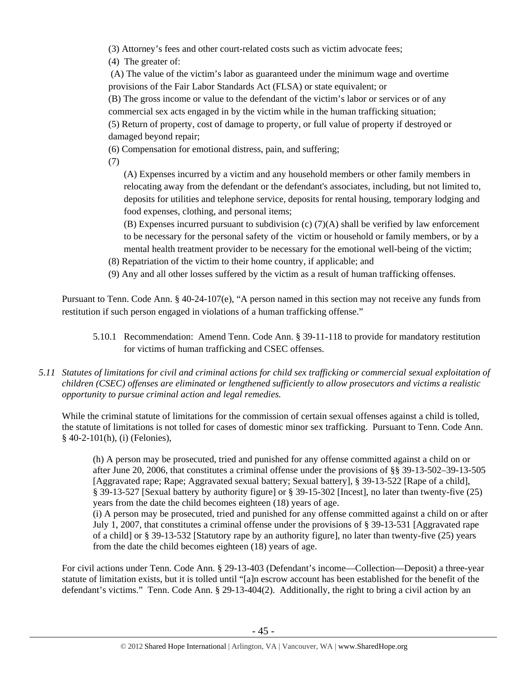(3) Attorney's fees and other court-related costs such as victim advocate fees;

(4) The greater of:

 (A) The value of the victim's labor as guaranteed under the minimum wage and overtime provisions of the Fair Labor Standards Act (FLSA) or state equivalent; or

(B) The gross income or value to the defendant of the victim's labor or services or of any commercial sex acts engaged in by the victim while in the human trafficking situation; (5) Return of property, cost of damage to property, or full value of property if destroyed or damaged beyond repair;

(6) Compensation for emotional distress, pain, and suffering;

(7)

(A) Expenses incurred by a victim and any household members or other family members in relocating away from the defendant or the defendant's associates, including, but not limited to, deposits for utilities and telephone service, deposits for rental housing, temporary lodging and food expenses, clothing, and personal items;

(B) Expenses incurred pursuant to subdivision (c) (7)(A) shall be verified by law enforcement to be necessary for the personal safety of the victim or household or family members, or by a mental health treatment provider to be necessary for the emotional well-being of the victim;

(8) Repatriation of the victim to their home country, if applicable; and

(9) Any and all other losses suffered by the victim as a result of human trafficking offenses.

Pursuant to Tenn. Code Ann. § 40-24-107(e), "A person named in this section may not receive any funds from restitution if such person engaged in violations of a human trafficking offense."

5.10.1 Recommendation: Amend Tenn. Code Ann. § 39-11-118 to provide for mandatory restitution for victims of human trafficking and CSEC offenses.

## *5.11 Statutes of limitations for civil and criminal actions for child sex trafficking or commercial sexual exploitation of children (CSEC) offenses are eliminated or lengthened sufficiently to allow prosecutors and victims a realistic opportunity to pursue criminal action and legal remedies.*

While the criminal statute of limitations for the commission of certain sexual offenses against a child is tolled, the statute of limitations is not tolled for cases of domestic minor sex trafficking. Pursuant to Tenn. Code Ann. § 40-2-101(h), (i) (Felonies),

(h) A person may be prosecuted, tried and punished for any offense committed against a child on or after June 20, 2006, that constitutes a criminal offense under the provisions of §§ 39-13-502–39-13-505 [Aggravated rape; Rape; Aggravated sexual battery; Sexual battery], § 39-13-522 [Rape of a child], § 39-13-527 [Sexual battery by authority figure] or § 39-15-302 [Incest], no later than twenty-five (25) years from the date the child becomes eighteen (18) years of age.

(i) A person may be prosecuted, tried and punished for any offense committed against a child on or after July 1, 2007, that constitutes a criminal offense under the provisions of § 39-13-531 [Aggravated rape of a child] or § 39-13-532 [Statutory rape by an authority figure], no later than twenty-five (25) years from the date the child becomes eighteen (18) years of age.

For civil actions under Tenn. Code Ann. § 29-13-403 (Defendant's income—Collection—Deposit) a three-year statute of limitation exists, but it is tolled until "[a]n escrow account has been established for the benefit of the defendant's victims." Tenn. Code Ann. § 29-13-404(2). Additionally, the right to bring a civil action by an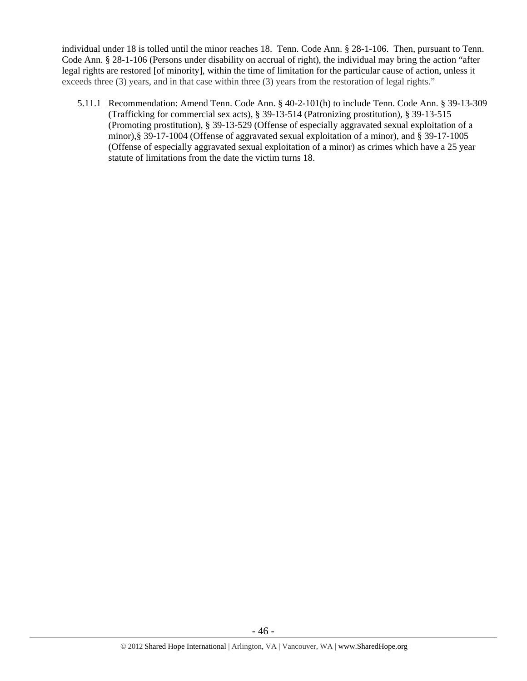individual under 18 is tolled until the minor reaches 18. Tenn. Code Ann. § 28-1-106. Then, pursuant to Tenn. Code Ann. § 28-1-106 (Persons under disability on accrual of right), the individual may bring the action "after legal rights are restored [of minority], within the time of limitation for the particular cause of action, unless it exceeds three (3) years, and in that case within three (3) years from the restoration of legal rights."

5.11.1 Recommendation: Amend Tenn. Code Ann. § 40-2-101(h) to include Tenn. Code Ann. § 39-13-309 (Trafficking for commercial sex acts), § 39-13-514 (Patronizing prostitution), § 39-13-515 (Promoting prostitution), § 39-13-529 (Offense of especially aggravated sexual exploitation of a minor),§ 39-17-1004 (Offense of aggravated sexual exploitation of a minor), and § 39-17-1005 (Offense of especially aggravated sexual exploitation of a minor) as crimes which have a 25 year statute of limitations from the date the victim turns 18.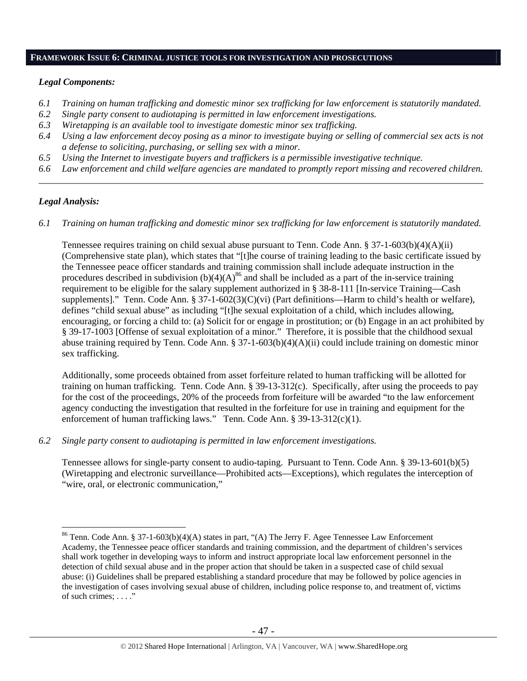#### **FRAMEWORK ISSUE 6: CRIMINAL JUSTICE TOOLS FOR INVESTIGATION AND PROSECUTIONS**

#### *Legal Components:*

- *6.1 Training on human trafficking and domestic minor sex trafficking for law enforcement is statutorily mandated.*
- *6.2 Single party consent to audiotaping is permitted in law enforcement investigations.*
- *6.3 Wiretapping is an available tool to investigate domestic minor sex trafficking.*
- *6.4 Using a law enforcement decoy posing as a minor to investigate buying or selling of commercial sex acts is not a defense to soliciting, purchasing, or selling sex with a minor.*
- *6.5 Using the Internet to investigate buyers and traffickers is a permissible investigative technique.*
- *6.6 Law enforcement and child welfare agencies are mandated to promptly report missing and recovered children. \_\_\_\_\_\_\_\_\_\_\_\_\_\_\_\_\_\_\_\_\_\_\_\_\_\_\_\_\_\_\_\_\_\_\_\_\_\_\_\_\_\_\_\_\_\_\_\_\_\_\_\_\_\_\_\_\_\_\_\_\_\_\_\_\_\_\_\_\_\_\_\_\_\_\_\_\_\_\_\_\_\_\_\_\_\_\_\_\_\_\_\_\_\_*

#### *Legal Analysis:*

 $\overline{a}$ 

*6.1 Training on human trafficking and domestic minor sex trafficking for law enforcement is statutorily mandated.*

Tennessee requires training on child sexual abuse pursuant to Tenn. Code Ann. § 37-1-603(b)(4)(A)(ii) (Comprehensive state plan), which states that "[t]he course of training leading to the basic certificate issued by the Tennessee peace officer standards and training commission shall include adequate instruction in the procedures described in subdivision  $(b)(4)(A)^{86}$  and shall be included as a part of the in-service training requirement to be eligible for the salary supplement authorized in § 38-8-111 [In-service Training—Cash supplements]." Tenn. Code Ann. § 37-1-602(3)(C)(vi) (Part definitions—Harm to child's health or welfare), defines "child sexual abuse" as including "[t]he sexual exploitation of a child, which includes allowing, encouraging, or forcing a child to: (a) Solicit for or engage in prostitution; or (b) Engage in an act prohibited by § 39-17-1003 [Offense of sexual exploitation of a minor." Therefore, it is possible that the childhood sexual abuse training required by Tenn. Code Ann. § 37-1-603(b)(4)(A)(ii) could include training on domestic minor sex trafficking.

Additionally, some proceeds obtained from asset forfeiture related to human trafficking will be allotted for training on human trafficking. Tenn. Code Ann. § 39-13-312(c). Specifically, after using the proceeds to pay for the cost of the proceedings, 20% of the proceeds from forfeiture will be awarded "to the law enforcement agency conducting the investigation that resulted in the forfeiture for use in training and equipment for the enforcement of human trafficking laws." Tenn. Code Ann. § 39-13-312(c)(1).

*6.2 Single party consent to audiotaping is permitted in law enforcement investigations.* 

Tennessee allows for single-party consent to audio-taping. Pursuant to Tenn. Code Ann. § 39-13-601(b)(5) (Wiretapping and electronic surveillance—Prohibited acts—Exceptions), which regulates the interception of "wire, oral, or electronic communication,"

<sup>86</sup> Tenn. Code Ann. § 37-1-603(b)(4)(A) states in part, "(A) The Jerry F. Agee Tennessee Law Enforcement Academy, the Tennessee peace officer standards and training commission, and the department of children's services shall work together in developing ways to inform and instruct appropriate local law enforcement personnel in the detection of child sexual abuse and in the proper action that should be taken in a suspected case of child sexual abuse: (i) Guidelines shall be prepared establishing a standard procedure that may be followed by police agencies in the investigation of cases involving sexual abuse of children, including police response to, and treatment of, victims of such crimes; . . . ."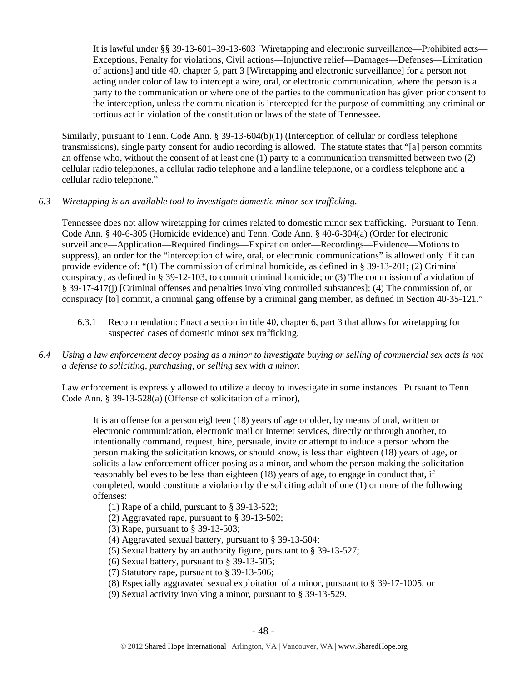It is lawful under §§ 39-13-601–39-13-603 [Wiretapping and electronic surveillance—Prohibited acts— Exceptions, Penalty for violations, Civil actions—Injunctive relief—Damages—Defenses—Limitation of actions] and title 40, chapter 6, part 3 [Wiretapping and electronic surveillance] for a person not acting under color of law to intercept a wire, oral, or electronic communication, where the person is a party to the communication or where one of the parties to the communication has given prior consent to the interception, unless the communication is intercepted for the purpose of committing any criminal or tortious act in violation of the constitution or laws of the state of Tennessee.

Similarly, pursuant to Tenn. Code Ann. § 39-13-604(b)(1) (Interception of cellular or cordless telephone transmissions), single party consent for audio recording is allowed. The statute states that "[a] person commits an offense who, without the consent of at least one (1) party to a communication transmitted between two (2) cellular radio telephones, a cellular radio telephone and a landline telephone, or a cordless telephone and a cellular radio telephone."

## *6.3 Wiretapping is an available tool to investigate domestic minor sex trafficking.*

Tennessee does not allow wiretapping for crimes related to domestic minor sex trafficking. Pursuant to Tenn. Code Ann. § 40-6-305 (Homicide evidence) and Tenn. Code Ann. § 40-6-304(a) (Order for electronic surveillance—Application—Required findings—Expiration order—Recordings—Evidence—Motions to suppress), an order for the "interception of wire, oral, or electronic communications" is allowed only if it can provide evidence of: "(1) The commission of criminal homicide, as defined in § 39-13-201; (2) Criminal conspiracy, as defined in § 39-12-103, to commit criminal homicide; or (3) The commission of a violation of § 39-17-417(j) [Criminal offenses and penalties involving controlled substances]; (4) The commission of, or conspiracy [to] commit, a criminal gang offense by a criminal gang member, as defined in Section 40-35-121."

6.3.1 Recommendation: Enact a section in title 40, chapter 6, part 3 that allows for wiretapping for suspected cases of domestic minor sex trafficking.

## *6.4 Using a law enforcement decoy posing as a minor to investigate buying or selling of commercial sex acts is not a defense to soliciting, purchasing, or selling sex with a minor.*

Law enforcement is expressly allowed to utilize a decoy to investigate in some instances. Pursuant to Tenn. Code Ann. § 39-13-528(a) (Offense of solicitation of a minor),

It is an offense for a person eighteen (18) years of age or older, by means of oral, written or electronic communication, electronic mail or Internet services, directly or through another, to intentionally command, request, hire, persuade, invite or attempt to induce a person whom the person making the solicitation knows, or should know, is less than eighteen (18) years of age, or solicits a law enforcement officer posing as a minor, and whom the person making the solicitation reasonably believes to be less than eighteen (18) years of age, to engage in conduct that, if completed, would constitute a violation by the soliciting adult of one (1) or more of the following offenses:

- (1) Rape of a child, pursuant to § 39-13-522;
- (2) Aggravated rape, pursuant to § 39-13-502;
- (3) Rape, pursuant to § 39-13-503;
- (4) Aggravated sexual battery, pursuant to § 39-13-504;
- (5) Sexual battery by an authority figure, pursuant to § 39-13-527;
- (6) Sexual battery, pursuant to § 39-13-505;
- (7) Statutory rape, pursuant to § 39-13-506;
- (8) Especially aggravated sexual exploitation of a minor, pursuant to § 39-17-1005; or
- (9) Sexual activity involving a minor, pursuant to § 39-13-529.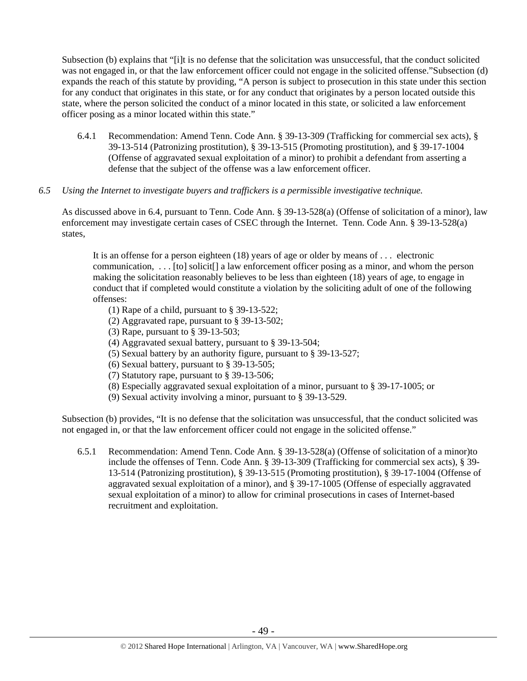Subsection (b) explains that "[i]t is no defense that the solicitation was unsuccessful, that the conduct solicited was not engaged in, or that the law enforcement officer could not engage in the solicited offense."Subsection (d) expands the reach of this statute by providing, "A person is subject to prosecution in this state under this section for any conduct that originates in this state, or for any conduct that originates by a person located outside this state, where the person solicited the conduct of a minor located in this state, or solicited a law enforcement officer posing as a minor located within this state."

6.4.1 Recommendation: Amend Tenn. Code Ann. § 39-13-309 (Trafficking for commercial sex acts), § 39-13-514 (Patronizing prostitution), § 39-13-515 (Promoting prostitution), and § 39-17-1004 (Offense of aggravated sexual exploitation of a minor) to prohibit a defendant from asserting a defense that the subject of the offense was a law enforcement officer.

#### *6.5 Using the Internet to investigate buyers and traffickers is a permissible investigative technique.*

As discussed above in 6.4, pursuant to Tenn. Code Ann. § 39-13-528(a) (Offense of solicitation of a minor), law enforcement may investigate certain cases of CSEC through the Internet. Tenn. Code Ann. § 39-13-528(a) states,

It is an offense for a person eighteen (18) years of age or older by means of . . . electronic communication, . . . [to] solicit[] a law enforcement officer posing as a minor, and whom the person making the solicitation reasonably believes to be less than eighteen (18) years of age, to engage in conduct that if completed would constitute a violation by the soliciting adult of one of the following offenses:

- (1) Rape of a child, pursuant to § 39-13-522;
- (2) Aggravated rape, pursuant to § 39-13-502;
- (3) Rape, pursuant to § 39-13-503;
- (4) Aggravated sexual battery, pursuant to § 39-13-504;
- (5) Sexual battery by an authority figure, pursuant to § 39-13-527;
- (6) Sexual battery, pursuant to § 39-13-505;
- (7) Statutory rape, pursuant to § 39-13-506;
- (8) Especially aggravated sexual exploitation of a minor, pursuant to § 39-17-1005; or
- (9) Sexual activity involving a minor, pursuant to § 39-13-529.

Subsection (b) provides, "It is no defense that the solicitation was unsuccessful, that the conduct solicited was not engaged in, or that the law enforcement officer could not engage in the solicited offense."

6.5.1 Recommendation: Amend Tenn. Code Ann. § 39-13-528(a) (Offense of solicitation of a minor)to include the offenses of Tenn. Code Ann. § 39-13-309 (Trafficking for commercial sex acts), § 39- 13-514 (Patronizing prostitution), § 39-13-515 (Promoting prostitution), § 39-17-1004 (Offense of aggravated sexual exploitation of a minor), and § 39-17-1005 (Offense of especially aggravated sexual exploitation of a minor) to allow for criminal prosecutions in cases of Internet-based recruitment and exploitation.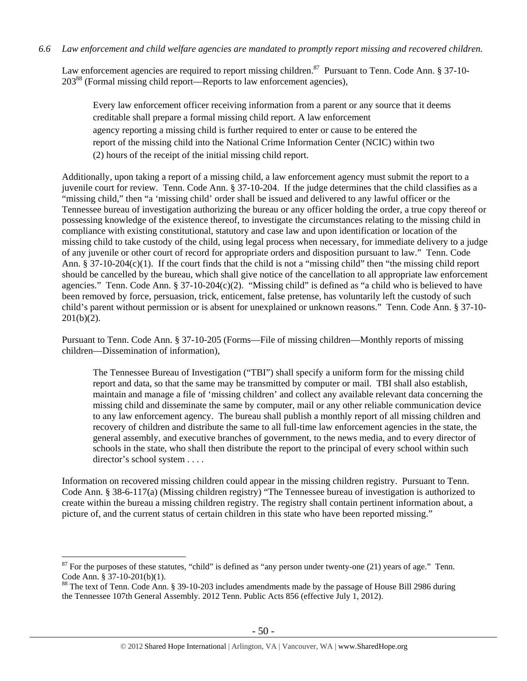Law enforcement agencies are required to report missing children.<sup>87</sup> Pursuant to Tenn. Code Ann. § 37-10-20388 (Formal missing child report—Reports to law enforcement agencies),

Every law enforcement officer receiving information from a parent or any source that it deems creditable shall prepare a formal missing child report. A law enforcement agency reporting a missing child is further required to enter or cause to be entered the report of the missing child into the National Crime Information Center (NCIC) within two (2) hours of the receipt of the initial missing child report.

Additionally, upon taking a report of a missing child, a law enforcement agency must submit the report to a juvenile court for review. Tenn. Code Ann. § 37-10-204. If the judge determines that the child classifies as a "missing child," then "a 'missing child' order shall be issued and delivered to any lawful officer or the Tennessee bureau of investigation authorizing the bureau or any officer holding the order, a true copy thereof or possessing knowledge of the existence thereof, to investigate the circumstances relating to the missing child in compliance with existing constitutional, statutory and case law and upon identification or location of the missing child to take custody of the child, using legal process when necessary, for immediate delivery to a judge of any juvenile or other court of record for appropriate orders and disposition pursuant to law." Tenn. Code Ann. § 37-10-204(c)(1). If the court finds that the child is not a "missing child" then "the missing child report should be cancelled by the bureau, which shall give notice of the cancellation to all appropriate law enforcement agencies." Tenn. Code Ann. § 37-10-204(c)(2). "Missing child" is defined as "a child who is believed to have been removed by force, persuasion, trick, enticement, false pretense, has voluntarily left the custody of such child's parent without permission or is absent for unexplained or unknown reasons." Tenn. Code Ann. § 37-10-  $201(b)(2)$ .

Pursuant to Tenn. Code Ann. § 37-10-205 (Forms—File of missing children—Monthly reports of missing children—Dissemination of information),

The Tennessee Bureau of Investigation ("TBI") shall specify a uniform form for the missing child report and data, so that the same may be transmitted by computer or mail. TBI shall also establish, maintain and manage a file of 'missing children' and collect any available relevant data concerning the missing child and disseminate the same by computer, mail or any other reliable communication device to any law enforcement agency. The bureau shall publish a monthly report of all missing children and recovery of children and distribute the same to all full-time law enforcement agencies in the state, the general assembly, and executive branches of government, to the news media, and to every director of schools in the state, who shall then distribute the report to the principal of every school within such director's school system . . . .

Information on recovered missing children could appear in the missing children registry. Pursuant to Tenn. Code Ann. § 38-6-117(a) (Missing children registry) "The Tennessee bureau of investigation is authorized to create within the bureau a missing children registry. The registry shall contain pertinent information about, a picture of, and the current status of certain children in this state who have been reported missing."

 $87$  For the purposes of these statutes, "child" is defined as "any person under twenty-one (21) years of age." Tenn. Code Ann. § 37-10-201(b)(1).

<sup>&</sup>lt;sup>88</sup> The text of Tenn. Code Ann. § 39-10-203 includes amendments made by the passage of House Bill 2986 during the Tennessee 107th General Assembly. 2012 Tenn. Public Acts 856 (effective July 1, 2012).